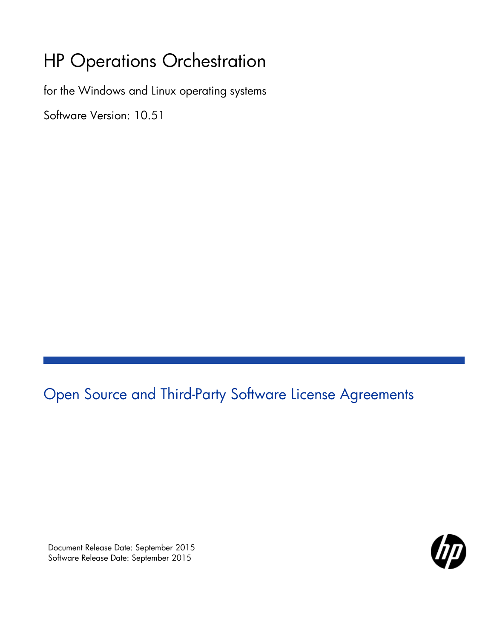# HP Operations Orchestration

for the Windows and Linux operating systems

Software Version: 10.51

Open Source and Third-Party Software License Agreements

Document Release Date: September 2015 Software Release Date: September 2015

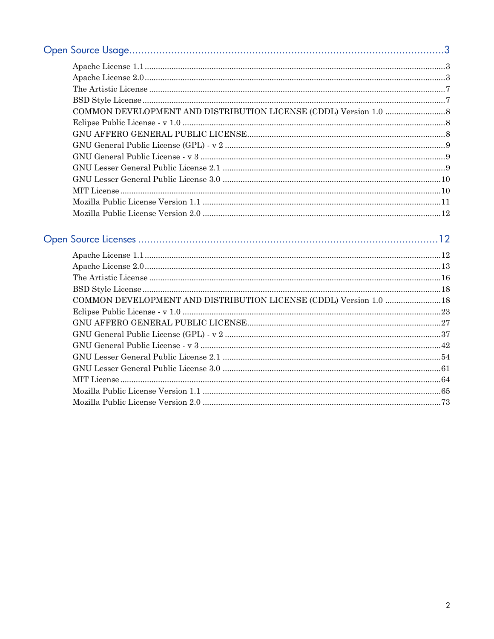| COMMON DEVELOPMENT AND DISTRIBUTION LICENSE (CDDL) Version 1.0  18 |  |
|--------------------------------------------------------------------|--|
|                                                                    |  |
|                                                                    |  |
|                                                                    |  |
|                                                                    |  |
|                                                                    |  |
|                                                                    |  |
|                                                                    |  |
|                                                                    |  |
|                                                                    |  |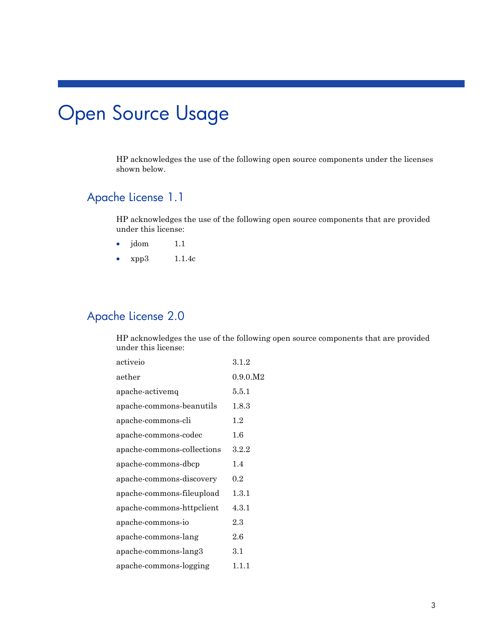# <span id="page-2-0"></span>Open Source Usage

HP acknowledges the use of the following open source components under the licenses shown below.

# <span id="page-2-1"></span>Apache License 1.1

HP acknowledges the use of the following open source components that are provided under this license:

- $\bullet$  jdom  $1.1$
- $xpp3$  1.1.4c

## <span id="page-2-2"></span>Apache License 2.0

HP acknowledges the use of the following open source components that are provided under this license:

| activeio                   | 3.1.2    |
|----------------------------|----------|
| aether                     | 0.9.0.M2 |
| apache-activemq            | 5.5.1    |
| apache-commons-beanutils   | 1.8.3    |
| apache-commons-cli         | 1.2      |
| apache-commons-codec       | $1.6\,$  |
| apache-commons-collections | 3.2.2    |
| apache-commons-dbcp        | 1.4      |
| apache-commons-discovery   | $0.2\,$  |
| apache-commons-fileupload  | 1.3.1    |
| apache-commons-httpclient  | 4.3.1    |
| apache-commons-io          | $2.3\,$  |
| apache-commons-lang        | 2.6      |
| apache-commons-lang3       | $3.1\,$  |
| apache-commons-logging     | 1.1.1    |
|                            |          |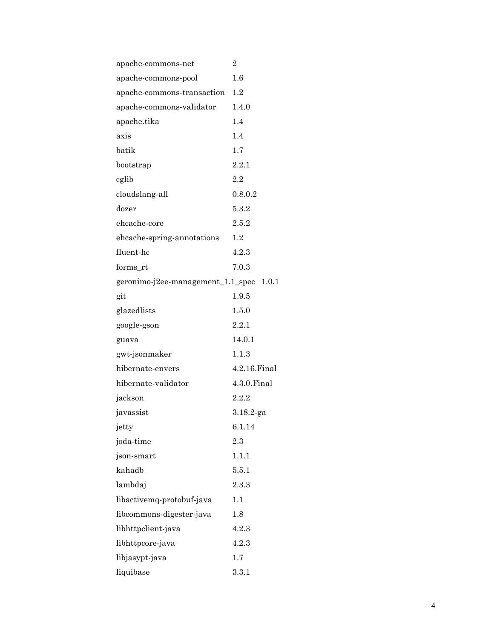| apache-commons-net                      | $\overline{2}$ |
|-----------------------------------------|----------------|
| apache-commons-pool                     | 1.6            |
| apache-commons-transaction              | 1.2            |
| apache-commons-validator                | 1.4.0          |
| apache.tika                             | 1.4            |
| axis                                    | 1.4            |
| batik                                   | 1.7            |
| bootstrap                               | 2.2.1          |
| cglib                                   | 2.2            |
| cloudslang-all                          | 0.8.0.2        |
| dozer                                   | 5.3.2          |
| ehcache-core                            | 2.5.2          |
| ehcache-spring-annotations              | 1.2            |
| fluent-hc                               | 4.2.3          |
| forms_rt                                | 7.0.3          |
| geronimo-j2ee-management_1.1_spec 1.0.1 |                |
| git                                     | 1.9.5          |
| glazedlists                             | 1.5.0          |
| google-gson                             | 2.2.1          |
| guava                                   | 14.0.1         |
| gwt-jsonmaker                           | 1.1.3          |
| hibernate-envers                        | 4.2.16. Final  |
| hibernate-validator                     | 4.3.0. Final   |
| jackson                                 | 2.2.2          |
| javassist                               | $3.18.2$ -ga   |
| jetty                                   | 6.1.14         |
| joda-time                               | $2.3\,$        |
| json-smart                              | 1.1.1          |
| kahadb                                  | 5.5.1          |
| lambdaj                                 | 2.3.3          |
| libactivemq-protobuf-java               | 1.1            |
| libcommons-digester-java                | 1.8            |
| libhttpclient-java                      | 4.2.3          |
| libhttpcore-java                        | 4.2.3          |
| libjasypt-java                          | 1.7            |
| liquibase                               | 3.3.1          |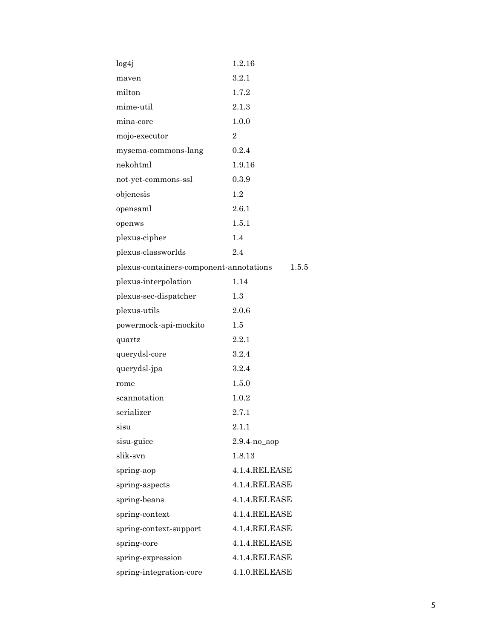| log4j                                   | 1.2.16            |  |
|-----------------------------------------|-------------------|--|
| maven                                   | 3.2.1             |  |
| milton                                  | 1.7.2             |  |
| mime-util                               | 2.1.3             |  |
| mina-core                               | 1.0.0             |  |
| mojo-executor                           | $\overline{2}$    |  |
| mysema-commons-lang                     | 0.2.4             |  |
| nekohtml                                | 1.9.16            |  |
| not-yet-commons-ssl                     | 0.3.9             |  |
| objenesis                               | 1.2               |  |
| opensaml                                | 2.6.1             |  |
| openws                                  | 1.5.1             |  |
| plexus-cipher                           | 1.4               |  |
| plexus-classworlds                      | 2.4               |  |
| plexus-containers-component-annotations | 1.5.5             |  |
| plexus-interpolation                    | 1.14              |  |
| plexus-sec-dispatcher                   | 1.3               |  |
| plexus-utils                            | 2.0.6             |  |
| powermock-api-mockito                   | $1.5\,$           |  |
| quartz                                  | 2.2.1             |  |
| querydsl-core                           | 3.2.4             |  |
| querydsl-jpa                            | 3.2.4             |  |
| rome                                    | 1.5.0             |  |
| scannotation                            | 1.0.2             |  |
| serializer                              | 2.7.1             |  |
| sisu                                    | 2.1.1             |  |
| sisu-guice                              | $2.9.4 -no\_\aop$ |  |
| slik-svn                                | 1.8.13            |  |
| spring-aop                              | 4.1.4.RELEASE     |  |
| spring-aspects                          | 4.1.4.RELEASE     |  |
| spring-beans                            | 4.1.4.RELEASE     |  |
| spring-context                          | 4.1.4.RELEASE     |  |
| spring-context-support                  | 4.1.4.RELEASE     |  |
| spring-core                             | 4.1.4.RELEASE     |  |
| spring-expression                       | 4.1.4.RELEASE     |  |
| spring-integration-core                 | 4.1.0.RELEASE     |  |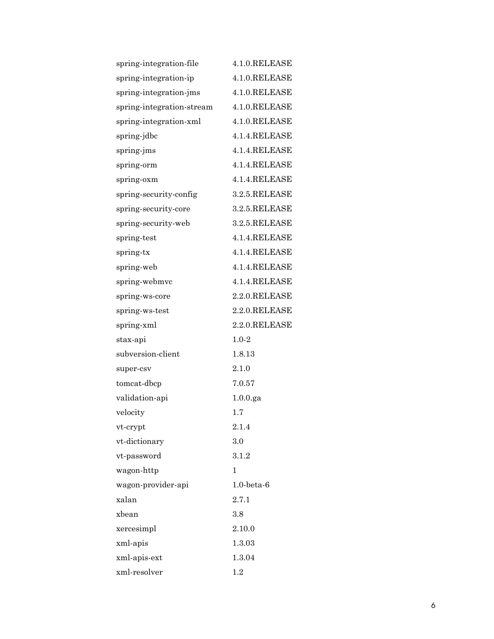| spring-integration-file   | 4.1.0.RELEASE    |
|---------------------------|------------------|
| spring-integration-ip     | 4.1.0.RELEASE    |
| spring-integration-jms    | 4.1.0.RELEASE    |
| spring-integration-stream | 4.1.0.RELEASE    |
| spring-integration-xml    | 4.1.0.RELEASE    |
| spring-jdbc               | 4.1.4.RELEASE    |
| spring-jms                | 4.1.4.RELEASE    |
| spring-orm                | 4.1.4.RELEASE    |
| spring-oxm                | 4.1.4.RELEASE    |
| spring-security-config    | $3.2.5.$ RELEASE |
| spring-security-core      | $3.2.5.$ RELEASE |
| spring-security-web       | $3.2.5.$ RELEASE |
| spring-test               | 4.1.4.RELEASE    |
| spring-tx                 | 4.1.4.RELEASE    |
| spring-web                | 4.1.4.RELEASE    |
| spring-webmvc             | 4.1.4.RELEASE    |
| spring-ws-core            | $2.2.0.$ RELEASE |
| spring-ws-test            | $2.2.0.$ RELEASE |
| spring-xml                | 2.2.0.RELEASE    |
| stax-api                  | $1.0 - 2$        |
| subversion-client         | 1.8.13           |
| super-csv                 | 2.1.0            |
| tomcat-dbcp               | 7.0.57           |
| validation-api            | $1.0.0$ .ga      |
| velocity                  | 1.7              |
| vt-crypt                  | 2.1.4            |
| vt-dictionary             | 3.0              |
| vt-password               | 3.1.2            |
| wagon-http                | 1                |
| wagon-provider-api        | $1.0$ -beta- $6$ |
| xalan                     | 2.7.1            |
| xbean                     | 3.8              |
| xercesimpl                | 2.10.0           |
| xml-apis                  | 1.3.03           |
| xml-apis-ext              | 1.3.04           |
| xml-resolver              | 1.2              |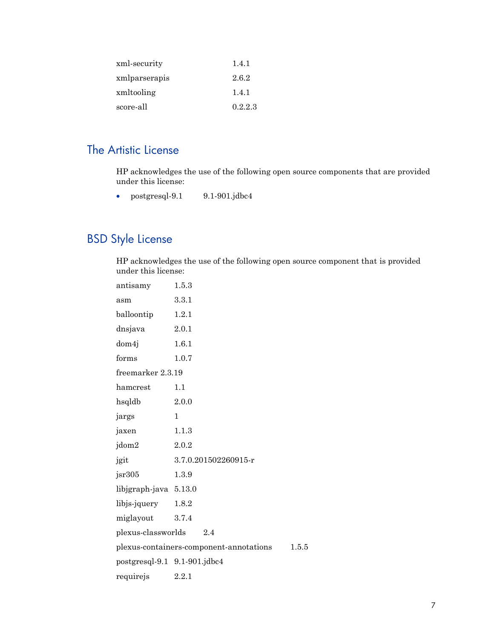| xml-security  | 1.4.1   |
|---------------|---------|
| xmlparserapis | 2.6.2   |
| xmltooling    | 1.4.1   |
| score-all     | 0.2.2.3 |

# <span id="page-6-0"></span>The Artistic License

HP acknowledges the use of the following open source components that are provided under this license:

•  $postgresql-9.1$  9.1-901.jdbc4

# <span id="page-6-1"></span>BSD Style License

HP acknowledges the use of the following open source component that is provided under this license:

| antisamy                          | 1.5.3                                            |
|-----------------------------------|--------------------------------------------------|
| asm                               | 3.3.1                                            |
| balloontip                        | 1.2.1                                            |
| dnsjava                           | 2.0.1                                            |
| dom4j                             | 1.6.1                                            |
| forms                             | 1.0.7                                            |
| freemarker 2.3.19                 |                                                  |
| hamcrest                          | 1.1                                              |
| hsqldb                            | 2.0.0                                            |
| jargs                             | $\mathbf{1}$                                     |
| jaxen                             | 1.1.3                                            |
| jdom2                             | 2.0.2                                            |
| jgit                              | 3.7.0.201502260915-r                             |
| jsr305                            | 1.3.9                                            |
| libjgraph-java 5.13.0             |                                                  |
| libjs-jquery $1.8.2$              |                                                  |
| miglayout 3.7.4                   |                                                  |
| plexus-classworlds 2.4            |                                                  |
|                                   | plexus-containers-component-annotations<br>1.5.5 |
| postgresql-9.1 $9.1 - 901$ .jdbc4 |                                                  |
| requirejs                         | 2.2.1                                            |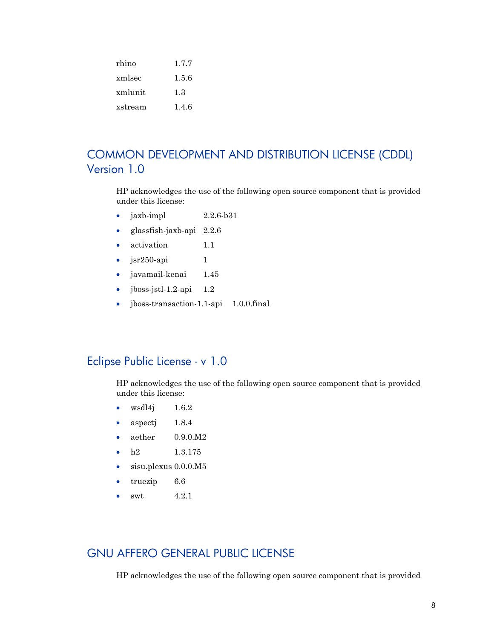| rhino   | 1.7.7 |
|---------|-------|
| xmlsec  | 1.5.6 |
| xmlunit | 1.3   |
| xstream | 1.4.6 |

# <span id="page-7-0"></span>COMMON DEVELOPMENT AND DISTRIBUTION LICENSE (CDDL) Version 1.0

HP acknowledges the use of the following open source component that is provided under this license:

- $jaxb-imp$  2.2.6-b31
- glassfish-jaxb-api 2.2.6
- activation 1.1
- $\bullet$  jsr250-api 1
- javamail-kenai 1.45
- $\bullet$  jboss-jstl-1.2-api 1.2
- jboss-transaction-1.1-api 1.0.0.final

# <span id="page-7-1"></span>Eclipse Public License - v 1.0

HP acknowledges the use of the following open source component that is provided under this license:

- wsdl $4j$  1.6.2
- aspectj  $1.8.4$
- $\bullet$  aether  $0.9.0.M2$
- $h2$  1.3.175
- sisu.plexus 0.0.0.M5
- truezip 6.6
- swt 4.2.1

### <span id="page-7-2"></span>GNU AFFERO GENERAL PUBLIC LICENSE

HP acknowledges the use of the following open source component that is provided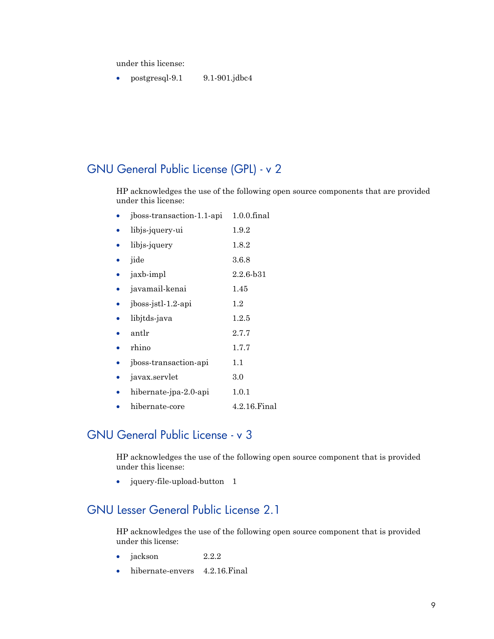under this license:

•  $postgresq1-9.1$  9.1-901.jdbc4

## <span id="page-8-0"></span>GNU General Public License (GPL) - v 2

HP acknowledges the use of the following open source components that are provided under this license:

|   | jboss-transaction-1.1-api | $1.0.0$ .final |
|---|---------------------------|----------------|
|   | libjs-jquery-ui           | 1.9.2          |
|   | libjs-jquery              | 1.8.2          |
|   | jide                      | 3.6.8          |
|   | jaxb-impl                 | $2.2.6$ b $31$ |
| 0 | javamail-kenai            | 1.45           |
|   | jboss-jstl-1.2-api        | $1.2\,$        |
|   | libjtds-java              | 1.2.5          |
|   | antlr                     | 2.7.7          |
|   | rhino                     | 1.7.7          |
|   | jboss-transaction-api     | $1.1\,$        |
|   | javax.servlet             | $3.0\,$        |
|   | hibernate-jpa-2.0-api     | 1.0.1          |
|   | hibernate-core            | 4.2.16. Final  |
|   |                           |                |

### <span id="page-8-1"></span>GNU General Public License - v 3

HP acknowledges the use of the following open source component that is provided under this license:

• jquery-file-upload-button 1

# <span id="page-8-2"></span>GNU Lesser General Public License 2.1

HP acknowledges the use of the following open source component that is provided under this license:

- jackson  $2.2.2$
- hibernate-envers 4.2.16.Final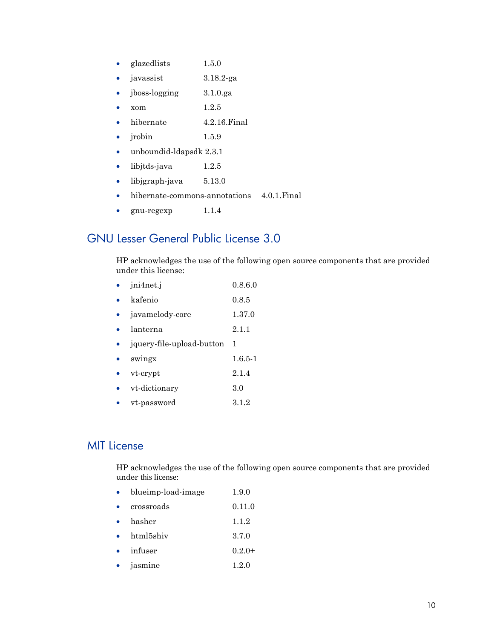- glazedlists 1.5.0
- javassist 3.18.2-ga
- jboss-logging 3.1.0.ga
- xom 1.2.5
- hibernate 4.2.16.Final
- *jrobin* 1.5.9
- unboundid-ldapsdk 2.3.1
- libjtds-java 1.2.5
- libjgraph-java 5.13.0
- hibernate-commons-annotations 4.0.1.Final
- gnu-regexp 1.1.4

### <span id="page-9-0"></span>GNU Lesser General Public License 3.0

HP acknowledges the use of the following open source components that are provided under this license:

- $\bullet$  jni4net.j 0.8.6.0
- kafenio 0.8.5
- javamelody-core 1.37.0
- lanterna 2.1.1
- jquery-file-upload-button 1
- $\bullet$  swingx  $1.6.5-1$
- $\bullet$  vt-crypt  $2.1.4$
- vt-dictionary 3.0
- vt-password 3.1.2

### <span id="page-9-1"></span>MIT License

HP acknowledges the use of the following open source components that are provided under this license:

- blueimp-load-image 1.9.0
- crossroads 0.11.0
- hasher  $1.1.2$
- html5shiv 3.7.0
- $\bullet$  infuser 0.2.0+
- $\bullet$  jasmine  $1.2.0$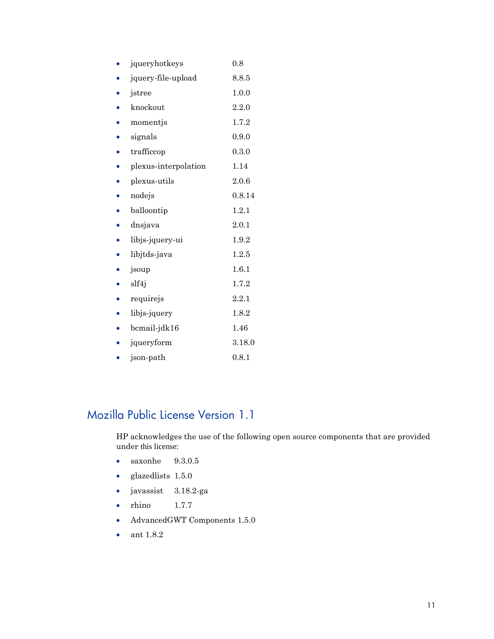| jqueryhotkeys        | 0.8    |
|----------------------|--------|
| jquery-file-upload   | 8.8.5  |
| jstree               | 1.0.0  |
| knockout             | 2.2.0  |
| momentis             | 1.7.2  |
| signals              | 0.9.0  |
| trafficcop           | 0.3.0  |
| plexus-interpolation | 1.14   |
| plexus-utils         | 2.0.6  |
| nodejs               | 0.8.14 |
| balloontip           | 1.2.1  |
| dnsjava              | 2.0.1  |
| libjs-jquery-ui      | 1.9.2  |
| libjtds-java         | 1.2.5  |
| jsoup                | 1.6.1  |
| slf4j                | 1.7.2  |
| requirejs            | 2.2.1  |
| libjs-jquery         | 1.8.2  |
| bcmail-jdk16         | 1.46   |
| jqueryform           | 3.18.0 |
| json-path            | 0.8.1  |

# <span id="page-10-0"></span>Mozilla Public License Version 1.1

HP acknowledges the use of the following open source components that are provided under this license:

- saxonhe 9.3.0.5
- $\bullet$  glazed<br>lists  $1.5.0$
- javassist 3.18.2-ga
- $\bullet$  rhino  $1.7.7$
- AdvancedGWT Components 1.5.0
- ant 1.8.2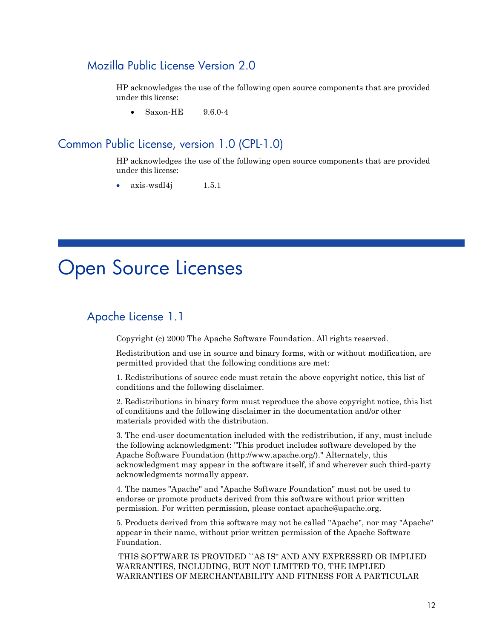### <span id="page-11-0"></span>Mozilla Public License Version 2.0

HP acknowledges the use of the following open source components that are provided under this license:

Saxon-HE 9.6.0-4

#### Common Public License, version 1.0 (CPL-1.0)

HP acknowledges the use of the following open source components that are provided under this license:

axis-wsdl4j 1.5.1

# <span id="page-11-1"></span>Open Source Licenses

### <span id="page-11-2"></span>Apache License 1.1

Copyright (c) 2000 The Apache Software Foundation. All rights reserved.

Redistribution and use in source and binary forms, with or without modification, are permitted provided that the following conditions are met:

1. Redistributions of source code must retain the above copyright notice, this list of conditions and the following disclaimer.

2. Redistributions in binary form must reproduce the above copyright notice, this list of conditions and the following disclaimer in the documentation and/or other materials provided with the distribution.

3. The end-user documentation included with the redistribution, if any, must include the following acknowledgment: "This product includes software developed by the Apache Software Foundation (http://www.apache.org/)." Alternately, this acknowledgment may appear in the software itself, if and wherever such third-party acknowledgments normally appear.

4. The names "Apache" and "Apache Software Foundation" must not be used to endorse or promote products derived from this software without prior written permission. For written permission, please contact apache@apache.org.

5. Products derived from this software may not be called "Apache", nor may "Apache" appear in their name, without prior written permission of the Apache Software Foundation.

THIS SOFTWARE IS PROVIDED ``AS IS'' AND ANY EXPRESSED OR IMPLIED WARRANTIES, INCLUDING, BUT NOT LIMITED TO, THE IMPLIED WARRANTIES OF MERCHANTABILITY AND FITNESS FOR A PARTICULAR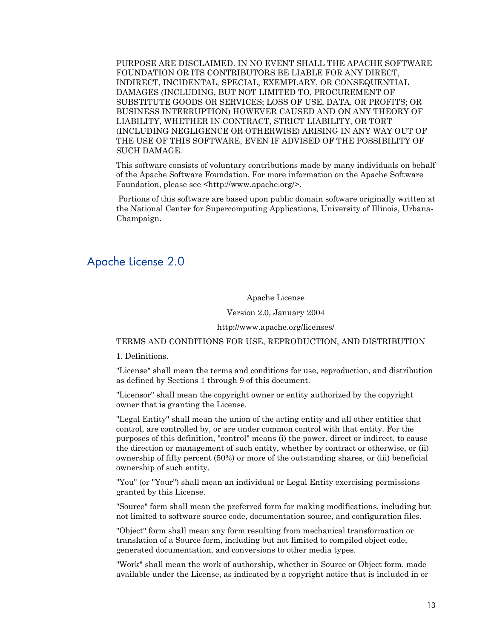PURPOSE ARE DISCLAIMED. IN NO EVENT SHALL THE APACHE SOFTWARE FOUNDATION OR ITS CONTRIBUTORS BE LIABLE FOR ANY DIRECT, INDIRECT, INCIDENTAL, SPECIAL, EXEMPLARY, OR CONSEQUENTIAL DAMAGES (INCLUDING, BUT NOT LIMITED TO, PROCUREMENT OF SUBSTITUTE GOODS OR SERVICES; LOSS OF USE, DATA, OR PROFITS; OR BUSINESS INTERRUPTION) HOWEVER CAUSED AND ON ANY THEORY OF LIABILITY, WHETHER IN CONTRACT, STRICT LIABILITY, OR TORT (INCLUDING NEGLIGENCE OR OTHERWISE) ARISING IN ANY WAY OUT OF THE USE OF THIS SOFTWARE, EVEN IF ADVISED OF THE POSSIBILITY OF SUCH DAMAGE.

This software consists of voluntary contributions made by many individuals on behalf of the Apache Software Foundation. For more information on the Apache Software Foundation, please see <http://www.apache.org/>.

Portions of this software are based upon public domain software originally written at the National Center for Supercomputing Applications, University of Illinois, Urbana-Champaign.

#### <span id="page-12-0"></span>Apache License 2.0

#### Apache License

#### Version 2.0, January 2004

#### http://www.apache.org/licenses/

#### TERMS AND CONDITIONS FOR USE, REPRODUCTION, AND DISTRIBUTION

1. Definitions.

"License" shall mean the terms and conditions for use, reproduction, and distribution as defined by Sections 1 through 9 of this document.

"Licensor" shall mean the copyright owner or entity authorized by the copyright owner that is granting the License.

"Legal Entity" shall mean the union of the acting entity and all other entities that control, are controlled by, or are under common control with that entity. For the purposes of this definition, "control" means (i) the power, direct or indirect, to cause the direction or management of such entity, whether by contract or otherwise, or (ii) ownership of fifty percent (50%) or more of the outstanding shares, or (iii) beneficial ownership of such entity.

"You" (or "Your") shall mean an individual or Legal Entity exercising permissions granted by this License.

"Source" form shall mean the preferred form for making modifications, including but not limited to software source code, documentation source, and configuration files.

"Object" form shall mean any form resulting from mechanical transformation or translation of a Source form, including but not limited to compiled object code, generated documentation, and conversions to other media types.

"Work" shall mean the work of authorship, whether in Source or Object form, made available under the License, as indicated by a copyright notice that is included in or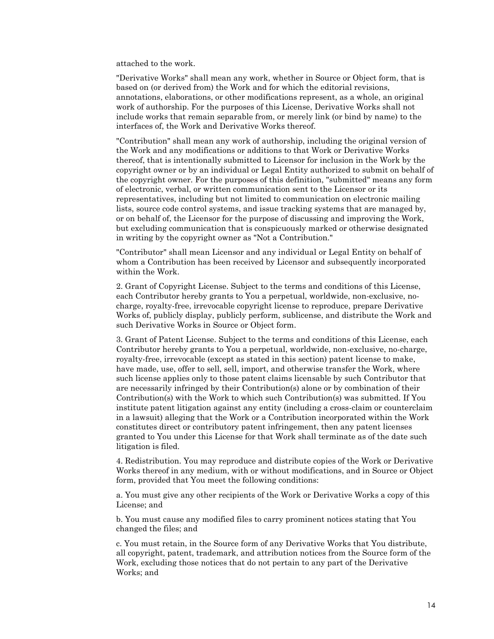attached to the work.

"Derivative Works" shall mean any work, whether in Source or Object form, that is based on (or derived from) the Work and for which the editorial revisions, annotations, elaborations, or other modifications represent, as a whole, an original work of authorship. For the purposes of this License, Derivative Works shall not include works that remain separable from, or merely link (or bind by name) to the interfaces of, the Work and Derivative Works thereof.

"Contribution" shall mean any work of authorship, including the original version of the Work and any modifications or additions to that Work or Derivative Works thereof, that is intentionally submitted to Licensor for inclusion in the Work by the copyright owner or by an individual or Legal Entity authorized to submit on behalf of the copyright owner. For the purposes of this definition, "submitted" means any form of electronic, verbal, or written communication sent to the Licensor or its representatives, including but not limited to communication on electronic mailing lists, source code control systems, and issue tracking systems that are managed by, or on behalf of, the Licensor for the purpose of discussing and improving the Work, but excluding communication that is conspicuously marked or otherwise designated in writing by the copyright owner as "Not a Contribution."

"Contributor" shall mean Licensor and any individual or Legal Entity on behalf of whom a Contribution has been received by Licensor and subsequently incorporated within the Work.

2. Grant of Copyright License. Subject to the terms and conditions of this License, each Contributor hereby grants to You a perpetual, worldwide, non-exclusive, nocharge, royalty-free, irrevocable copyright license to reproduce, prepare Derivative Works of, publicly display, publicly perform, sublicense, and distribute the Work and such Derivative Works in Source or Object form.

3. Grant of Patent License. Subject to the terms and conditions of this License, each Contributor hereby grants to You a perpetual, worldwide, non-exclusive, no-charge, royalty-free, irrevocable (except as stated in this section) patent license to make, have made, use, offer to sell, sell, import, and otherwise transfer the Work, where such license applies only to those patent claims licensable by such Contributor that are necessarily infringed by their Contribution(s) alone or by combination of their Contribution(s) with the Work to which such Contribution(s) was submitted. If You institute patent litigation against any entity (including a cross-claim or counterclaim in a lawsuit) alleging that the Work or a Contribution incorporated within the Work constitutes direct or contributory patent infringement, then any patent licenses granted to You under this License for that Work shall terminate as of the date such litigation is filed.

4. Redistribution. You may reproduce and distribute copies of the Work or Derivative Works thereof in any medium, with or without modifications, and in Source or Object form, provided that You meet the following conditions:

a. You must give any other recipients of the Work or Derivative Works a copy of this License; and

b. You must cause any modified files to carry prominent notices stating that You changed the files; and

c. You must retain, in the Source form of any Derivative Works that You distribute, all copyright, patent, trademark, and attribution notices from the Source form of the Work, excluding those notices that do not pertain to any part of the Derivative Works; and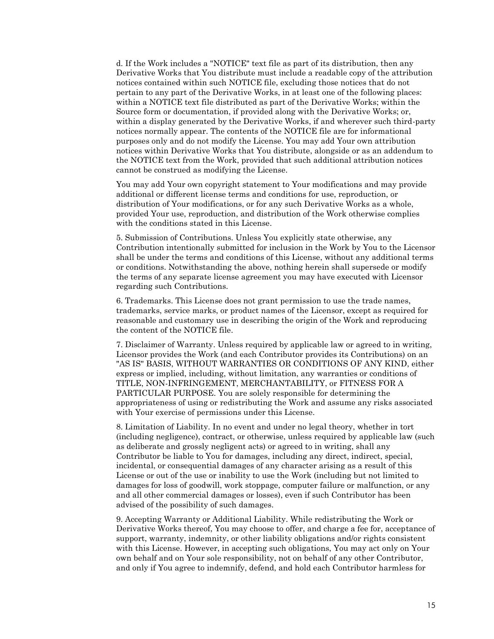d. If the Work includes a "NOTICE" text file as part of its distribution, then any Derivative Works that You distribute must include a readable copy of the attribution notices contained within such NOTICE file, excluding those notices that do not pertain to any part of the Derivative Works, in at least one of the following places: within a NOTICE text file distributed as part of the Derivative Works; within the Source form or documentation, if provided along with the Derivative Works; or, within a display generated by the Derivative Works, if and wherever such third-party notices normally appear. The contents of the NOTICE file are for informational purposes only and do not modify the License. You may add Your own attribution notices within Derivative Works that You distribute, alongside or as an addendum to the NOTICE text from the Work, provided that such additional attribution notices cannot be construed as modifying the License.

You may add Your own copyright statement to Your modifications and may provide additional or different license terms and conditions for use, reproduction, or distribution of Your modifications, or for any such Derivative Works as a whole, provided Your use, reproduction, and distribution of the Work otherwise complies with the conditions stated in this License.

5. Submission of Contributions. Unless You explicitly state otherwise, any Contribution intentionally submitted for inclusion in the Work by You to the Licensor shall be under the terms and conditions of this License, without any additional terms or conditions. Notwithstanding the above, nothing herein shall supersede or modify the terms of any separate license agreement you may have executed with Licensor regarding such Contributions.

6. Trademarks. This License does not grant permission to use the trade names, trademarks, service marks, or product names of the Licensor, except as required for reasonable and customary use in describing the origin of the Work and reproducing the content of the NOTICE file.

7. Disclaimer of Warranty. Unless required by applicable law or agreed to in writing, Licensor provides the Work (and each Contributor provides its Contributions) on an "AS IS" BASIS, WITHOUT WARRANTIES OR CONDITIONS OF ANY KIND, either express or implied, including, without limitation, any warranties or conditions of TITLE, NON-INFRINGEMENT, MERCHANTABILITY, or FITNESS FOR A PARTICULAR PURPOSE. You are solely responsible for determining the appropriateness of using or redistributing the Work and assume any risks associated with Your exercise of permissions under this License.

8. Limitation of Liability. In no event and under no legal theory, whether in tort (including negligence), contract, or otherwise, unless required by applicable law (such as deliberate and grossly negligent acts) or agreed to in writing, shall any Contributor be liable to You for damages, including any direct, indirect, special, incidental, or consequential damages of any character arising as a result of this License or out of the use or inability to use the Work (including but not limited to damages for loss of goodwill, work stoppage, computer failure or malfunction, or any and all other commercial damages or losses), even if such Contributor has been advised of the possibility of such damages.

9. Accepting Warranty or Additional Liability. While redistributing the Work or Derivative Works thereof, You may choose to offer, and charge a fee for, acceptance of support, warranty, indemnity, or other liability obligations and/or rights consistent with this License. However, in accepting such obligations, You may act only on Your own behalf and on Your sole responsibility, not on behalf of any other Contributor, and only if You agree to indemnify, defend, and hold each Contributor harmless for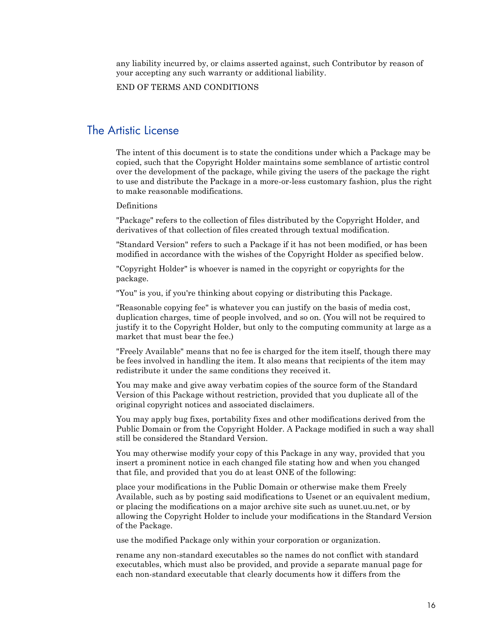any liability incurred by, or claims asserted against, such Contributor by reason of your accepting any such warranty or additional liability.

END OF TERMS AND CONDITIONS

#### <span id="page-15-0"></span>The Artistic License

The intent of this document is to state the conditions under which a Package may be copied, such that the Copyright Holder maintains some semblance of artistic control over the development of the package, while giving the users of the package the right to use and distribute the Package in a more-or-less customary fashion, plus the right to make reasonable modifications.

Definitions

"Package" refers to the collection of files distributed by the Copyright Holder, and derivatives of that collection of files created through textual modification.

"Standard Version" refers to such a Package if it has not been modified, or has been modified in accordance with the wishes of the Copyright Holder as specified below.

"Copyright Holder" is whoever is named in the copyright or copyrights for the package.

"You" is you, if you're thinking about copying or distributing this Package.

"Reasonable copying fee" is whatever you can justify on the basis of media cost, duplication charges, time of people involved, and so on. (You will not be required to justify it to the Copyright Holder, but only to the computing community at large as a market that must bear the fee.)

"Freely Available" means that no fee is charged for the item itself, though there may be fees involved in handling the item. It also means that recipients of the item may redistribute it under the same conditions they received it.

You may make and give away verbatim copies of the source form of the Standard Version of this Package without restriction, provided that you duplicate all of the original copyright notices and associated disclaimers.

You may apply bug fixes, portability fixes and other modifications derived from the Public Domain or from the Copyright Holder. A Package modified in such a way shall still be considered the Standard Version.

You may otherwise modify your copy of this Package in any way, provided that you insert a prominent notice in each changed file stating how and when you changed that file, and provided that you do at least ONE of the following:

place your modifications in the Public Domain or otherwise make them Freely Available, such as by posting said modifications to Usenet or an equivalent medium, or placing the modifications on a major archive site such as uunet.uu.net, or by allowing the Copyright Holder to include your modifications in the Standard Version of the Package.

use the modified Package only within your corporation or organization.

rename any non-standard executables so the names do not conflict with standard executables, which must also be provided, and provide a separate manual page for each non-standard executable that clearly documents how it differs from the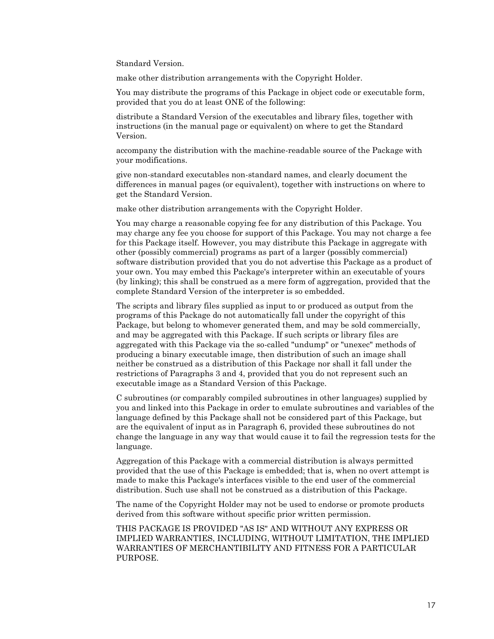Standard Version.

make other distribution arrangements with the Copyright Holder.

You may distribute the programs of this Package in object code or executable form, provided that you do at least ONE of the following:

distribute a Standard Version of the executables and library files, together with instructions (in the manual page or equivalent) on where to get the Standard Version.

accompany the distribution with the machine-readable source of the Package with your modifications.

give non-standard executables non-standard names, and clearly document the differences in manual pages (or equivalent), together with instructions on where to get the Standard Version.

make other distribution arrangements with the Copyright Holder.

You may charge a reasonable copying fee for any distribution of this Package. You may charge any fee you choose for support of this Package. You may not charge a fee for this Package itself. However, you may distribute this Package in aggregate with other (possibly commercial) programs as part of a larger (possibly commercial) software distribution provided that you do not advertise this Package as a product of your own. You may embed this Package's interpreter within an executable of yours (by linking); this shall be construed as a mere form of aggregation, provided that the complete Standard Version of the interpreter is so embedded.

The scripts and library files supplied as input to or produced as output from the programs of this Package do not automatically fall under the copyright of this Package, but belong to whomever generated them, and may be sold commercially, and may be aggregated with this Package. If such scripts or library files are aggregated with this Package via the so-called "undump" or "unexec" methods of producing a binary executable image, then distribution of such an image shall neither be construed as a distribution of this Package nor shall it fall under the restrictions of Paragraphs 3 and 4, provided that you do not represent such an executable image as a Standard Version of this Package.

C subroutines (or comparably compiled subroutines in other languages) supplied by you and linked into this Package in order to emulate subroutines and variables of the language defined by this Package shall not be considered part of this Package, but are the equivalent of input as in Paragraph 6, provided these subroutines do not change the language in any way that would cause it to fail the regression tests for the language.

Aggregation of this Package with a commercial distribution is always permitted provided that the use of this Package is embedded; that is, when no overt attempt is made to make this Package's interfaces visible to the end user of the commercial distribution. Such use shall not be construed as a distribution of this Package.

The name of the Copyright Holder may not be used to endorse or promote products derived from this software without specific prior written permission.

THIS PACKAGE IS PROVIDED "AS IS" AND WITHOUT ANY EXPRESS OR IMPLIED WARRANTIES, INCLUDING, WITHOUT LIMITATION, THE IMPLIED WARRANTIES OF MERCHANTIBILITY AND FITNESS FOR A PARTICULAR PURPOSE.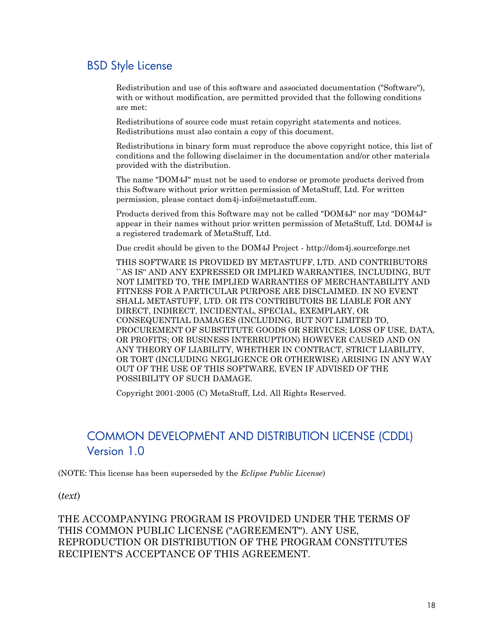## <span id="page-17-0"></span>BSD Style License

Redistribution and use of this software and associated documentation ("Software"), with or without modification, are permitted provided that the following conditions are met:

Redistributions of source code must retain copyright statements and notices. Redistributions must also contain a copy of this document.

Redistributions in binary form must reproduce the above copyright notice, this list of conditions and the following disclaimer in the documentation and/or other materials provided with the distribution.

The name "DOM4J" must not be used to endorse or promote products derived from this Software without prior written permission of MetaStuff, Ltd. For written permission, please contact dom4j-info@metastuff.com.

Products derived from this Software may not be called "DOM4J" nor may "DOM4J" appear in their names without prior written permission of MetaStuff, Ltd. DOM4J is a registered trademark of MetaStuff, Ltd.

Due credit should be given to the DOM4J Project - http://dom4j.sourceforge.net

THIS SOFTWARE IS PROVIDED BY METASTUFF, LTD. AND CONTRIBUTORS ``AS IS'' AND ANY EXPRESSED OR IMPLIED WARRANTIES, INCLUDING, BUT NOT LIMITED TO, THE IMPLIED WARRANTIES OF MERCHANTABILITY AND FITNESS FOR A PARTICULAR PURPOSE ARE DISCLAIMED. IN NO EVENT SHALL METASTUFF, LTD. OR ITS CONTRIBUTORS BE LIABLE FOR ANY DIRECT, INDIRECT, INCIDENTAL, SPECIAL, EXEMPLARY, OR CONSEQUENTIAL DAMAGES (INCLUDING, BUT NOT LIMITED TO, PROCUREMENT OF SUBSTITUTE GOODS OR SERVICES; LOSS OF USE, DATA, OR PROFITS; OR BUSINESS INTERRUPTION) HOWEVER CAUSED AND ON ANY THEORY OF LIABILITY, WHETHER IN CONTRACT, STRICT LIABILITY, OR TORT (INCLUDING NEGLIGENCE OR OTHERWISE) ARISING IN ANY WAY OUT OF THE USE OF THIS SOFTWARE, EVEN IF ADVISED OF THE POSSIBILITY OF SUCH DAMAGE.

Copyright 2001-2005 (C) MetaStuff, Ltd. All Rights Reserved.

# <span id="page-17-1"></span>COMMON DEVELOPMENT AND DISTRIBUTION LICENSE (CDDL) Version 1.0

(NOTE: This license has been superseded by the *[Eclipse Public License](http://opensource.org/licenses/eclipse-1.0)*)

(*[text](http://opensource.org/licenses/cpl1.0.txt)*)

#### THE ACCOMPANYING PROGRAM IS PROVIDED UNDER THE TERMS OF THIS COMMON PUBLIC LICENSE ("AGREEMENT"). ANY USE, REPRODUCTION OR DISTRIBUTION OF THE PROGRAM CONSTITUTES RECIPIENT'S ACCEPTANCE OF THIS AGREEMENT.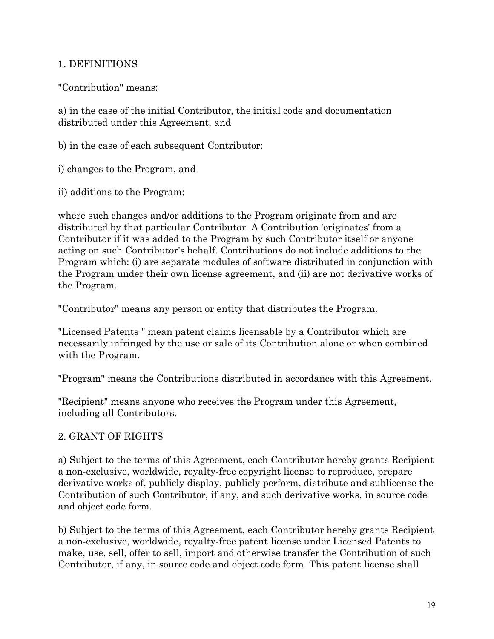### 1. DEFINITIONS

"Contribution" means:

a) in the case of the initial Contributor, the initial code and documentation distributed under this Agreement, and

b) in the case of each subsequent Contributor:

i) changes to the Program, and

ii) additions to the Program;

where such changes and/or additions to the Program originate from and are distributed by that particular Contributor. A Contribution 'originates' from a Contributor if it was added to the Program by such Contributor itself or anyone acting on such Contributor's behalf. Contributions do not include additions to the Program which: (i) are separate modules of software distributed in conjunction with the Program under their own license agreement, and (ii) are not derivative works of the Program.

"Contributor" means any person or entity that distributes the Program.

"Licensed Patents " mean patent claims licensable by a Contributor which are necessarily infringed by the use or sale of its Contribution alone or when combined with the Program.

"Program" means the Contributions distributed in accordance with this Agreement.

"Recipient" means anyone who receives the Program under this Agreement, including all Contributors.

### 2. GRANT OF RIGHTS

a) Subject to the terms of this Agreement, each Contributor hereby grants Recipient a non-exclusive, worldwide, royalty-free copyright license to reproduce, prepare derivative works of, publicly display, publicly perform, distribute and sublicense the Contribution of such Contributor, if any, and such derivative works, in source code and object code form.

b) Subject to the terms of this Agreement, each Contributor hereby grants Recipient a non-exclusive, worldwide, royalty-free patent license under Licensed Patents to make, use, sell, offer to sell, import and otherwise transfer the Contribution of such Contributor, if any, in source code and object code form. This patent license shall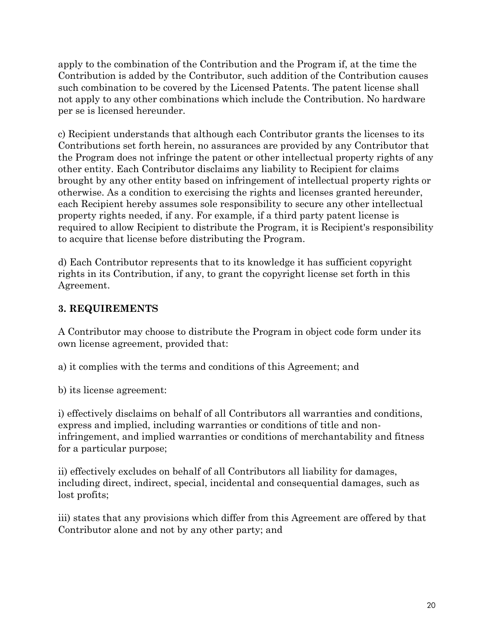apply to the combination of the Contribution and the Program if, at the time the Contribution is added by the Contributor, such addition of the Contribution causes such combination to be covered by the Licensed Patents. The patent license shall not apply to any other combinations which include the Contribution. No hardware per se is licensed hereunder.

c) Recipient understands that although each Contributor grants the licenses to its Contributions set forth herein, no assurances are provided by any Contributor that the Program does not infringe the patent or other intellectual property rights of any other entity. Each Contributor disclaims any liability to Recipient for claims brought by any other entity based on infringement of intellectual property rights or otherwise. As a condition to exercising the rights and licenses granted hereunder, each Recipient hereby assumes sole responsibility to secure any other intellectual property rights needed, if any. For example, if a third party patent license is required to allow Recipient to distribute the Program, it is Recipient's responsibility to acquire that license before distributing the Program.

d) Each Contributor represents that to its knowledge it has sufficient copyright rights in its Contribution, if any, to grant the copyright license set forth in this Agreement.

### **3. REQUIREMENTS**

A Contributor may choose to distribute the Program in object code form under its own license agreement, provided that:

a) it complies with the terms and conditions of this Agreement; and

b) its license agreement:

i) effectively disclaims on behalf of all Contributors all warranties and conditions, express and implied, including warranties or conditions of title and noninfringement, and implied warranties or conditions of merchantability and fitness for a particular purpose;

ii) effectively excludes on behalf of all Contributors all liability for damages, including direct, indirect, special, incidental and consequential damages, such as lost profits;

iii) states that any provisions which differ from this Agreement are offered by that Contributor alone and not by any other party; and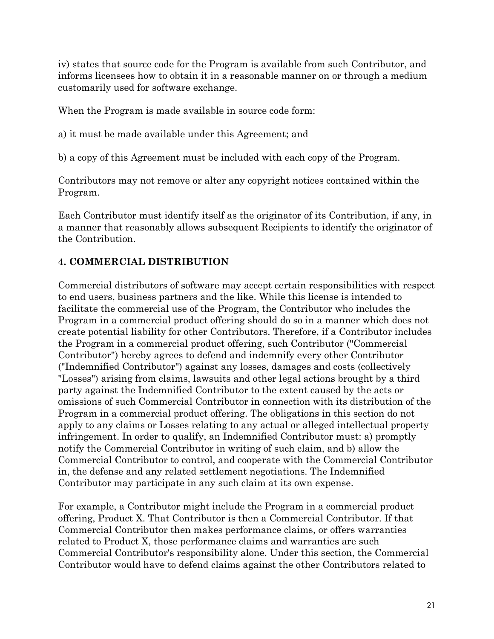iv) states that source code for the Program is available from such Contributor, and informs licensees how to obtain it in a reasonable manner on or through a medium customarily used for software exchange.

When the Program is made available in source code form:

a) it must be made available under this Agreement; and

b) a copy of this Agreement must be included with each copy of the Program.

Contributors may not remove or alter any copyright notices contained within the Program.

Each Contributor must identify itself as the originator of its Contribution, if any, in a manner that reasonably allows subsequent Recipients to identify the originator of the Contribution.

## **4. COMMERCIAL DISTRIBUTION**

Commercial distributors of software may accept certain responsibilities with respect to end users, business partners and the like. While this license is intended to facilitate the commercial use of the Program, the Contributor who includes the Program in a commercial product offering should do so in a manner which does not create potential liability for other Contributors. Therefore, if a Contributor includes the Program in a commercial product offering, such Contributor ("Commercial Contributor") hereby agrees to defend and indemnify every other Contributor ("Indemnified Contributor") against any losses, damages and costs (collectively "Losses") arising from claims, lawsuits and other legal actions brought by a third party against the Indemnified Contributor to the extent caused by the acts or omissions of such Commercial Contributor in connection with its distribution of the Program in a commercial product offering. The obligations in this section do not apply to any claims or Losses relating to any actual or alleged intellectual property infringement. In order to qualify, an Indemnified Contributor must: a) promptly notify the Commercial Contributor in writing of such claim, and b) allow the Commercial Contributor to control, and cooperate with the Commercial Contributor in, the defense and any related settlement negotiations. The Indemnified Contributor may participate in any such claim at its own expense.

For example, a Contributor might include the Program in a commercial product offering, Product X. That Contributor is then a Commercial Contributor. If that Commercial Contributor then makes performance claims, or offers warranties related to Product X, those performance claims and warranties are such Commercial Contributor's responsibility alone. Under this section, the Commercial Contributor would have to defend claims against the other Contributors related to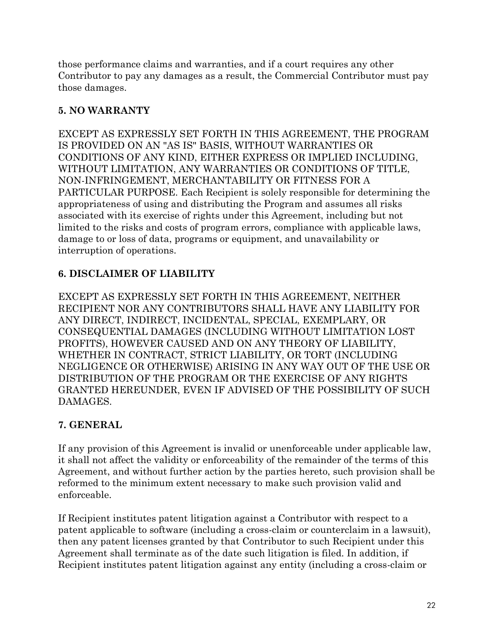those performance claims and warranties, and if a court requires any other Contributor to pay any damages as a result, the Commercial Contributor must pay those damages.

### **5. NO WARRANTY**

EXCEPT AS EXPRESSLY SET FORTH IN THIS AGREEMENT, THE PROGRAM IS PROVIDED ON AN "AS IS" BASIS, WITHOUT WARRANTIES OR CONDITIONS OF ANY KIND, EITHER EXPRESS OR IMPLIED INCLUDING, WITHOUT LIMITATION, ANY WARRANTIES OR CONDITIONS OF TITLE, NON-INFRINGEMENT, MERCHANTABILITY OR FITNESS FOR A PARTICULAR PURPOSE. Each Recipient is solely responsible for determining the appropriateness of using and distributing the Program and assumes all risks associated with its exercise of rights under this Agreement, including but not limited to the risks and costs of program errors, compliance with applicable laws, damage to or loss of data, programs or equipment, and unavailability or interruption of operations.

### **6. DISCLAIMER OF LIABILITY**

EXCEPT AS EXPRESSLY SET FORTH IN THIS AGREEMENT, NEITHER RECIPIENT NOR ANY CONTRIBUTORS SHALL HAVE ANY LIABILITY FOR ANY DIRECT, INDIRECT, INCIDENTAL, SPECIAL, EXEMPLARY, OR CONSEQUENTIAL DAMAGES (INCLUDING WITHOUT LIMITATION LOST PROFITS), HOWEVER CAUSED AND ON ANY THEORY OF LIABILITY, WHETHER IN CONTRACT, STRICT LIABILITY, OR TORT (INCLUDING NEGLIGENCE OR OTHERWISE) ARISING IN ANY WAY OUT OF THE USE OR DISTRIBUTION OF THE PROGRAM OR THE EXERCISE OF ANY RIGHTS GRANTED HEREUNDER, EVEN IF ADVISED OF THE POSSIBILITY OF SUCH DAMAGES.

### **7. GENERAL**

If any provision of this Agreement is invalid or unenforceable under applicable law, it shall not affect the validity or enforceability of the remainder of the terms of this Agreement, and without further action by the parties hereto, such provision shall be reformed to the minimum extent necessary to make such provision valid and enforceable.

If Recipient institutes patent litigation against a Contributor with respect to a patent applicable to software (including a cross-claim or counterclaim in a lawsuit), then any patent licenses granted by that Contributor to such Recipient under this Agreement shall terminate as of the date such litigation is filed. In addition, if Recipient institutes patent litigation against any entity (including a cross-claim or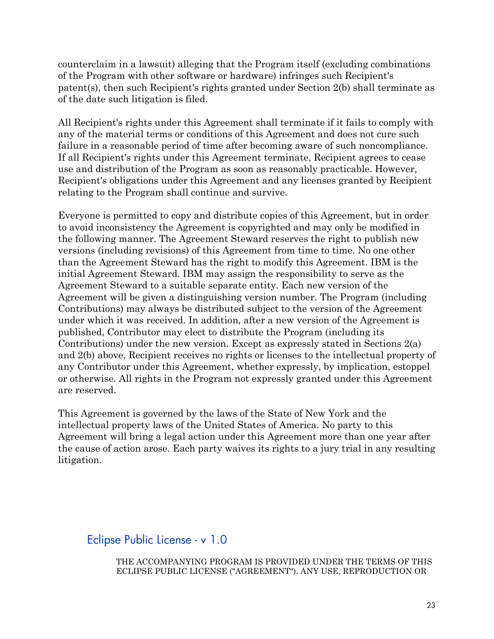counterclaim in a lawsuit) alleging that the Program itself (excluding combinations of the Program with other software or hardware) infringes such Recipient's patent(s), then such Recipient's rights granted under Section 2(b) shall terminate as of the date such litigation is filed.

All Recipient's rights under this Agreement shall terminate if it fails to comply with any of the material terms or conditions of this Agreement and does not cure such failure in a reasonable period of time after becoming aware of such noncompliance. If all Recipient's rights under this Agreement terminate, Recipient agrees to cease use and distribution of the Program as soon as reasonably practicable. However, Recipient's obligations under this Agreement and any licenses granted by Recipient relating to the Program shall continue and survive.

Everyone is permitted to copy and distribute copies of this Agreement, but in order to avoid inconsistency the Agreement is copyrighted and may only be modified in the following manner. The Agreement Steward reserves the right to publish new versions (including revisions) of this Agreement from time to time. No one other than the Agreement Steward has the right to modify this Agreement. IBM is the initial Agreement Steward. IBM may assign the responsibility to serve as the Agreement Steward to a suitable separate entity. Each new version of the Agreement will be given a distinguishing version number. The Program (including Contributions) may always be distributed subject to the version of the Agreement under which it was received. In addition, after a new version of the Agreement is published, Contributor may elect to distribute the Program (including its Contributions) under the new version. Except as expressly stated in Sections 2(a) and 2(b) above, Recipient receives no rights or licenses to the intellectual property of any Contributor under this Agreement, whether expressly, by implication, estoppel or otherwise. All rights in the Program not expressly granted under this Agreement are reserved.

This Agreement is governed by the laws of the State of New York and the intellectual property laws of the United States of America. No party to this Agreement will bring a legal action under this Agreement more than one year after the cause of action arose. Each party waives its rights to a jury trial in any resulting litigation.

### <span id="page-22-0"></span>Eclipse Public License - v 1.0

THE ACCOMPANYING PROGRAM IS PROVIDED UNDER THE TERMS OF THIS ECLIPSE PUBLIC LICENSE ("AGREEMENT"). ANY USE, REPRODUCTION OR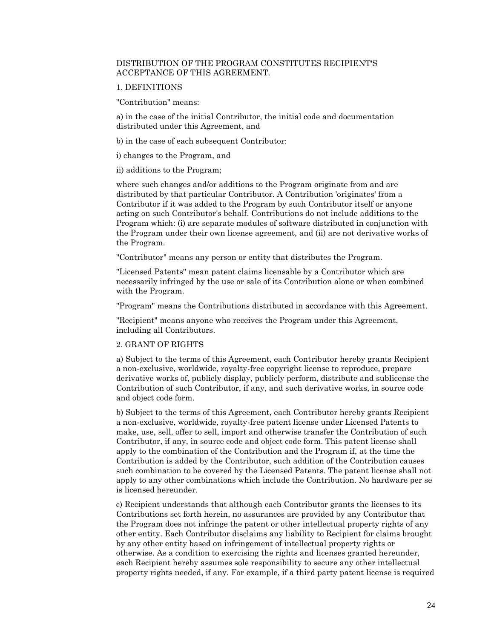#### DISTRIBUTION OF THE PROGRAM CONSTITUTES RECIPIENT'S ACCEPTANCE OF THIS AGREEMENT.

#### 1. DEFINITIONS

"Contribution" means:

a) in the case of the initial Contributor, the initial code and documentation distributed under this Agreement, and

b) in the case of each subsequent Contributor:

i) changes to the Program, and

ii) additions to the Program;

where such changes and/or additions to the Program originate from and are distributed by that particular Contributor. A Contribution 'originates' from a Contributor if it was added to the Program by such Contributor itself or anyone acting on such Contributor's behalf. Contributions do not include additions to the Program which: (i) are separate modules of software distributed in conjunction with the Program under their own license agreement, and (ii) are not derivative works of the Program.

"Contributor" means any person or entity that distributes the Program.

"Licensed Patents" mean patent claims licensable by a Contributor which are necessarily infringed by the use or sale of its Contribution alone or when combined with the Program.

"Program" means the Contributions distributed in accordance with this Agreement.

"Recipient" means anyone who receives the Program under this Agreement, including all Contributors.

#### 2. GRANT OF RIGHTS

a) Subject to the terms of this Agreement, each Contributor hereby grants Recipient a non-exclusive, worldwide, royalty-free copyright license to reproduce, prepare derivative works of, publicly display, publicly perform, distribute and sublicense the Contribution of such Contributor, if any, and such derivative works, in source code and object code form.

b) Subject to the terms of this Agreement, each Contributor hereby grants Recipient a non-exclusive, worldwide, royalty-free patent license under Licensed Patents to make, use, sell, offer to sell, import and otherwise transfer the Contribution of such Contributor, if any, in source code and object code form. This patent license shall apply to the combination of the Contribution and the Program if, at the time the Contribution is added by the Contributor, such addition of the Contribution causes such combination to be covered by the Licensed Patents. The patent license shall not apply to any other combinations which include the Contribution. No hardware per se is licensed hereunder.

c) Recipient understands that although each Contributor grants the licenses to its Contributions set forth herein, no assurances are provided by any Contributor that the Program does not infringe the patent or other intellectual property rights of any other entity. Each Contributor disclaims any liability to Recipient for claims brought by any other entity based on infringement of intellectual property rights or otherwise. As a condition to exercising the rights and licenses granted hereunder, each Recipient hereby assumes sole responsibility to secure any other intellectual property rights needed, if any. For example, if a third party patent license is required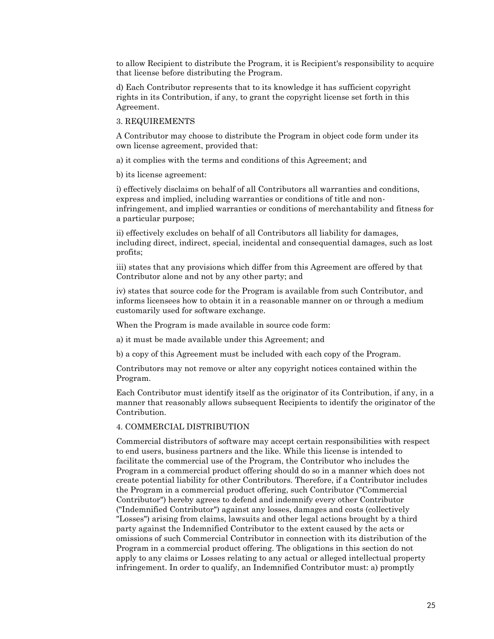to allow Recipient to distribute the Program, it is Recipient's responsibility to acquire that license before distributing the Program.

d) Each Contributor represents that to its knowledge it has sufficient copyright rights in its Contribution, if any, to grant the copyright license set forth in this Agreement.

#### 3. REQUIREMENTS

A Contributor may choose to distribute the Program in object code form under its own license agreement, provided that:

a) it complies with the terms and conditions of this Agreement; and

b) its license agreement:

i) effectively disclaims on behalf of all Contributors all warranties and conditions, express and implied, including warranties or conditions of title and noninfringement, and implied warranties or conditions of merchantability and fitness for a particular purpose;

ii) effectively excludes on behalf of all Contributors all liability for damages, including direct, indirect, special, incidental and consequential damages, such as lost profits;

iii) states that any provisions which differ from this Agreement are offered by that Contributor alone and not by any other party; and

iv) states that source code for the Program is available from such Contributor, and informs licensees how to obtain it in a reasonable manner on or through a medium customarily used for software exchange.

When the Program is made available in source code form:

a) it must be made available under this Agreement; and

b) a copy of this Agreement must be included with each copy of the Program.

Contributors may not remove or alter any copyright notices contained within the Program.

Each Contributor must identify itself as the originator of its Contribution, if any, in a manner that reasonably allows subsequent Recipients to identify the originator of the Contribution.

#### 4. COMMERCIAL DISTRIBUTION

Commercial distributors of software may accept certain responsibilities with respect to end users, business partners and the like. While this license is intended to facilitate the commercial use of the Program, the Contributor who includes the Program in a commercial product offering should do so in a manner which does not create potential liability for other Contributors. Therefore, if a Contributor includes the Program in a commercial product offering, such Contributor ("Commercial Contributor") hereby agrees to defend and indemnify every other Contributor ("Indemnified Contributor") against any losses, damages and costs (collectively "Losses") arising from claims, lawsuits and other legal actions brought by a third party against the Indemnified Contributor to the extent caused by the acts or omissions of such Commercial Contributor in connection with its distribution of the Program in a commercial product offering. The obligations in this section do not apply to any claims or Losses relating to any actual or alleged intellectual property infringement. In order to qualify, an Indemnified Contributor must: a) promptly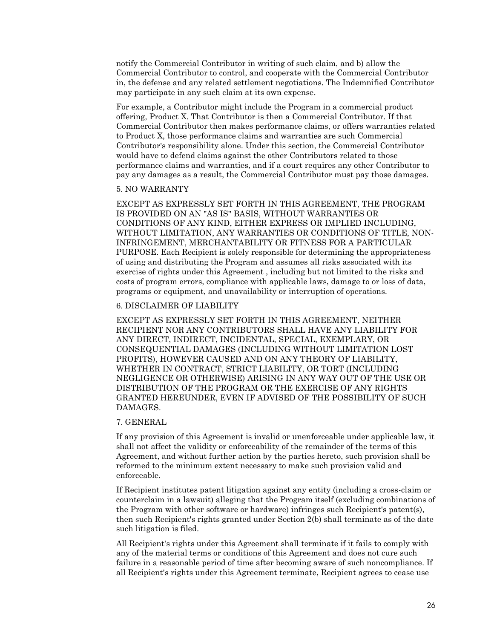notify the Commercial Contributor in writing of such claim, and b) allow the Commercial Contributor to control, and cooperate with the Commercial Contributor in, the defense and any related settlement negotiations. The Indemnified Contributor may participate in any such claim at its own expense.

For example, a Contributor might include the Program in a commercial product offering, Product X. That Contributor is then a Commercial Contributor. If that Commercial Contributor then makes performance claims, or offers warranties related to Product X, those performance claims and warranties are such Commercial Contributor's responsibility alone. Under this section, the Commercial Contributor would have to defend claims against the other Contributors related to those performance claims and warranties, and if a court requires any other Contributor to pay any damages as a result, the Commercial Contributor must pay those damages.

#### 5. NO WARRANTY

EXCEPT AS EXPRESSLY SET FORTH IN THIS AGREEMENT, THE PROGRAM IS PROVIDED ON AN "AS IS" BASIS, WITHOUT WARRANTIES OR CONDITIONS OF ANY KIND, EITHER EXPRESS OR IMPLIED INCLUDING, WITHOUT LIMITATION, ANY WARRANTIES OR CONDITIONS OF TITLE, NON-INFRINGEMENT, MERCHANTABILITY OR FITNESS FOR A PARTICULAR PURPOSE. Each Recipient is solely responsible for determining the appropriateness of using and distributing the Program and assumes all risks associated with its exercise of rights under this Agreement , including but not limited to the risks and costs of program errors, compliance with applicable laws, damage to or loss of data, programs or equipment, and unavailability or interruption of operations.

#### 6. DISCLAIMER OF LIABILITY

EXCEPT AS EXPRESSLY SET FORTH IN THIS AGREEMENT, NEITHER RECIPIENT NOR ANY CONTRIBUTORS SHALL HAVE ANY LIABILITY FOR ANY DIRECT, INDIRECT, INCIDENTAL, SPECIAL, EXEMPLARY, OR CONSEQUENTIAL DAMAGES (INCLUDING WITHOUT LIMITATION LOST PROFITS), HOWEVER CAUSED AND ON ANY THEORY OF LIABILITY, WHETHER IN CONTRACT, STRICT LIABILITY, OR TORT (INCLUDING NEGLIGENCE OR OTHERWISE) ARISING IN ANY WAY OUT OF THE USE OR DISTRIBUTION OF THE PROGRAM OR THE EXERCISE OF ANY RIGHTS GRANTED HEREUNDER, EVEN IF ADVISED OF THE POSSIBILITY OF SUCH DAMAGES.

#### 7. GENERAL

If any provision of this Agreement is invalid or unenforceable under applicable law, it shall not affect the validity or enforceability of the remainder of the terms of this Agreement, and without further action by the parties hereto, such provision shall be reformed to the minimum extent necessary to make such provision valid and enforceable.

If Recipient institutes patent litigation against any entity (including a cross-claim or counterclaim in a lawsuit) alleging that the Program itself (excluding combinations of the Program with other software or hardware) infringes such Recipient's patent(s), then such Recipient's rights granted under Section 2(b) shall terminate as of the date such litigation is filed.

All Recipient's rights under this Agreement shall terminate if it fails to comply with any of the material terms or conditions of this Agreement and does not cure such failure in a reasonable period of time after becoming aware of such noncompliance. If all Recipient's rights under this Agreement terminate, Recipient agrees to cease use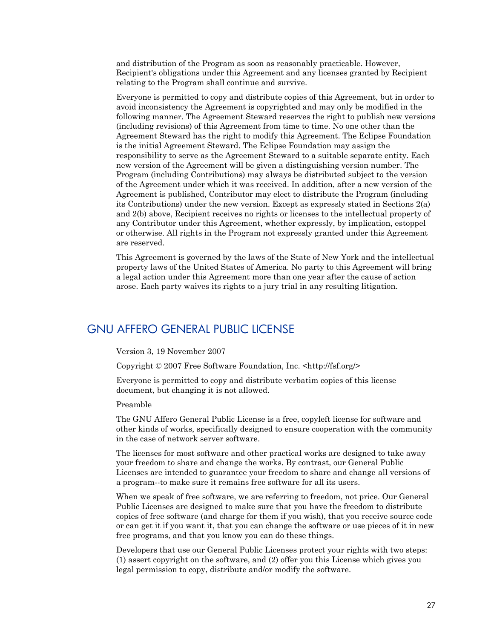and distribution of the Program as soon as reasonably practicable. However, Recipient's obligations under this Agreement and any licenses granted by Recipient relating to the Program shall continue and survive.

Everyone is permitted to copy and distribute copies of this Agreement, but in order to avoid inconsistency the Agreement is copyrighted and may only be modified in the following manner. The Agreement Steward reserves the right to publish new versions (including revisions) of this Agreement from time to time. No one other than the Agreement Steward has the right to modify this Agreement. The Eclipse Foundation is the initial Agreement Steward. The Eclipse Foundation may assign the responsibility to serve as the Agreement Steward to a suitable separate entity. Each new version of the Agreement will be given a distinguishing version number. The Program (including Contributions) may always be distributed subject to the version of the Agreement under which it was received. In addition, after a new version of the Agreement is published, Contributor may elect to distribute the Program (including its Contributions) under the new version. Except as expressly stated in Sections 2(a) and 2(b) above, Recipient receives no rights or licenses to the intellectual property of any Contributor under this Agreement, whether expressly, by implication, estoppel or otherwise. All rights in the Program not expressly granted under this Agreement are reserved.

This Agreement is governed by the laws of the State of New York and the intellectual property laws of the United States of America. No party to this Agreement will bring a legal action under this Agreement more than one year after the cause of action arose. Each party waives its rights to a jury trial in any resulting litigation.

### <span id="page-26-0"></span>GNU AFFERO GENERAL PUBLIC LICENSE

Version 3, 19 November 2007

Copyright © 2007 Free Software Foundation, Inc. <http://fsf.org/>

Everyone is permitted to copy and distribute verbatim copies of this license document, but changing it is not allowed.

Preamble

The GNU Affero General Public License is a free, copyleft license for software and other kinds of works, specifically designed to ensure cooperation with the community in the case of network server software.

The licenses for most software and other practical works are designed to take away your freedom to share and change the works. By contrast, our General Public Licenses are intended to guarantee your freedom to share and change all versions of a program--to make sure it remains free software for all its users.

When we speak of free software, we are referring to freedom, not price. Our General Public Licenses are designed to make sure that you have the freedom to distribute copies of free software (and charge for them if you wish), that you receive source code or can get it if you want it, that you can change the software or use pieces of it in new free programs, and that you know you can do these things.

Developers that use our General Public Licenses protect your rights with two steps: (1) assert copyright on the software, and (2) offer you this License which gives you legal permission to copy, distribute and/or modify the software.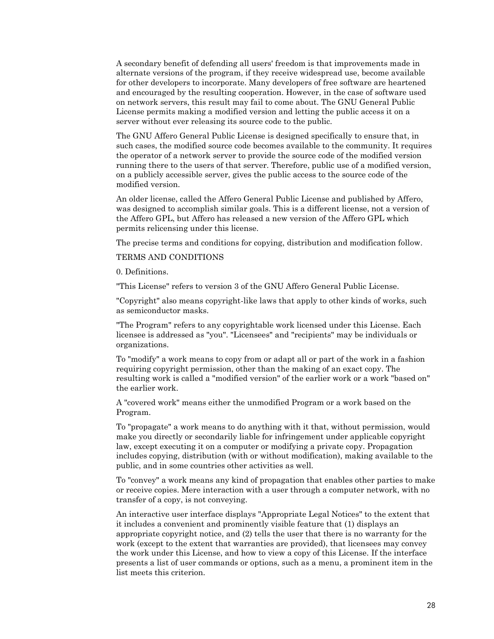A secondary benefit of defending all users' freedom is that improvements made in alternate versions of the program, if they receive widespread use, become available for other developers to incorporate. Many developers of free software are heartened and encouraged by the resulting cooperation. However, in the case of software used on network servers, this result may fail to come about. The GNU General Public License permits making a modified version and letting the public access it on a server without ever releasing its source code to the public.

The GNU Affero General Public License is designed specifically to ensure that, in such cases, the modified source code becomes available to the community. It requires the operator of a network server to provide the source code of the modified version running there to the users of that server. Therefore, public use of a modified version, on a publicly accessible server, gives the public access to the source code of the modified version.

An older license, called the Affero General Public License and published by Affero, was designed to accomplish similar goals. This is a different license, not a version of the Affero GPL, but Affero has released a new version of the Affero GPL which permits relicensing under this license.

The precise terms and conditions for copying, distribution and modification follow.

TERMS AND CONDITIONS

0. Definitions.

"This License" refers to version 3 of the GNU Affero General Public License.

"Copyright" also means copyright-like laws that apply to other kinds of works, such as semiconductor masks.

"The Program" refers to any copyrightable work licensed under this License. Each licensee is addressed as "you". "Licensees" and "recipients" may be individuals or organizations.

To "modify" a work means to copy from or adapt all or part of the work in a fashion requiring copyright permission, other than the making of an exact copy. The resulting work is called a "modified version" of the earlier work or a work "based on" the earlier work.

A "covered work" means either the unmodified Program or a work based on the Program.

To "propagate" a work means to do anything with it that, without permission, would make you directly or secondarily liable for infringement under applicable copyright law, except executing it on a computer or modifying a private copy. Propagation includes copying, distribution (with or without modification), making available to the public, and in some countries other activities as well.

To "convey" a work means any kind of propagation that enables other parties to make or receive copies. Mere interaction with a user through a computer network, with no transfer of a copy, is not conveying.

An interactive user interface displays "Appropriate Legal Notices" to the extent that it includes a convenient and prominently visible feature that (1) displays an appropriate copyright notice, and (2) tells the user that there is no warranty for the work (except to the extent that warranties are provided), that licensees may convey the work under this License, and how to view a copy of this License. If the interface presents a list of user commands or options, such as a menu, a prominent item in the list meets this criterion.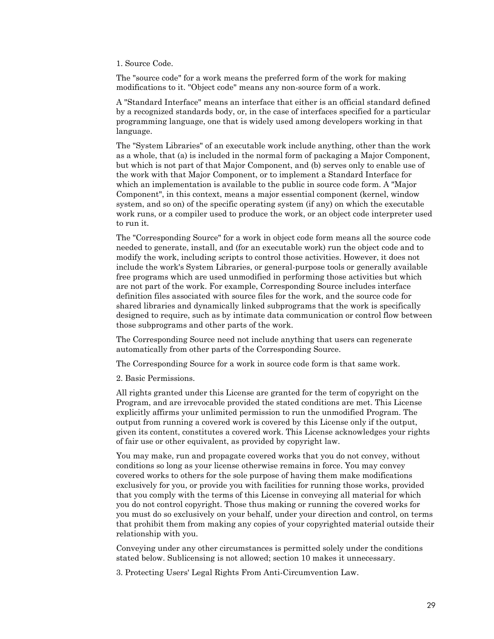#### 1. Source Code.

The "source code" for a work means the preferred form of the work for making modifications to it. "Object code" means any non-source form of a work.

A "Standard Interface" means an interface that either is an official standard defined by a recognized standards body, or, in the case of interfaces specified for a particular programming language, one that is widely used among developers working in that language.

The "System Libraries" of an executable work include anything, other than the work as a whole, that (a) is included in the normal form of packaging a Major Component, but which is not part of that Major Component, and (b) serves only to enable use of the work with that Major Component, or to implement a Standard Interface for which an implementation is available to the public in source code form. A "Major Component", in this context, means a major essential component (kernel, window system, and so on) of the specific operating system (if any) on which the executable work runs, or a compiler used to produce the work, or an object code interpreter used to run it.

The "Corresponding Source" for a work in object code form means all the source code needed to generate, install, and (for an executable work) run the object code and to modify the work, including scripts to control those activities. However, it does not include the work's System Libraries, or general-purpose tools or generally available free programs which are used unmodified in performing those activities but which are not part of the work. For example, Corresponding Source includes interface definition files associated with source files for the work, and the source code for shared libraries and dynamically linked subprograms that the work is specifically designed to require, such as by intimate data communication or control flow between those subprograms and other parts of the work.

The Corresponding Source need not include anything that users can regenerate automatically from other parts of the Corresponding Source.

The Corresponding Source for a work in source code form is that same work.

2. Basic Permissions.

All rights granted under this License are granted for the term of copyright on the Program, and are irrevocable provided the stated conditions are met. This License explicitly affirms your unlimited permission to run the unmodified Program. The output from running a covered work is covered by this License only if the output, given its content, constitutes a covered work. This License acknowledges your rights of fair use or other equivalent, as provided by copyright law.

You may make, run and propagate covered works that you do not convey, without conditions so long as your license otherwise remains in force. You may convey covered works to others for the sole purpose of having them make modifications exclusively for you, or provide you with facilities for running those works, provided that you comply with the terms of this License in conveying all material for which you do not control copyright. Those thus making or running the covered works for you must do so exclusively on your behalf, under your direction and control, on terms that prohibit them from making any copies of your copyrighted material outside their relationship with you.

Conveying under any other circumstances is permitted solely under the conditions stated below. Sublicensing is not allowed; section 10 makes it unnecessary.

3. Protecting Users' Legal Rights From Anti-Circumvention Law.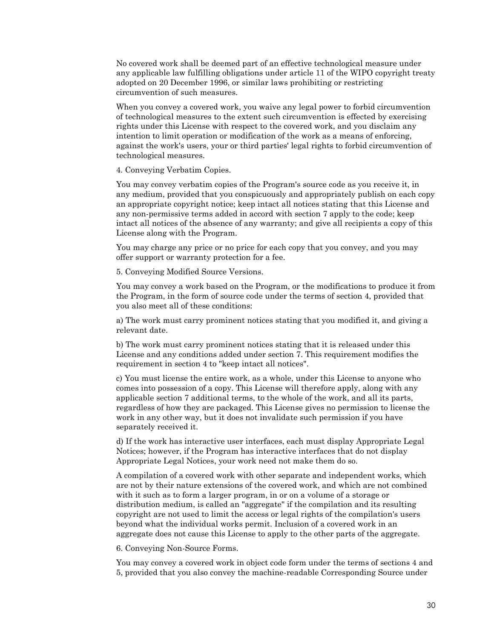No covered work shall be deemed part of an effective technological measure under any applicable law fulfilling obligations under article 11 of the WIPO copyright treaty adopted on 20 December 1996, or similar laws prohibiting or restricting circumvention of such measures.

When you convey a covered work, you waive any legal power to forbid circumvention of technological measures to the extent such circumvention is effected by exercising rights under this License with respect to the covered work, and you disclaim any intention to limit operation or modification of the work as a means of enforcing, against the work's users, your or third parties' legal rights to forbid circumvention of technological measures.

4. Conveying Verbatim Copies.

You may convey verbatim copies of the Program's source code as you receive it, in any medium, provided that you conspicuously and appropriately publish on each copy an appropriate copyright notice; keep intact all notices stating that this License and any non-permissive terms added in accord with section 7 apply to the code; keep intact all notices of the absence of any warranty; and give all recipients a copy of this License along with the Program.

You may charge any price or no price for each copy that you convey, and you may offer support or warranty protection for a fee.

5. Conveying Modified Source Versions.

You may convey a work based on the Program, or the modifications to produce it from the Program, in the form of source code under the terms of section 4, provided that you also meet all of these conditions:

a) The work must carry prominent notices stating that you modified it, and giving a relevant date.

b) The work must carry prominent notices stating that it is released under this License and any conditions added under section 7. This requirement modifies the requirement in section 4 to "keep intact all notices".

c) You must license the entire work, as a whole, under this License to anyone who comes into possession of a copy. This License will therefore apply, along with any applicable section 7 additional terms, to the whole of the work, and all its parts, regardless of how they are packaged. This License gives no permission to license the work in any other way, but it does not invalidate such permission if you have separately received it.

d) If the work has interactive user interfaces, each must display Appropriate Legal Notices; however, if the Program has interactive interfaces that do not display Appropriate Legal Notices, your work need not make them do so.

A compilation of a covered work with other separate and independent works, which are not by their nature extensions of the covered work, and which are not combined with it such as to form a larger program, in or on a volume of a storage or distribution medium, is called an "aggregate" if the compilation and its resulting copyright are not used to limit the access or legal rights of the compilation's users beyond what the individual works permit. Inclusion of a covered work in an aggregate does not cause this License to apply to the other parts of the aggregate.

6. Conveying Non-Source Forms.

You may convey a covered work in object code form under the terms of sections 4 and 5, provided that you also convey the machine-readable Corresponding Source under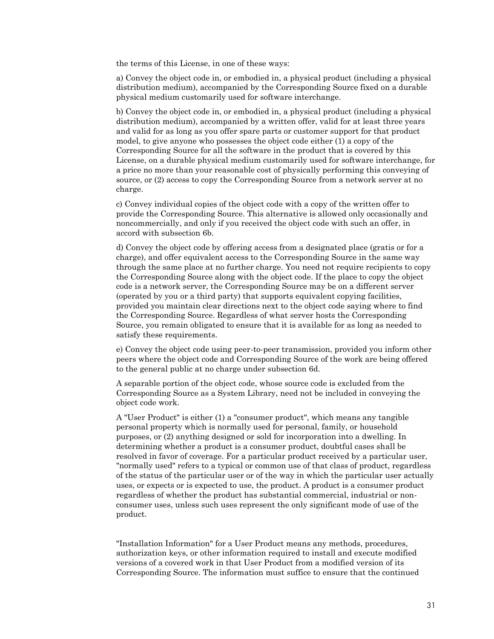the terms of this License, in one of these ways:

a) Convey the object code in, or embodied in, a physical product (including a physical distribution medium), accompanied by the Corresponding Source fixed on a durable physical medium customarily used for software interchange.

b) Convey the object code in, or embodied in, a physical product (including a physical distribution medium), accompanied by a written offer, valid for at least three years and valid for as long as you offer spare parts or customer support for that product model, to give anyone who possesses the object code either (1) a copy of the Corresponding Source for all the software in the product that is covered by this License, on a durable physical medium customarily used for software interchange, for a price no more than your reasonable cost of physically performing this conveying of source, or (2) access to copy the Corresponding Source from a network server at no charge.

c) Convey individual copies of the object code with a copy of the written offer to provide the Corresponding Source. This alternative is allowed only occasionally and noncommercially, and only if you received the object code with such an offer, in accord with subsection 6b.

d) Convey the object code by offering access from a designated place (gratis or for a charge), and offer equivalent access to the Corresponding Source in the same way through the same place at no further charge. You need not require recipients to copy the Corresponding Source along with the object code. If the place to copy the object code is a network server, the Corresponding Source may be on a different server (operated by you or a third party) that supports equivalent copying facilities, provided you maintain clear directions next to the object code saying where to find the Corresponding Source. Regardless of what server hosts the Corresponding Source, you remain obligated to ensure that it is available for as long as needed to satisfy these requirements.

e) Convey the object code using peer-to-peer transmission, provided you inform other peers where the object code and Corresponding Source of the work are being offered to the general public at no charge under subsection 6d.

A separable portion of the object code, whose source code is excluded from the Corresponding Source as a System Library, need not be included in conveying the object code work.

A "User Product" is either (1) a "consumer product", which means any tangible personal property which is normally used for personal, family, or household purposes, or (2) anything designed or sold for incorporation into a dwelling. In determining whether a product is a consumer product, doubtful cases shall be resolved in favor of coverage. For a particular product received by a particular user, "normally used" refers to a typical or common use of that class of product, regardless of the status of the particular user or of the way in which the particular user actually uses, or expects or is expected to use, the product. A product is a consumer product regardless of whether the product has substantial commercial, industrial or nonconsumer uses, unless such uses represent the only significant mode of use of the product.

"Installation Information" for a User Product means any methods, procedures, authorization keys, or other information required to install and execute modified versions of a covered work in that User Product from a modified version of its Corresponding Source. The information must suffice to ensure that the continued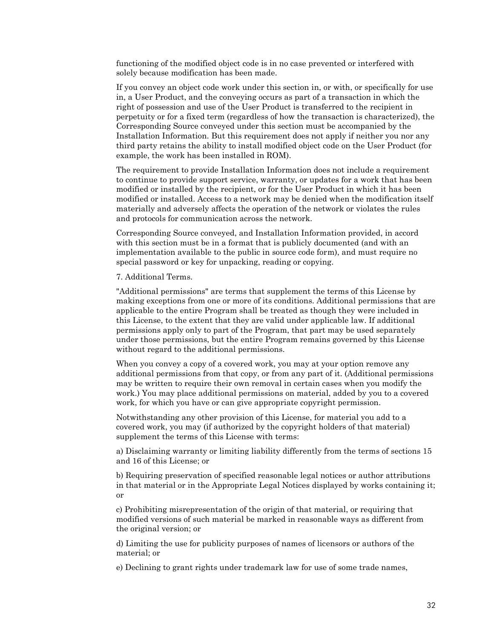functioning of the modified object code is in no case prevented or interfered with solely because modification has been made.

If you convey an object code work under this section in, or with, or specifically for use in, a User Product, and the conveying occurs as part of a transaction in which the right of possession and use of the User Product is transferred to the recipient in perpetuity or for a fixed term (regardless of how the transaction is characterized), the Corresponding Source conveyed under this section must be accompanied by the Installation Information. But this requirement does not apply if neither you nor any third party retains the ability to install modified object code on the User Product (for example, the work has been installed in ROM).

The requirement to provide Installation Information does not include a requirement to continue to provide support service, warranty, or updates for a work that has been modified or installed by the recipient, or for the User Product in which it has been modified or installed. Access to a network may be denied when the modification itself materially and adversely affects the operation of the network or violates the rules and protocols for communication across the network.

Corresponding Source conveyed, and Installation Information provided, in accord with this section must be in a format that is publicly documented (and with an implementation available to the public in source code form), and must require no special password or key for unpacking, reading or copying.

7. Additional Terms.

"Additional permissions" are terms that supplement the terms of this License by making exceptions from one or more of its conditions. Additional permissions that are applicable to the entire Program shall be treated as though they were included in this License, to the extent that they are valid under applicable law. If additional permissions apply only to part of the Program, that part may be used separately under those permissions, but the entire Program remains governed by this License without regard to the additional permissions.

When you convey a copy of a covered work, you may at your option remove any additional permissions from that copy, or from any part of it. (Additional permissions may be written to require their own removal in certain cases when you modify the work.) You may place additional permissions on material, added by you to a covered work, for which you have or can give appropriate copyright permission.

Notwithstanding any other provision of this License, for material you add to a covered work, you may (if authorized by the copyright holders of that material) supplement the terms of this License with terms:

a) Disclaiming warranty or limiting liability differently from the terms of sections 15 and 16 of this License; or

b) Requiring preservation of specified reasonable legal notices or author attributions in that material or in the Appropriate Legal Notices displayed by works containing it; or

c) Prohibiting misrepresentation of the origin of that material, or requiring that modified versions of such material be marked in reasonable ways as different from the original version; or

d) Limiting the use for publicity purposes of names of licensors or authors of the material; or

e) Declining to grant rights under trademark law for use of some trade names,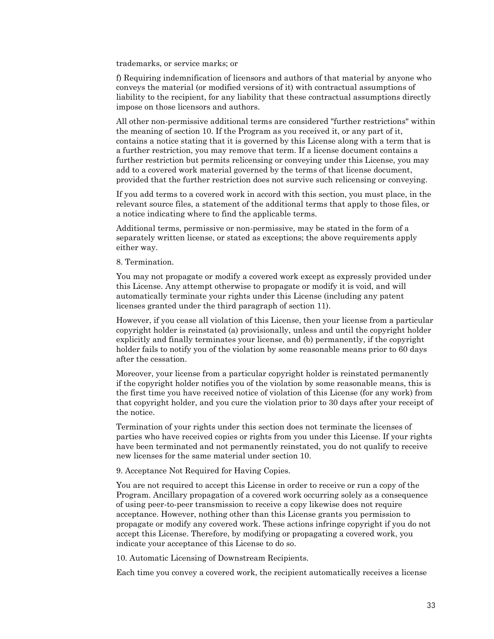trademarks, or service marks; or

f) Requiring indemnification of licensors and authors of that material by anyone who conveys the material (or modified versions of it) with contractual assumptions of liability to the recipient, for any liability that these contractual assumptions directly impose on those licensors and authors.

All other non-permissive additional terms are considered "further restrictions" within the meaning of section 10. If the Program as you received it, or any part of it, contains a notice stating that it is governed by this License along with a term that is a further restriction, you may remove that term. If a license document contains a further restriction but permits relicensing or conveying under this License, you may add to a covered work material governed by the terms of that license document, provided that the further restriction does not survive such relicensing or conveying.

If you add terms to a covered work in accord with this section, you must place, in the relevant source files, a statement of the additional terms that apply to those files, or a notice indicating where to find the applicable terms.

Additional terms, permissive or non-permissive, may be stated in the form of a separately written license, or stated as exceptions; the above requirements apply either way.

8. Termination.

You may not propagate or modify a covered work except as expressly provided under this License. Any attempt otherwise to propagate or modify it is void, and will automatically terminate your rights under this License (including any patent licenses granted under the third paragraph of section 11).

However, if you cease all violation of this License, then your license from a particular copyright holder is reinstated (a) provisionally, unless and until the copyright holder explicitly and finally terminates your license, and (b) permanently, if the copyright holder fails to notify you of the violation by some reasonable means prior to 60 days after the cessation.

Moreover, your license from a particular copyright holder is reinstated permanently if the copyright holder notifies you of the violation by some reasonable means, this is the first time you have received notice of violation of this License (for any work) from that copyright holder, and you cure the violation prior to 30 days after your receipt of the notice.

Termination of your rights under this section does not terminate the licenses of parties who have received copies or rights from you under this License. If your rights have been terminated and not permanently reinstated, you do not qualify to receive new licenses for the same material under section 10.

9. Acceptance Not Required for Having Copies.

You are not required to accept this License in order to receive or run a copy of the Program. Ancillary propagation of a covered work occurring solely as a consequence of using peer-to-peer transmission to receive a copy likewise does not require acceptance. However, nothing other than this License grants you permission to propagate or modify any covered work. These actions infringe copyright if you do not accept this License. Therefore, by modifying or propagating a covered work, you indicate your acceptance of this License to do so.

10. Automatic Licensing of Downstream Recipients.

Each time you convey a covered work, the recipient automatically receives a license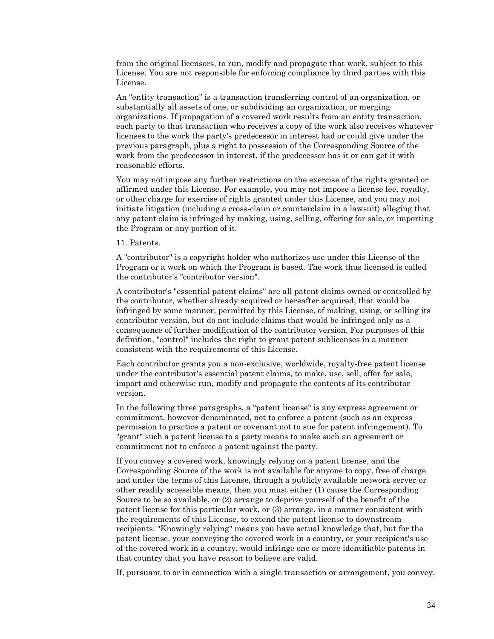from the original licensors, to run, modify and propagate that work, subject to this License. You are not responsible for enforcing compliance by third parties with this License.

An "entity transaction" is a transaction transferring control of an organization, or substantially all assets of one, or subdividing an organization, or merging organizations. If propagation of a covered work results from an entity transaction, each party to that transaction who receives a copy of the work also receives whatever licenses to the work the party's predecessor in interest had or could give under the previous paragraph, plus a right to possession of the Corresponding Source of the work from the predecessor in interest, if the predecessor has it or can get it with reasonable efforts.

You may not impose any further restrictions on the exercise of the rights granted or affirmed under this License. For example, you may not impose a license fee, royalty, or other charge for exercise of rights granted under this License, and you may not initiate litigation (including a cross-claim or counterclaim in a lawsuit) alleging that any patent claim is infringed by making, using, selling, offering for sale, or importing the Program or any portion of it.

11. Patents.

A "contributor" is a copyright holder who authorizes use under this License of the Program or a work on which the Program is based. The work thus licensed is called the contributor's "contributor version".

A contributor's "essential patent claims" are all patent claims owned or controlled by the contributor, whether already acquired or hereafter acquired, that would be infringed by some manner, permitted by this License, of making, using, or selling its contributor version, but do not include claims that would be infringed only as a consequence of further modification of the contributor version. For purposes of this definition, "control" includes the right to grant patent sublicenses in a manner consistent with the requirements of this License.

Each contributor grants you a non-exclusive, worldwide, royalty-free patent license under the contributor's essential patent claims, to make, use, sell, offer for sale, import and otherwise run, modify and propagate the contents of its contributor version.

In the following three paragraphs, a "patent license" is any express agreement or commitment, however denominated, not to enforce a patent (such as an express permission to practice a patent or covenant not to sue for patent infringement). To "grant" such a patent license to a party means to make such an agreement or commitment not to enforce a patent against the party.

If you convey a covered work, knowingly relying on a patent license, and the Corresponding Source of the work is not available for anyone to copy, free of charge and under the terms of this License, through a publicly available network server or other readily accessible means, then you must either (1) cause the Corresponding Source to be so available, or (2) arrange to deprive yourself of the benefit of the patent license for this particular work, or (3) arrange, in a manner consistent with the requirements of this License, to extend the patent license to downstream recipients. "Knowingly relying" means you have actual knowledge that, but for the patent license, your conveying the covered work in a country, or your recipient's use of the covered work in a country, would infringe one or more identifiable patents in that country that you have reason to believe are valid.

If, pursuant to or in connection with a single transaction or arrangement, you convey,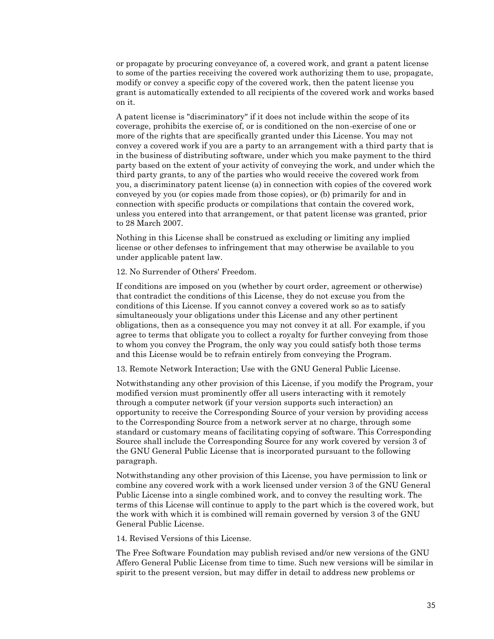or propagate by procuring conveyance of, a covered work, and grant a patent license to some of the parties receiving the covered work authorizing them to use, propagate, modify or convey a specific copy of the covered work, then the patent license you grant is automatically extended to all recipients of the covered work and works based on it.

A patent license is "discriminatory" if it does not include within the scope of its coverage, prohibits the exercise of, or is conditioned on the non-exercise of one or more of the rights that are specifically granted under this License. You may not convey a covered work if you are a party to an arrangement with a third party that is in the business of distributing software, under which you make payment to the third party based on the extent of your activity of conveying the work, and under which the third party grants, to any of the parties who would receive the covered work from you, a discriminatory patent license (a) in connection with copies of the covered work conveyed by you (or copies made from those copies), or (b) primarily for and in connection with specific products or compilations that contain the covered work, unless you entered into that arrangement, or that patent license was granted, prior to 28 March 2007.

Nothing in this License shall be construed as excluding or limiting any implied license or other defenses to infringement that may otherwise be available to you under applicable patent law.

12. No Surrender of Others' Freedom.

If conditions are imposed on you (whether by court order, agreement or otherwise) that contradict the conditions of this License, they do not excuse you from the conditions of this License. If you cannot convey a covered work so as to satisfy simultaneously your obligations under this License and any other pertinent obligations, then as a consequence you may not convey it at all. For example, if you agree to terms that obligate you to collect a royalty for further conveying from those to whom you convey the Program, the only way you could satisfy both those terms and this License would be to refrain entirely from conveying the Program.

13. Remote Network Interaction; Use with the GNU General Public License.

Notwithstanding any other provision of this License, if you modify the Program, your modified version must prominently offer all users interacting with it remotely through a computer network (if your version supports such interaction) an opportunity to receive the Corresponding Source of your version by providing access to the Corresponding Source from a network server at no charge, through some standard or customary means of facilitating copying of software. This Corresponding Source shall include the Corresponding Source for any work covered by version 3 of the GNU General Public License that is incorporated pursuant to the following paragraph.

Notwithstanding any other provision of this License, you have permission to link or combine any covered work with a work licensed under version 3 of the GNU General Public License into a single combined work, and to convey the resulting work. The terms of this License will continue to apply to the part which is the covered work, but the work with which it is combined will remain governed by version 3 of the GNU General Public License.

14. Revised Versions of this License.

The Free Software Foundation may publish revised and/or new versions of the GNU Affero General Public License from time to time. Such new versions will be similar in spirit to the present version, but may differ in detail to address new problems or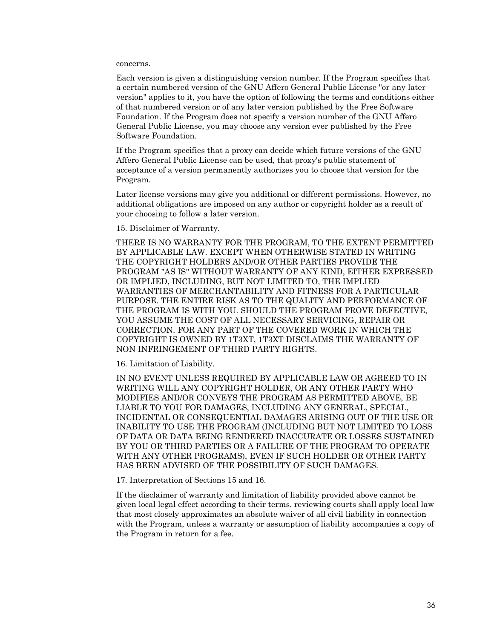#### concerns.

Each version is given a distinguishing version number. If the Program specifies that a certain numbered version of the GNU Affero General Public License "or any later version" applies to it, you have the option of following the terms and conditions either of that numbered version or of any later version published by the Free Software Foundation. If the Program does not specify a version number of the GNU Affero General Public License, you may choose any version ever published by the Free Software Foundation.

If the Program specifies that a proxy can decide which future versions of the GNU Affero General Public License can be used, that proxy's public statement of acceptance of a version permanently authorizes you to choose that version for the Program.

Later license versions may give you additional or different permissions. However, no additional obligations are imposed on any author or copyright holder as a result of your choosing to follow a later version.

15. Disclaimer of Warranty.

THERE IS NO WARRANTY FOR THE PROGRAM, TO THE EXTENT PERMITTED BY APPLICABLE LAW. EXCEPT WHEN OTHERWISE STATED IN WRITING THE COPYRIGHT HOLDERS AND/OR OTHER PARTIES PROVIDE THE PROGRAM "AS IS" WITHOUT WARRANTY OF ANY KIND, EITHER EXPRESSED OR IMPLIED, INCLUDING, BUT NOT LIMITED TO, THE IMPLIED WARRANTIES OF MERCHANTABILITY AND FITNESS FOR A PARTICULAR PURPOSE. THE ENTIRE RISK AS TO THE QUALITY AND PERFORMANCE OF THE PROGRAM IS WITH YOU. SHOULD THE PROGRAM PROVE DEFECTIVE, YOU ASSUME THE COST OF ALL NECESSARY SERVICING, REPAIR OR CORRECTION. FOR ANY PART OF THE COVERED WORK IN WHICH THE COPYRIGHT IS OWNED BY 1T3XT, 1T3XT DISCLAIMS THE WARRANTY OF NON INFRINGEMENT OF THIRD PARTY RIGHTS.

16. Limitation of Liability.

IN NO EVENT UNLESS REQUIRED BY APPLICABLE LAW OR AGREED TO IN WRITING WILL ANY COPYRIGHT HOLDER, OR ANY OTHER PARTY WHO MODIFIES AND/OR CONVEYS THE PROGRAM AS PERMITTED ABOVE, BE LIABLE TO YOU FOR DAMAGES, INCLUDING ANY GENERAL, SPECIAL, INCIDENTAL OR CONSEQUENTIAL DAMAGES ARISING OUT OF THE USE OR INABILITY TO USE THE PROGRAM (INCLUDING BUT NOT LIMITED TO LOSS OF DATA OR DATA BEING RENDERED INACCURATE OR LOSSES SUSTAINED BY YOU OR THIRD PARTIES OR A FAILURE OF THE PROGRAM TO OPERATE WITH ANY OTHER PROGRAMS), EVEN IF SUCH HOLDER OR OTHER PARTY HAS BEEN ADVISED OF THE POSSIBILITY OF SUCH DAMAGES.

17. Interpretation of Sections 15 and 16.

If the disclaimer of warranty and limitation of liability provided above cannot be given local legal effect according to their terms, reviewing courts shall apply local law that most closely approximates an absolute waiver of all civil liability in connection with the Program, unless a warranty or assumption of liability accompanies a copy of the Program in return for a fee.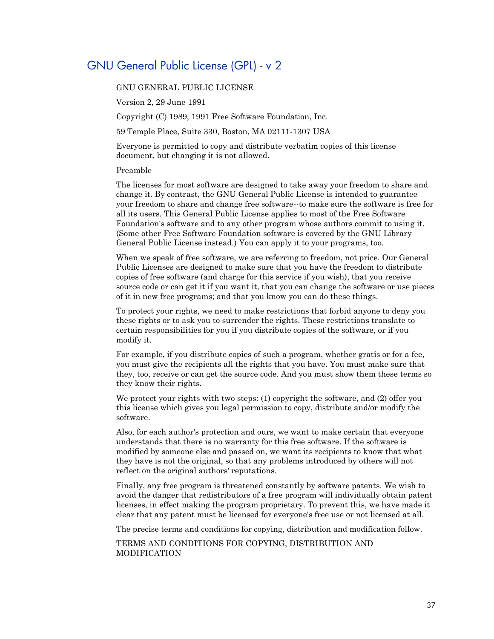# GNU General Public License (GPL) - v 2

## GNU GENERAL PUBLIC LICENSE

Version 2, 29 June 1991

Copyright (C) 1989, 1991 Free Software Foundation, Inc.

59 Temple Place, Suite 330, Boston, MA 02111-1307 USA

Everyone is permitted to copy and distribute verbatim copies of this license document, but changing it is not allowed.

#### Preamble

The licenses for most software are designed to take away your freedom to share and change it. By contrast, the GNU General Public License is intended to guarantee your freedom to share and change free software--to make sure the software is free for all its users. This General Public License applies to most of the Free Software Foundation's software and to any other program whose authors commit to using it. (Some other Free Software Foundation software is covered by the GNU Library General Public License instead.) You can apply it to your programs, too.

When we speak of free software, we are referring to freedom, not price. Our General Public Licenses are designed to make sure that you have the freedom to distribute copies of free software (and charge for this service if you wish), that you receive source code or can get it if you want it, that you can change the software or use pieces of it in new free programs; and that you know you can do these things.

To protect your rights, we need to make restrictions that forbid anyone to deny you these rights or to ask you to surrender the rights. These restrictions translate to certain responsibilities for you if you distribute copies of the software, or if you modify it.

For example, if you distribute copies of such a program, whether gratis or for a fee, you must give the recipients all the rights that you have. You must make sure that they, too, receive or can get the source code. And you must show them these terms so they know their rights.

We protect your rights with two steps: (1) copyright the software, and (2) offer you this license which gives you legal permission to copy, distribute and/or modify the software.

Also, for each author's protection and ours, we want to make certain that everyone understands that there is no warranty for this free software. If the software is modified by someone else and passed on, we want its recipients to know that what they have is not the original, so that any problems introduced by others will not reflect on the original authors' reputations.

Finally, any free program is threatened constantly by software patents. We wish to avoid the danger that redistributors of a free program will individually obtain patent licenses, in effect making the program proprietary. To prevent this, we have made it clear that any patent must be licensed for everyone's free use or not licensed at all.

The precise terms and conditions for copying, distribution and modification follow.

TERMS AND CONDITIONS FOR COPYING, DISTRIBUTION AND MODIFICATION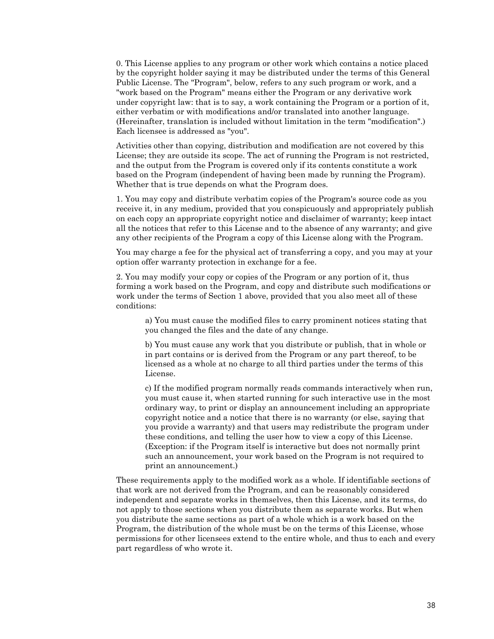0. This License applies to any program or other work which contains a notice placed by the copyright holder saying it may be distributed under the terms of this General Public License. The "Program", below, refers to any such program or work, and a "work based on the Program" means either the Program or any derivative work under copyright law: that is to say, a work containing the Program or a portion of it, either verbatim or with modifications and/or translated into another language. (Hereinafter, translation is included without limitation in the term "modification".) Each licensee is addressed as "you".

Activities other than copying, distribution and modification are not covered by this License; they are outside its scope. The act of running the Program is not restricted, and the output from the Program is covered only if its contents constitute a work based on the Program (independent of having been made by running the Program). Whether that is true depends on what the Program does.

1. You may copy and distribute verbatim copies of the Program's source code as you receive it, in any medium, provided that you conspicuously and appropriately publish on each copy an appropriate copyright notice and disclaimer of warranty; keep intact all the notices that refer to this License and to the absence of any warranty; and give any other recipients of the Program a copy of this License along with the Program.

You may charge a fee for the physical act of transferring a copy, and you may at your option offer warranty protection in exchange for a fee.

2. You may modify your copy or copies of the Program or any portion of it, thus forming a work based on the Program, and copy and distribute such modifications or work under the terms of Section 1 above, provided that you also meet all of these conditions:

a) You must cause the modified files to carry prominent notices stating that you changed the files and the date of any change.

b) You must cause any work that you distribute or publish, that in whole or in part contains or is derived from the Program or any part thereof, to be licensed as a whole at no charge to all third parties under the terms of this License.

c) If the modified program normally reads commands interactively when run, you must cause it, when started running for such interactive use in the most ordinary way, to print or display an announcement including an appropriate copyright notice and a notice that there is no warranty (or else, saying that you provide a warranty) and that users may redistribute the program under these conditions, and telling the user how to view a copy of this License. (Exception: if the Program itself is interactive but does not normally print such an announcement, your work based on the Program is not required to print an announcement.)

These requirements apply to the modified work as a whole. If identifiable sections of that work are not derived from the Program, and can be reasonably considered independent and separate works in themselves, then this License, and its terms, do not apply to those sections when you distribute them as separate works. But when you distribute the same sections as part of a whole which is a work based on the Program, the distribution of the whole must be on the terms of this License, whose permissions for other licensees extend to the entire whole, and thus to each and every part regardless of who wrote it.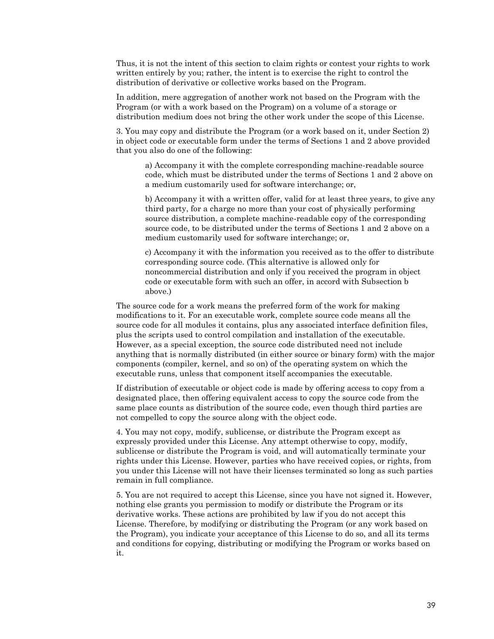Thus, it is not the intent of this section to claim rights or contest your rights to work written entirely by you; rather, the intent is to exercise the right to control the distribution of derivative or collective works based on the Program.

In addition, mere aggregation of another work not based on the Program with the Program (or with a work based on the Program) on a volume of a storage or distribution medium does not bring the other work under the scope of this License.

3. You may copy and distribute the Program (or a work based on it, under Section 2) in object code or executable form under the terms of Sections 1 and 2 above provided that you also do one of the following:

a) Accompany it with the complete corresponding machine-readable source code, which must be distributed under the terms of Sections 1 and 2 above on a medium customarily used for software interchange; or,

b) Accompany it with a written offer, valid for at least three years, to give any third party, for a charge no more than your cost of physically performing source distribution, a complete machine-readable copy of the corresponding source code, to be distributed under the terms of Sections 1 and 2 above on a medium customarily used for software interchange; or,

c) Accompany it with the information you received as to the offer to distribute corresponding source code. (This alternative is allowed only for noncommercial distribution and only if you received the program in object code or executable form with such an offer, in accord with Subsection b above.)

The source code for a work means the preferred form of the work for making modifications to it. For an executable work, complete source code means all the source code for all modules it contains, plus any associated interface definition files, plus the scripts used to control compilation and installation of the executable. However, as a special exception, the source code distributed need not include anything that is normally distributed (in either source or binary form) with the major components (compiler, kernel, and so on) of the operating system on which the executable runs, unless that component itself accompanies the executable.

If distribution of executable or object code is made by offering access to copy from a designated place, then offering equivalent access to copy the source code from the same place counts as distribution of the source code, even though third parties are not compelled to copy the source along with the object code.

4. You may not copy, modify, sublicense, or distribute the Program except as expressly provided under this License. Any attempt otherwise to copy, modify, sublicense or distribute the Program is void, and will automatically terminate your rights under this License. However, parties who have received copies, or rights, from you under this License will not have their licenses terminated so long as such parties remain in full compliance.

5. You are not required to accept this License, since you have not signed it. However, nothing else grants you permission to modify or distribute the Program or its derivative works. These actions are prohibited by law if you do not accept this License. Therefore, by modifying or distributing the Program (or any work based on the Program), you indicate your acceptance of this License to do so, and all its terms and conditions for copying, distributing or modifying the Program or works based on it.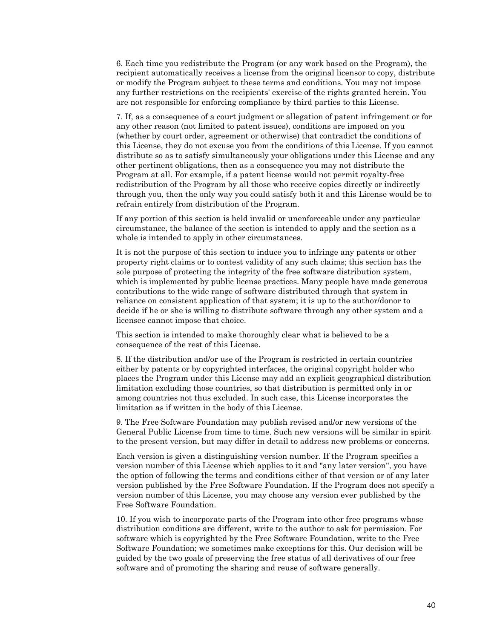6. Each time you redistribute the Program (or any work based on the Program), the recipient automatically receives a license from the original licensor to copy, distribute or modify the Program subject to these terms and conditions. You may not impose any further restrictions on the recipients' exercise of the rights granted herein. You are not responsible for enforcing compliance by third parties to this License.

7. If, as a consequence of a court judgment or allegation of patent infringement or for any other reason (not limited to patent issues), conditions are imposed on you (whether by court order, agreement or otherwise) that contradict the conditions of this License, they do not excuse you from the conditions of this License. If you cannot distribute so as to satisfy simultaneously your obligations under this License and any other pertinent obligations, then as a consequence you may not distribute the Program at all. For example, if a patent license would not permit royalty-free redistribution of the Program by all those who receive copies directly or indirectly through you, then the only way you could satisfy both it and this License would be to refrain entirely from distribution of the Program.

If any portion of this section is held invalid or unenforceable under any particular circumstance, the balance of the section is intended to apply and the section as a whole is intended to apply in other circumstances.

It is not the purpose of this section to induce you to infringe any patents or other property right claims or to contest validity of any such claims; this section has the sole purpose of protecting the integrity of the free software distribution system, which is implemented by public license practices. Many people have made generous contributions to the wide range of software distributed through that system in reliance on consistent application of that system; it is up to the author/donor to decide if he or she is willing to distribute software through any other system and a licensee cannot impose that choice.

This section is intended to make thoroughly clear what is believed to be a consequence of the rest of this License.

8. If the distribution and/or use of the Program is restricted in certain countries either by patents or by copyrighted interfaces, the original copyright holder who places the Program under this License may add an explicit geographical distribution limitation excluding those countries, so that distribution is permitted only in or among countries not thus excluded. In such case, this License incorporates the limitation as if written in the body of this License.

9. The Free Software Foundation may publish revised and/or new versions of the General Public License from time to time. Such new versions will be similar in spirit to the present version, but may differ in detail to address new problems or concerns.

Each version is given a distinguishing version number. If the Program specifies a version number of this License which applies to it and "any later version", you have the option of following the terms and conditions either of that version or of any later version published by the Free Software Foundation. If the Program does not specify a version number of this License, you may choose any version ever published by the Free Software Foundation.

10. If you wish to incorporate parts of the Program into other free programs whose distribution conditions are different, write to the author to ask for permission. For software which is copyrighted by the Free Software Foundation, write to the Free Software Foundation; we sometimes make exceptions for this. Our decision will be guided by the two goals of preserving the free status of all derivatives of our free software and of promoting the sharing and reuse of software generally.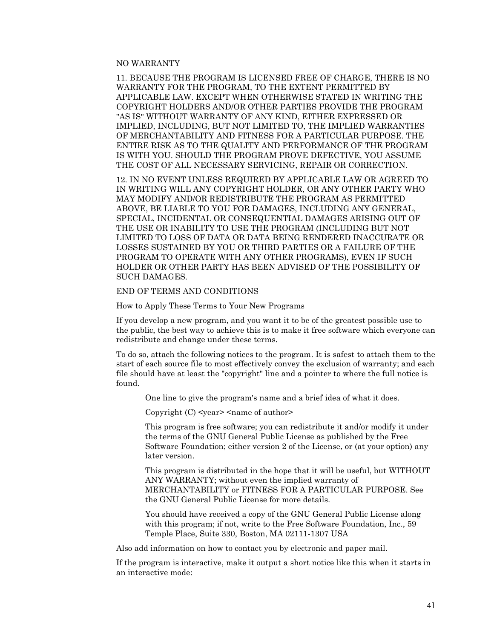# NO WARRANTY

11. BECAUSE THE PROGRAM IS LICENSED FREE OF CHARGE, THERE IS NO WARRANTY FOR THE PROGRAM, TO THE EXTENT PERMITTED BY APPLICABLE LAW. EXCEPT WHEN OTHERWISE STATED IN WRITING THE COPYRIGHT HOLDERS AND/OR OTHER PARTIES PROVIDE THE PROGRAM "AS IS" WITHOUT WARRANTY OF ANY KIND, EITHER EXPRESSED OR IMPLIED, INCLUDING, BUT NOT LIMITED TO, THE IMPLIED WARRANTIES OF MERCHANTABILITY AND FITNESS FOR A PARTICULAR PURPOSE. THE ENTIRE RISK AS TO THE QUALITY AND PERFORMANCE OF THE PROGRAM IS WITH YOU. SHOULD THE PROGRAM PROVE DEFECTIVE, YOU ASSUME THE COST OF ALL NECESSARY SERVICING, REPAIR OR CORRECTION.

12. IN NO EVENT UNLESS REQUIRED BY APPLICABLE LAW OR AGREED TO IN WRITING WILL ANY COPYRIGHT HOLDER, OR ANY OTHER PARTY WHO MAY MODIFY AND/OR REDISTRIBUTE THE PROGRAM AS PERMITTED ABOVE, BE LIABLE TO YOU FOR DAMAGES, INCLUDING ANY GENERAL, SPECIAL, INCIDENTAL OR CONSEQUENTIAL DAMAGES ARISING OUT OF THE USE OR INABILITY TO USE THE PROGRAM (INCLUDING BUT NOT LIMITED TO LOSS OF DATA OR DATA BEING RENDERED INACCURATE OR LOSSES SUSTAINED BY YOU OR THIRD PARTIES OR A FAILURE OF THE PROGRAM TO OPERATE WITH ANY OTHER PROGRAMS), EVEN IF SUCH HOLDER OR OTHER PARTY HAS BEEN ADVISED OF THE POSSIBILITY OF SUCH DAMAGES.

# END OF TERMS AND CONDITIONS

How to Apply These Terms to Your New Programs

If you develop a new program, and you want it to be of the greatest possible use to the public, the best way to achieve this is to make it free software which everyone can redistribute and change under these terms.

To do so, attach the following notices to the program. It is safest to attach them to the start of each source file to most effectively convey the exclusion of warranty; and each file should have at least the "copyright" line and a pointer to where the full notice is found.

One line to give the program's name and a brief idea of what it does.

Copyright  $(C)$  <year> <name of author>

This program is free software; you can redistribute it and/or modify it under the terms of the GNU General Public License as published by the Free Software Foundation; either version 2 of the License, or (at your option) any later version.

This program is distributed in the hope that it will be useful, but WITHOUT ANY WARRANTY; without even the implied warranty of MERCHANTABILITY or FITNESS FOR A PARTICULAR PURPOSE. See the GNU General Public License for more details.

You should have received a copy of the GNU General Public License along with this program; if not, write to the Free Software Foundation, Inc., 59 Temple Place, Suite 330, Boston, MA 02111-1307 USA

Also add information on how to contact you by electronic and paper mail.

If the program is interactive, make it output a short notice like this when it starts in an interactive mode: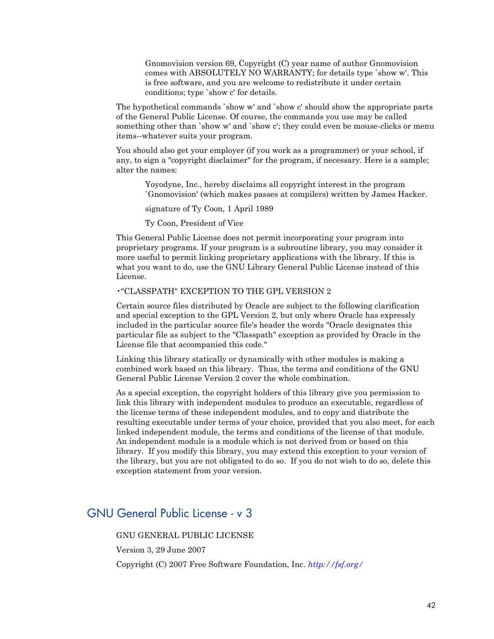Gnomovision version 69, Copyright (C) year name of author Gnomovision comes with ABSOLUTELY NO WARRANTY; for details type `show w'. This is free software, and you are welcome to redistribute it under certain conditions; type `show c' for details.

The hypothetical commands `show w' and `show c' should show the appropriate parts of the General Public License. Of course, the commands you use may be called something other than `show w' and `show c'; they could even be mouse-clicks or menu items--whatever suits your program.

You should also get your employer (if you work as a programmer) or your school, if any, to sign a "copyright disclaimer" for the program, if necessary. Here is a sample; alter the names:

Yoyodyne, Inc., hereby disclaims all copyright interest in the program `Gnomovision' (which makes passes at compilers) written by James Hacker.

signature of Ty Coon, 1 April 1989

Ty Coon, President of Vice

This General Public License does not permit incorporating your program into proprietary programs. If your program is a subroutine library, you may consider it more useful to permit linking proprietary applications with the library. If this is what you want to do, use the GNU Library General Public License instead of this License.

### •"CLASSPATH" EXCEPTION TO THE GPL VERSION 2

Certain source files distributed by Oracle are subject to the following clarification and special exception to the GPL Version 2, but only where Oracle has expressly included in the particular source file's header the words "Oracle designates this particular file as subject to the "Classpath" exception as provided by Oracle in the License file that accompanied this code."

Linking this library statically or dynamically with other modules is making a combined work based on this library. Thus, the terms and conditions of the GNU General Public License Version 2 cover the whole combination.

As a special exception, the copyright holders of this library give you permission to link this library with independent modules to produce an executable, regardless of the license terms of these independent modules, and to copy and distribute the resulting executable under terms of your choice, provided that you also meet, for each linked independent module, the terms and conditions of the license of that module. An independent module is a module which is not derived from or based on this library. If you modify this library, you may extend this exception to your version of the library, but you are not obligated to do so. If you do not wish to do so, delete this exception statement from your version.

# GNU General Public License - v 3

GNU GENERAL PUBLIC LICENSE Version 3, 29 June 2007 Copyright (C) 2007 Free Software Foundation, Inc. *<http://fsf.org/>*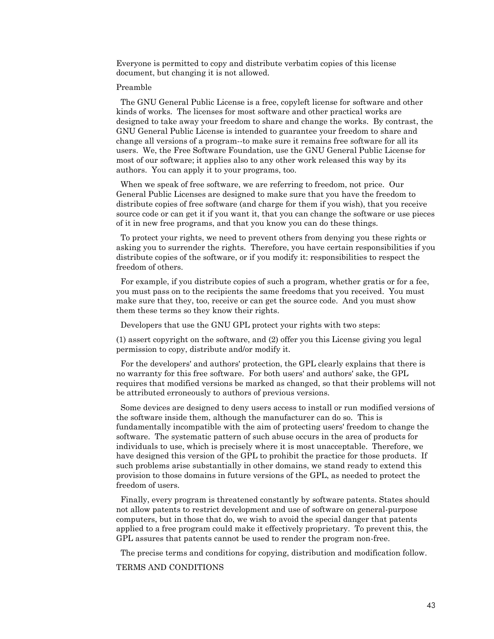Everyone is permitted to copy and distribute verbatim copies of this license document, but changing it is not allowed.

#### Preamble

 The GNU General Public License is a free, copyleft license for software and other kinds of works. The licenses for most software and other practical works are designed to take away your freedom to share and change the works. By contrast, the GNU General Public License is intended to guarantee your freedom to share and change all versions of a program--to make sure it remains free software for all its users. We, the Free Software Foundation, use the GNU General Public License for most of our software; it applies also to any other work released this way by its authors. You can apply it to your programs, too.

 When we speak of free software, we are referring to freedom, not price. Our General Public Licenses are designed to make sure that you have the freedom to distribute copies of free software (and charge for them if you wish), that you receive source code or can get it if you want it, that you can change the software or use pieces of it in new free programs, and that you know you can do these things.

 To protect your rights, we need to prevent others from denying you these rights or asking you to surrender the rights. Therefore, you have certain responsibilities if you distribute copies of the software, or if you modify it: responsibilities to respect the freedom of others.

 For example, if you distribute copies of such a program, whether gratis or for a fee, you must pass on to the recipients the same freedoms that you received. You must make sure that they, too, receive or can get the source code. And you must show them these terms so they know their rights.

Developers that use the GNU GPL protect your rights with two steps:

(1) assert copyright on the software, and (2) offer you this License giving you legal permission to copy, distribute and/or modify it.

 For the developers' and authors' protection, the GPL clearly explains that there is no warranty for this free software. For both users' and authors' sake, the GPL requires that modified versions be marked as changed, so that their problems will not be attributed erroneously to authors of previous versions.

 Some devices are designed to deny users access to install or run modified versions of the software inside them, although the manufacturer can do so. This is fundamentally incompatible with the aim of protecting users' freedom to change the software. The systematic pattern of such abuse occurs in the area of products for individuals to use, which is precisely where it is most unacceptable. Therefore, we have designed this version of the GPL to prohibit the practice for those products. If such problems arise substantially in other domains, we stand ready to extend this provision to those domains in future versions of the GPL, as needed to protect the freedom of users.

 Finally, every program is threatened constantly by software patents. States should not allow patents to restrict development and use of software on general-purpose computers, but in those that do, we wish to avoid the special danger that patents applied to a free program could make it effectively proprietary. To prevent this, the GPL assures that patents cannot be used to render the program non-free.

The precise terms and conditions for copying, distribution and modification follow.

TERMS AND CONDITIONS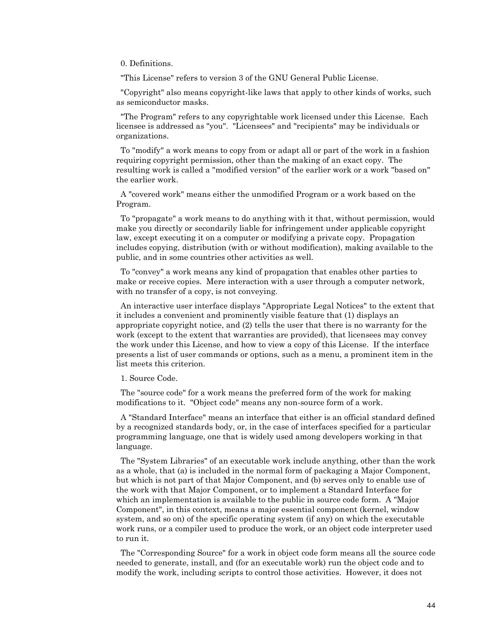#### 0. Definitions.

"This License" refers to version 3 of the GNU General Public License.

 "Copyright" also means copyright-like laws that apply to other kinds of works, such as semiconductor masks.

 "The Program" refers to any copyrightable work licensed under this License. Each licensee is addressed as "you". "Licensees" and "recipients" may be individuals or organizations.

 To "modify" a work means to copy from or adapt all or part of the work in a fashion requiring copyright permission, other than the making of an exact copy. The resulting work is called a "modified version" of the earlier work or a work "based on" the earlier work.

 A "covered work" means either the unmodified Program or a work based on the Program.

 To "propagate" a work means to do anything with it that, without permission, would make you directly or secondarily liable for infringement under applicable copyright law, except executing it on a computer or modifying a private copy. Propagation includes copying, distribution (with or without modification), making available to the public, and in some countries other activities as well.

 To "convey" a work means any kind of propagation that enables other parties to make or receive copies. Mere interaction with a user through a computer network, with no transfer of a copy, is not conveying.

 An interactive user interface displays "Appropriate Legal Notices" to the extent that it includes a convenient and prominently visible feature that (1) displays an appropriate copyright notice, and (2) tells the user that there is no warranty for the work (except to the extent that warranties are provided), that licensees may convey the work under this License, and how to view a copy of this License. If the interface presents a list of user commands or options, such as a menu, a prominent item in the list meets this criterion.

#### 1. Source Code.

 The "source code" for a work means the preferred form of the work for making modifications to it. "Object code" means any non-source form of a work.

 A "Standard Interface" means an interface that either is an official standard defined by a recognized standards body, or, in the case of interfaces specified for a particular programming language, one that is widely used among developers working in that language.

 The "System Libraries" of an executable work include anything, other than the work as a whole, that (a) is included in the normal form of packaging a Major Component, but which is not part of that Major Component, and (b) serves only to enable use of the work with that Major Component, or to implement a Standard Interface for which an implementation is available to the public in source code form. A "Major Component", in this context, means a major essential component (kernel, window system, and so on) of the specific operating system (if any) on which the executable work runs, or a compiler used to produce the work, or an object code interpreter used to run it.

 The "Corresponding Source" for a work in object code form means all the source code needed to generate, install, and (for an executable work) run the object code and to modify the work, including scripts to control those activities. However, it does not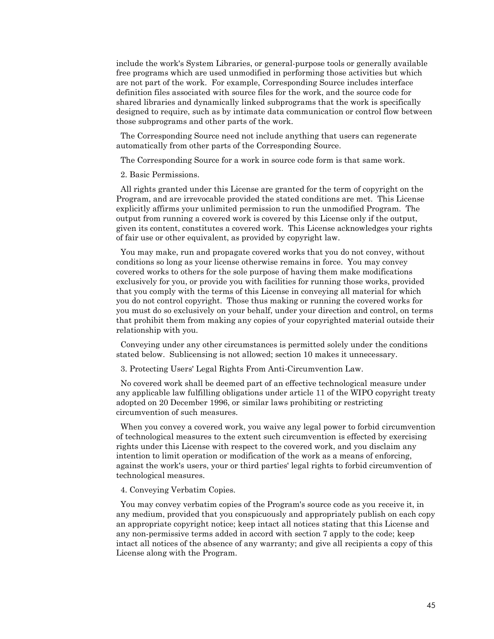include the work's System Libraries, or general-purpose tools or generally available free programs which are used unmodified in performing those activities but which are not part of the work. For example, Corresponding Source includes interface definition files associated with source files for the work, and the source code for shared libraries and dynamically linked subprograms that the work is specifically designed to require, such as by intimate data communication or control flow between those subprograms and other parts of the work.

 The Corresponding Source need not include anything that users can regenerate automatically from other parts of the Corresponding Source.

The Corresponding Source for a work in source code form is that same work.

2. Basic Permissions.

 All rights granted under this License are granted for the term of copyright on the Program, and are irrevocable provided the stated conditions are met. This License explicitly affirms your unlimited permission to run the unmodified Program. The output from running a covered work is covered by this License only if the output, given its content, constitutes a covered work. This License acknowledges your rights of fair use or other equivalent, as provided by copyright law.

 You may make, run and propagate covered works that you do not convey, without conditions so long as your license otherwise remains in force. You may convey covered works to others for the sole purpose of having them make modifications exclusively for you, or provide you with facilities for running those works, provided that you comply with the terms of this License in conveying all material for which you do not control copyright. Those thus making or running the covered works for you must do so exclusively on your behalf, under your direction and control, on terms that prohibit them from making any copies of your copyrighted material outside their relationship with you.

 Conveying under any other circumstances is permitted solely under the conditions stated below. Sublicensing is not allowed; section 10 makes it unnecessary.

3. Protecting Users' Legal Rights From Anti-Circumvention Law.

 No covered work shall be deemed part of an effective technological measure under any applicable law fulfilling obligations under article 11 of the WIPO copyright treaty adopted on 20 December 1996, or similar laws prohibiting or restricting circumvention of such measures.

 When you convey a covered work, you waive any legal power to forbid circumvention of technological measures to the extent such circumvention is effected by exercising rights under this License with respect to the covered work, and you disclaim any intention to limit operation or modification of the work as a means of enforcing, against the work's users, your or third parties' legal rights to forbid circumvention of technological measures.

4. Conveying Verbatim Copies.

 You may convey verbatim copies of the Program's source code as you receive it, in any medium, provided that you conspicuously and appropriately publish on each copy an appropriate copyright notice; keep intact all notices stating that this License and any non-permissive terms added in accord with section 7 apply to the code; keep intact all notices of the absence of any warranty; and give all recipients a copy of this License along with the Program.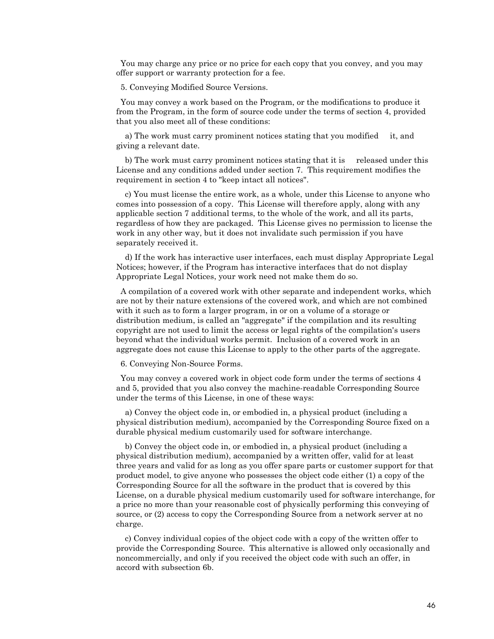You may charge any price or no price for each copy that you convey, and you may offer support or warranty protection for a fee.

5. Conveying Modified Source Versions.

 You may convey a work based on the Program, or the modifications to produce it from the Program, in the form of source code under the terms of section 4, provided that you also meet all of these conditions:

 a) The work must carry prominent notices stating that you modified it, and giving a relevant date.

 b) The work must carry prominent notices stating that it is released under this License and any conditions added under section 7. This requirement modifies the requirement in section 4 to "keep intact all notices".

 c) You must license the entire work, as a whole, under this License to anyone who comes into possession of a copy. This License will therefore apply, along with any applicable section 7 additional terms, to the whole of the work, and all its parts, regardless of how they are packaged. This License gives no permission to license the work in any other way, but it does not invalidate such permission if you have separately received it.

 d) If the work has interactive user interfaces, each must display Appropriate Legal Notices; however, if the Program has interactive interfaces that do not display Appropriate Legal Notices, your work need not make them do so.

 A compilation of a covered work with other separate and independent works, which are not by their nature extensions of the covered work, and which are not combined with it such as to form a larger program, in or on a volume of a storage or distribution medium, is called an "aggregate" if the compilation and its resulting copyright are not used to limit the access or legal rights of the compilation's users beyond what the individual works permit. Inclusion of a covered work in an aggregate does not cause this License to apply to the other parts of the aggregate.

6. Conveying Non-Source Forms.

 You may convey a covered work in object code form under the terms of sections 4 and 5, provided that you also convey the machine-readable Corresponding Source under the terms of this License, in one of these ways:

 a) Convey the object code in, or embodied in, a physical product (including a physical distribution medium), accompanied by the Corresponding Source fixed on a durable physical medium customarily used for software interchange.

 b) Convey the object code in, or embodied in, a physical product (including a physical distribution medium), accompanied by a written offer, valid for at least three years and valid for as long as you offer spare parts or customer support for that product model, to give anyone who possesses the object code either (1) a copy of the Corresponding Source for all the software in the product that is covered by this License, on a durable physical medium customarily used for software interchange, for a price no more than your reasonable cost of physically performing this conveying of source, or (2) access to copy the Corresponding Source from a network server at no charge.

 c) Convey individual copies of the object code with a copy of the written offer to provide the Corresponding Source. This alternative is allowed only occasionally and noncommercially, and only if you received the object code with such an offer, in accord with subsection 6b.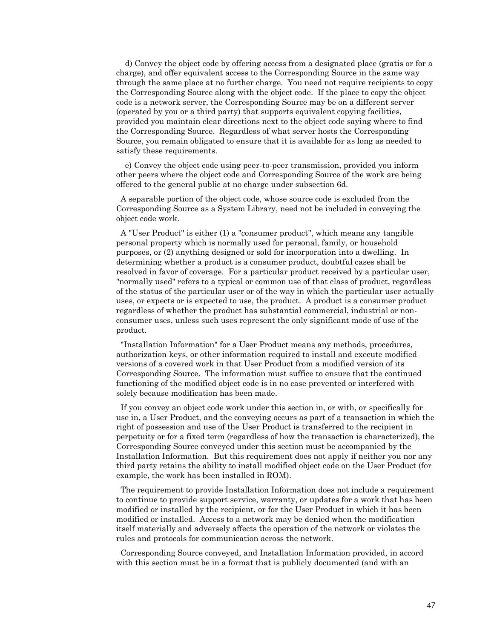d) Convey the object code by offering access from a designated place (gratis or for a charge), and offer equivalent access to the Corresponding Source in the same way through the same place at no further charge. You need not require recipients to copy the Corresponding Source along with the object code. If the place to copy the object code is a network server, the Corresponding Source may be on a different server (operated by you or a third party) that supports equivalent copying facilities, provided you maintain clear directions next to the object code saying where to find the Corresponding Source. Regardless of what server hosts the Corresponding Source, you remain obligated to ensure that it is available for as long as needed to satisfy these requirements.

 e) Convey the object code using peer-to-peer transmission, provided you inform other peers where the object code and Corresponding Source of the work are being offered to the general public at no charge under subsection 6d.

 A separable portion of the object code, whose source code is excluded from the Corresponding Source as a System Library, need not be included in conveying the object code work.

 A "User Product" is either (1) a "consumer product", which means any tangible personal property which is normally used for personal, family, or household purposes, or (2) anything designed or sold for incorporation into a dwelling. In determining whether a product is a consumer product, doubtful cases shall be resolved in favor of coverage. For a particular product received by a particular user, "normally used" refers to a typical or common use of that class of product, regardless of the status of the particular user or of the way in which the particular user actually uses, or expects or is expected to use, the product. A product is a consumer product regardless of whether the product has substantial commercial, industrial or nonconsumer uses, unless such uses represent the only significant mode of use of the product.

 "Installation Information" for a User Product means any methods, procedures, authorization keys, or other information required to install and execute modified versions of a covered work in that User Product from a modified version of its Corresponding Source. The information must suffice to ensure that the continued functioning of the modified object code is in no case prevented or interfered with solely because modification has been made.

 If you convey an object code work under this section in, or with, or specifically for use in, a User Product, and the conveying occurs as part of a transaction in which the right of possession and use of the User Product is transferred to the recipient in perpetuity or for a fixed term (regardless of how the transaction is characterized), the Corresponding Source conveyed under this section must be accompanied by the Installation Information. But this requirement does not apply if neither you nor any third party retains the ability to install modified object code on the User Product (for example, the work has been installed in ROM).

 The requirement to provide Installation Information does not include a requirement to continue to provide support service, warranty, or updates for a work that has been modified or installed by the recipient, or for the User Product in which it has been modified or installed. Access to a network may be denied when the modification itself materially and adversely affects the operation of the network or violates the rules and protocols for communication across the network.

 Corresponding Source conveyed, and Installation Information provided, in accord with this section must be in a format that is publicly documented (and with an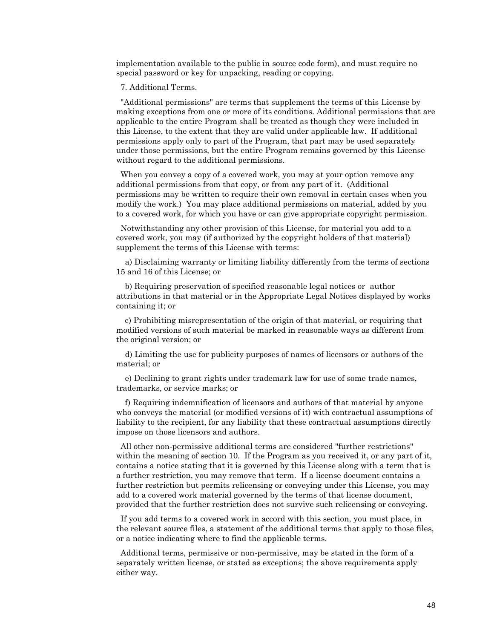implementation available to the public in source code form), and must require no special password or key for unpacking, reading or copying.

7. Additional Terms.

 "Additional permissions" are terms that supplement the terms of this License by making exceptions from one or more of its conditions. Additional permissions that are applicable to the entire Program shall be treated as though they were included in this License, to the extent that they are valid under applicable law. If additional permissions apply only to part of the Program, that part may be used separately under those permissions, but the entire Program remains governed by this License without regard to the additional permissions.

When you convey a copy of a covered work, you may at your option remove any additional permissions from that copy, or from any part of it. (Additional permissions may be written to require their own removal in certain cases when you modify the work.) You may place additional permissions on material, added by you to a covered work, for which you have or can give appropriate copyright permission.

 Notwithstanding any other provision of this License, for material you add to a covered work, you may (if authorized by the copyright holders of that material) supplement the terms of this License with terms:

 a) Disclaiming warranty or limiting liability differently from the terms of sections 15 and 16 of this License; or

 b) Requiring preservation of specified reasonable legal notices or author attributions in that material or in the Appropriate Legal Notices displayed by works containing it; or

 c) Prohibiting misrepresentation of the origin of that material, or requiring that modified versions of such material be marked in reasonable ways as different from the original version; or

 d) Limiting the use for publicity purposes of names of licensors or authors of the material; or

 e) Declining to grant rights under trademark law for use of some trade names, trademarks, or service marks; or

 f) Requiring indemnification of licensors and authors of that material by anyone who conveys the material (or modified versions of it) with contractual assumptions of liability to the recipient, for any liability that these contractual assumptions directly impose on those licensors and authors.

 All other non-permissive additional terms are considered "further restrictions" within the meaning of section 10. If the Program as you received it, or any part of it, contains a notice stating that it is governed by this License along with a term that is a further restriction, you may remove that term. If a license document contains a further restriction but permits relicensing or conveying under this License, you may add to a covered work material governed by the terms of that license document, provided that the further restriction does not survive such relicensing or conveying.

 If you add terms to a covered work in accord with this section, you must place, in the relevant source files, a statement of the additional terms that apply to those files, or a notice indicating where to find the applicable terms.

 Additional terms, permissive or non-permissive, may be stated in the form of a separately written license, or stated as exceptions; the above requirements apply either way.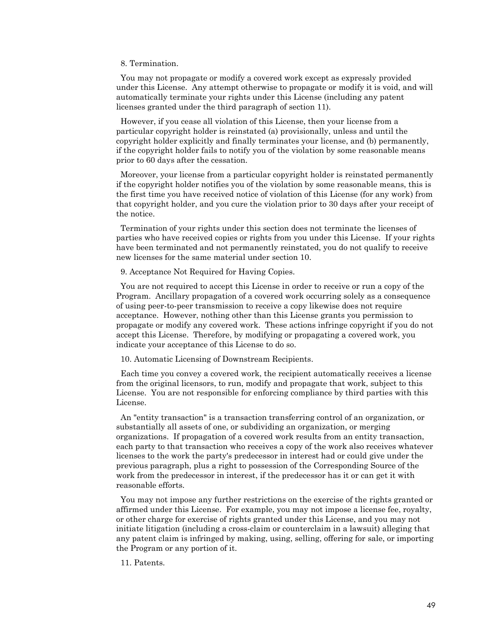#### 8. Termination.

 You may not propagate or modify a covered work except as expressly provided under this License. Any attempt otherwise to propagate or modify it is void, and will automatically terminate your rights under this License (including any patent licenses granted under the third paragraph of section 11).

 However, if you cease all violation of this License, then your license from a particular copyright holder is reinstated (a) provisionally, unless and until the copyright holder explicitly and finally terminates your license, and (b) permanently, if the copyright holder fails to notify you of the violation by some reasonable means prior to 60 days after the cessation.

 Moreover, your license from a particular copyright holder is reinstated permanently if the copyright holder notifies you of the violation by some reasonable means, this is the first time you have received notice of violation of this License (for any work) from that copyright holder, and you cure the violation prior to 30 days after your receipt of the notice.

 Termination of your rights under this section does not terminate the licenses of parties who have received copies or rights from you under this License. If your rights have been terminated and not permanently reinstated, you do not qualify to receive new licenses for the same material under section 10.

9. Acceptance Not Required for Having Copies.

 You are not required to accept this License in order to receive or run a copy of the Program. Ancillary propagation of a covered work occurring solely as a consequence of using peer-to-peer transmission to receive a copy likewise does not require acceptance. However, nothing other than this License grants you permission to propagate or modify any covered work. These actions infringe copyright if you do not accept this License. Therefore, by modifying or propagating a covered work, you indicate your acceptance of this License to do so.

10. Automatic Licensing of Downstream Recipients.

 Each time you convey a covered work, the recipient automatically receives a license from the original licensors, to run, modify and propagate that work, subject to this License. You are not responsible for enforcing compliance by third parties with this License.

 An "entity transaction" is a transaction transferring control of an organization, or substantially all assets of one, or subdividing an organization, or merging organizations. If propagation of a covered work results from an entity transaction, each party to that transaction who receives a copy of the work also receives whatever licenses to the work the party's predecessor in interest had or could give under the previous paragraph, plus a right to possession of the Corresponding Source of the work from the predecessor in interest, if the predecessor has it or can get it with reasonable efforts.

 You may not impose any further restrictions on the exercise of the rights granted or affirmed under this License. For example, you may not impose a license fee, royalty, or other charge for exercise of rights granted under this License, and you may not initiate litigation (including a cross-claim or counterclaim in a lawsuit) alleging that any patent claim is infringed by making, using, selling, offering for sale, or importing the Program or any portion of it.

# 11. Patents.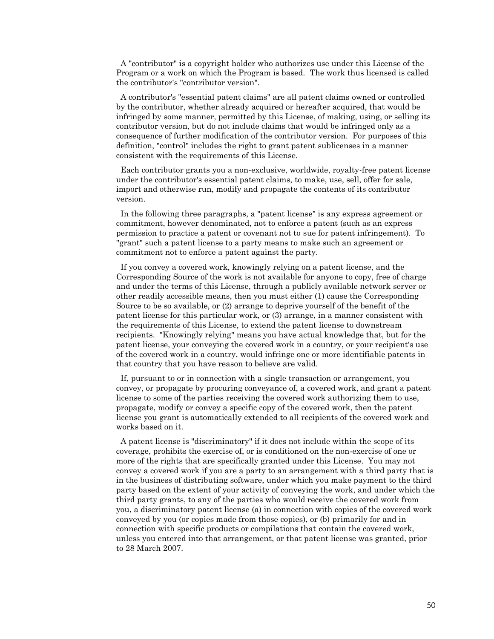A "contributor" is a copyright holder who authorizes use under this License of the Program or a work on which the Program is based. The work thus licensed is called the contributor's "contributor version".

 A contributor's "essential patent claims" are all patent claims owned or controlled by the contributor, whether already acquired or hereafter acquired, that would be infringed by some manner, permitted by this License, of making, using, or selling its contributor version, but do not include claims that would be infringed only as a consequence of further modification of the contributor version. For purposes of this definition, "control" includes the right to grant patent sublicenses in a manner consistent with the requirements of this License.

 Each contributor grants you a non-exclusive, worldwide, royalty-free patent license under the contributor's essential patent claims, to make, use, sell, offer for sale, import and otherwise run, modify and propagate the contents of its contributor version.

 In the following three paragraphs, a "patent license" is any express agreement or commitment, however denominated, not to enforce a patent (such as an express permission to practice a patent or covenant not to sue for patent infringement). To "grant" such a patent license to a party means to make such an agreement or commitment not to enforce a patent against the party.

 If you convey a covered work, knowingly relying on a patent license, and the Corresponding Source of the work is not available for anyone to copy, free of charge and under the terms of this License, through a publicly available network server or other readily accessible means, then you must either (1) cause the Corresponding Source to be so available, or (2) arrange to deprive yourself of the benefit of the patent license for this particular work, or (3) arrange, in a manner consistent with the requirements of this License, to extend the patent license to downstream recipients. "Knowingly relying" means you have actual knowledge that, but for the patent license, your conveying the covered work in a country, or your recipient's use of the covered work in a country, would infringe one or more identifiable patents in that country that you have reason to believe are valid.

 If, pursuant to or in connection with a single transaction or arrangement, you convey, or propagate by procuring conveyance of, a covered work, and grant a patent license to some of the parties receiving the covered work authorizing them to use, propagate, modify or convey a specific copy of the covered work, then the patent license you grant is automatically extended to all recipients of the covered work and works based on it.

 A patent license is "discriminatory" if it does not include within the scope of its coverage, prohibits the exercise of, or is conditioned on the non-exercise of one or more of the rights that are specifically granted under this License. You may not convey a covered work if you are a party to an arrangement with a third party that is in the business of distributing software, under which you make payment to the third party based on the extent of your activity of conveying the work, and under which the third party grants, to any of the parties who would receive the covered work from you, a discriminatory patent license (a) in connection with copies of the covered work conveyed by you (or copies made from those copies), or (b) primarily for and in connection with specific products or compilations that contain the covered work, unless you entered into that arrangement, or that patent license was granted, prior to 28 March 2007.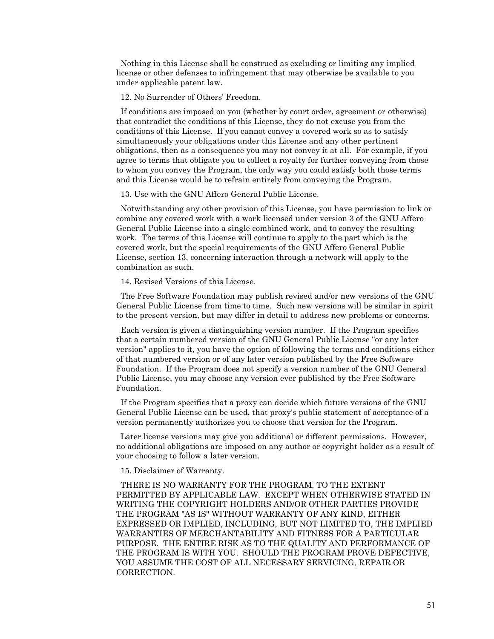Nothing in this License shall be construed as excluding or limiting any implied license or other defenses to infringement that may otherwise be available to you under applicable patent law.

12. No Surrender of Others' Freedom.

 If conditions are imposed on you (whether by court order, agreement or otherwise) that contradict the conditions of this License, they do not excuse you from the conditions of this License. If you cannot convey a covered work so as to satisfy simultaneously your obligations under this License and any other pertinent obligations, then as a consequence you may not convey it at all. For example, if you agree to terms that obligate you to collect a royalty for further conveying from those to whom you convey the Program, the only way you could satisfy both those terms and this License would be to refrain entirely from conveying the Program.

13. Use with the GNU Affero General Public License.

 Notwithstanding any other provision of this License, you have permission to link or combine any covered work with a work licensed under version 3 of the GNU Affero General Public License into a single combined work, and to convey the resulting work. The terms of this License will continue to apply to the part which is the covered work, but the special requirements of the GNU Affero General Public License, section 13, concerning interaction through a network will apply to the combination as such.

14. Revised Versions of this License.

 The Free Software Foundation may publish revised and/or new versions of the GNU General Public License from time to time. Such new versions will be similar in spirit to the present version, but may differ in detail to address new problems or concerns.

 Each version is given a distinguishing version number. If the Program specifies that a certain numbered version of the GNU General Public License "or any later version" applies to it, you have the option of following the terms and conditions either of that numbered version or of any later version published by the Free Software Foundation. If the Program does not specify a version number of the GNU General Public License, you may choose any version ever published by the Free Software Foundation.

 If the Program specifies that a proxy can decide which future versions of the GNU General Public License can be used, that proxy's public statement of acceptance of a version permanently authorizes you to choose that version for the Program.

 Later license versions may give you additional or different permissions. However, no additional obligations are imposed on any author or copyright holder as a result of your choosing to follow a later version.

15. Disclaimer of Warranty.

 THERE IS NO WARRANTY FOR THE PROGRAM, TO THE EXTENT PERMITTED BY APPLICABLE LAW. EXCEPT WHEN OTHERWISE STATED IN WRITING THE COPYRIGHT HOLDERS AND/OR OTHER PARTIES PROVIDE THE PROGRAM "AS IS" WITHOUT WARRANTY OF ANY KIND, EITHER EXPRESSED OR IMPLIED, INCLUDING, BUT NOT LIMITED TO, THE IMPLIED WARRANTIES OF MERCHANTABILITY AND FITNESS FOR A PARTICULAR PURPOSE. THE ENTIRE RISK AS TO THE QUALITY AND PERFORMANCE OF THE PROGRAM IS WITH YOU. SHOULD THE PROGRAM PROVE DEFECTIVE, YOU ASSUME THE COST OF ALL NECESSARY SERVICING, REPAIR OR CORRECTION.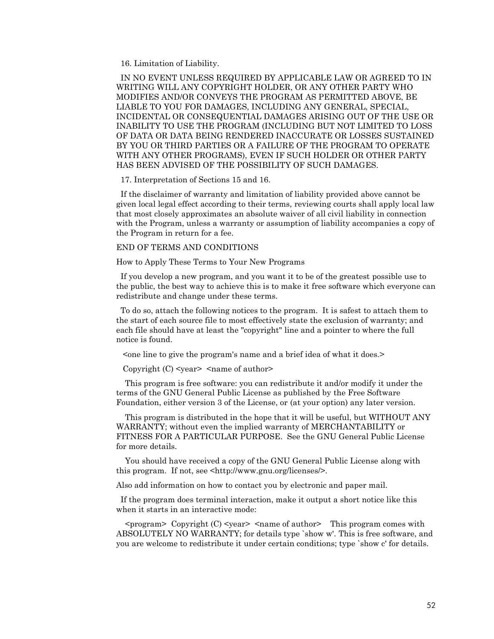16. Limitation of Liability.

 IN NO EVENT UNLESS REQUIRED BY APPLICABLE LAW OR AGREED TO IN WRITING WILL ANY COPYRIGHT HOLDER, OR ANY OTHER PARTY WHO MODIFIES AND/OR CONVEYS THE PROGRAM AS PERMITTED ABOVE, BE LIABLE TO YOU FOR DAMAGES, INCLUDING ANY GENERAL, SPECIAL, INCIDENTAL OR CONSEQUENTIAL DAMAGES ARISING OUT OF THE USE OR INABILITY TO USE THE PROGRAM (INCLUDING BUT NOT LIMITED TO LOSS OF DATA OR DATA BEING RENDERED INACCURATE OR LOSSES SUSTAINED BY YOU OR THIRD PARTIES OR A FAILURE OF THE PROGRAM TO OPERATE WITH ANY OTHER PROGRAMS), EVEN IF SUCH HOLDER OR OTHER PARTY HAS BEEN ADVISED OF THE POSSIBILITY OF SUCH DAMAGES.

17. Interpretation of Sections 15 and 16.

 If the disclaimer of warranty and limitation of liability provided above cannot be given local legal effect according to their terms, reviewing courts shall apply local law that most closely approximates an absolute waiver of all civil liability in connection with the Program, unless a warranty or assumption of liability accompanies a copy of the Program in return for a fee.

# END OF TERMS AND CONDITIONS

How to Apply These Terms to Your New Programs

 If you develop a new program, and you want it to be of the greatest possible use to the public, the best way to achieve this is to make it free software which everyone can redistribute and change under these terms.

 To do so, attach the following notices to the program. It is safest to attach them to the start of each source file to most effectively state the exclusion of warranty; and each file should have at least the "copyright" line and a pointer to where the full notice is found.

<one line to give the program's name and a brief idea of what it does.>

Copyright  $(C)$  <year> <name of author>

 This program is free software: you can redistribute it and/or modify it under the terms of the GNU General Public License as published by the Free Software Foundation, either version 3 of the License, or (at your option) any later version.

 This program is distributed in the hope that it will be useful, but WITHOUT ANY WARRANTY; without even the implied warranty of MERCHANTABILITY or FITNESS FOR A PARTICULAR PURPOSE. See the GNU General Public License for more details.

 You should have received a copy of the GNU General Public License along with this program. If not, see <http://www.gnu.org/licenses/>.

Also add information on how to contact you by electronic and paper mail.

 If the program does terminal interaction, make it output a short notice like this when it starts in an interactive mode:

 $\langle$  sprogram> Copyright (C)  $\langle$  year>  $\langle$  name of author> This program comes with ABSOLUTELY NO WARRANTY; for details type `show w'. This is free software, and you are welcome to redistribute it under certain conditions; type `show c' for details.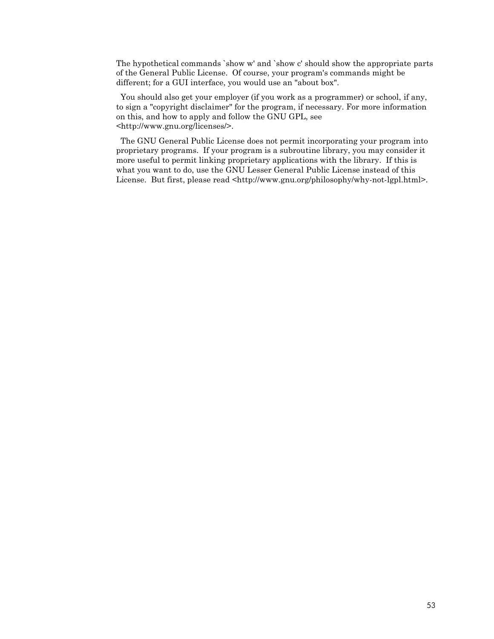The hypothetical commands `show w' and `show c' should show the appropriate parts of the General Public License. Of course, your program's commands might be different; for a GUI interface, you would use an "about box".

 You should also get your employer (if you work as a programmer) or school, if any, to sign a "copyright disclaimer" for the program, if necessary. For more information on this, and how to apply and follow the GNU GPL, see <http://www.gnu.org/licenses/>.

 The GNU General Public License does not permit incorporating your program into proprietary programs. If your program is a subroutine library, you may consider it more useful to permit linking proprietary applications with the library. If this is what you want to do, use the GNU Lesser General Public License instead of this License. But first, please read <http://www.gnu.org/philosophy/why-not-lgpl.html>.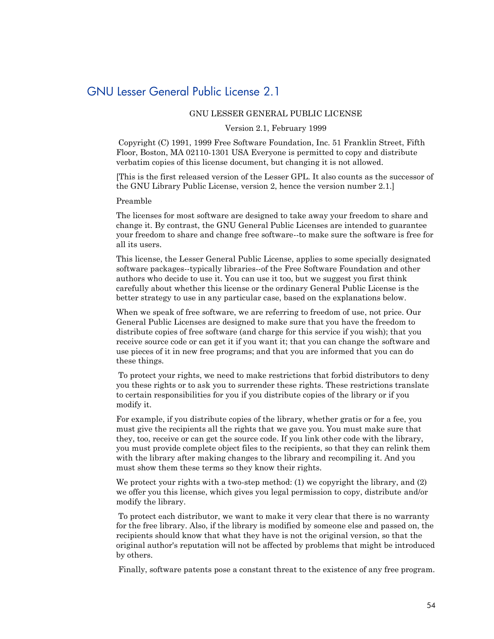# GNU Lesser General Public License 2.1

## GNU LESSER GENERAL PUBLIC LICENSE

#### Version 2.1, February 1999

Copyright (C) 1991, 1999 Free Software Foundation, Inc. 51 Franklin Street, Fifth Floor, Boston, MA 02110-1301 USA Everyone is permitted to copy and distribute verbatim copies of this license document, but changing it is not allowed.

[This is the first released version of the Lesser GPL. It also counts as the successor of the GNU Library Public License, version 2, hence the version number 2.1.]

Preamble

The licenses for most software are designed to take away your freedom to share and change it. By contrast, the GNU General Public Licenses are intended to guarantee your freedom to share and change free software--to make sure the software is free for all its users.

This license, the Lesser General Public License, applies to some specially designated software packages--typically libraries--of the Free Software Foundation and other authors who decide to use it. You can use it too, but we suggest you first think carefully about whether this license or the ordinary General Public License is the better strategy to use in any particular case, based on the explanations below.

When we speak of free software, we are referring to freedom of use, not price. Our General Public Licenses are designed to make sure that you have the freedom to distribute copies of free software (and charge for this service if you wish); that you receive source code or can get it if you want it; that you can change the software and use pieces of it in new free programs; and that you are informed that you can do these things.

To protect your rights, we need to make restrictions that forbid distributors to deny you these rights or to ask you to surrender these rights. These restrictions translate to certain responsibilities for you if you distribute copies of the library or if you modify it.

For example, if you distribute copies of the library, whether gratis or for a fee, you must give the recipients all the rights that we gave you. You must make sure that they, too, receive or can get the source code. If you link other code with the library, you must provide complete object files to the recipients, so that they can relink them with the library after making changes to the library and recompiling it. And you must show them these terms so they know their rights.

We protect your rights with a two-step method: (1) we copyright the library, and (2) we offer you this license, which gives you legal permission to copy, distribute and/or modify the library.

To protect each distributor, we want to make it very clear that there is no warranty for the free library. Also, if the library is modified by someone else and passed on, the recipients should know that what they have is not the original version, so that the original author's reputation will not be affected by problems that might be introduced by others.

Finally, software patents pose a constant threat to the existence of any free program.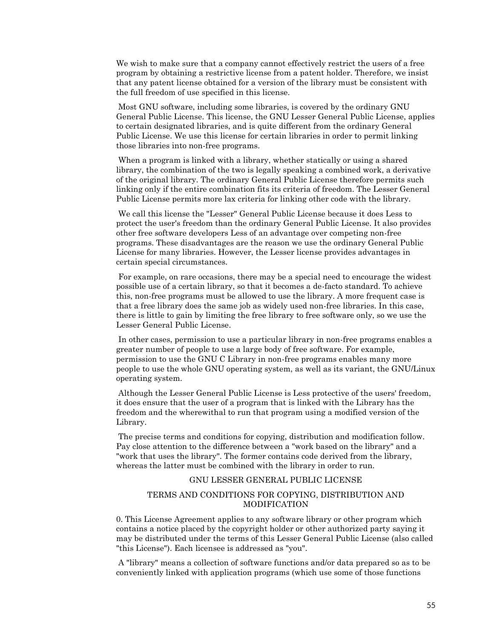We wish to make sure that a company cannot effectively restrict the users of a free program by obtaining a restrictive license from a patent holder. Therefore, we insist that any patent license obtained for a version of the library must be consistent with the full freedom of use specified in this license.

Most GNU software, including some libraries, is covered by the ordinary GNU General Public License. This license, the GNU Lesser General Public License, applies to certain designated libraries, and is quite different from the ordinary General Public License. We use this license for certain libraries in order to permit linking those libraries into non-free programs.

When a program is linked with a library, whether statically or using a shared library, the combination of the two is legally speaking a combined work, a derivative of the original library. The ordinary General Public License therefore permits such linking only if the entire combination fits its criteria of freedom. The Lesser General Public License permits more lax criteria for linking other code with the library.

We call this license the "Lesser" General Public License because it does Less to protect the user's freedom than the ordinary General Public License. It also provides other free software developers Less of an advantage over competing non-free programs. These disadvantages are the reason we use the ordinary General Public License for many libraries. However, the Lesser license provides advantages in certain special circumstances.

For example, on rare occasions, there may be a special need to encourage the widest possible use of a certain library, so that it becomes a de-facto standard. To achieve this, non-free programs must be allowed to use the library. A more frequent case is that a free library does the same job as widely used non-free libraries. In this case, there is little to gain by limiting the free library to free software only, so we use the Lesser General Public License.

In other cases, permission to use a particular library in non-free programs enables a greater number of people to use a large body of free software. For example, permission to use the GNU C Library in non-free programs enables many more people to use the whole GNU operating system, as well as its variant, the GNU/Linux operating system.

Although the Lesser General Public License is Less protective of the users' freedom, it does ensure that the user of a program that is linked with the Library has the freedom and the wherewithal to run that program using a modified version of the Library.

The precise terms and conditions for copying, distribution and modification follow. Pay close attention to the difference between a "work based on the library" and a "work that uses the library". The former contains code derived from the library, whereas the latter must be combined with the library in order to run.

# GNU LESSER GENERAL PUBLIC LICENSE

# TERMS AND CONDITIONS FOR COPYING, DISTRIBUTION AND MODIFICATION

0. This License Agreement applies to any software library or other program which contains a notice placed by the copyright holder or other authorized party saying it may be distributed under the terms of this Lesser General Public License (also called "this License"). Each licensee is addressed as "you".

A "library" means a collection of software functions and/or data prepared so as to be conveniently linked with application programs (which use some of those functions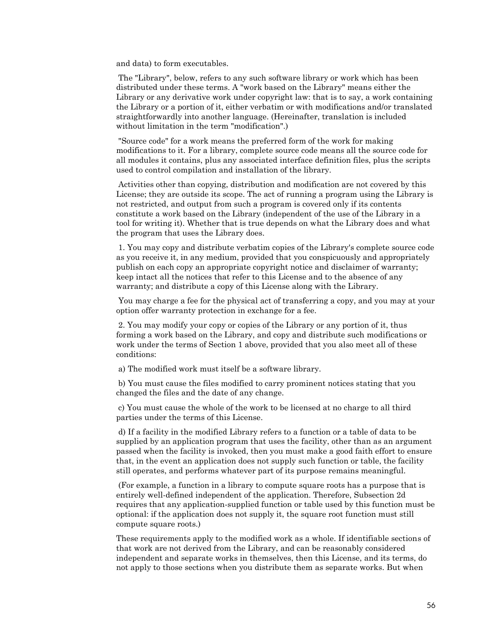and data) to form executables.

The "Library", below, refers to any such software library or work which has been distributed under these terms. A "work based on the Library" means either the Library or any derivative work under copyright law: that is to say, a work containing the Library or a portion of it, either verbatim or with modifications and/or translated straightforwardly into another language. (Hereinafter, translation is included without limitation in the term "modification".)

"Source code" for a work means the preferred form of the work for making modifications to it. For a library, complete source code means all the source code for all modules it contains, plus any associated interface definition files, plus the scripts used to control compilation and installation of the library.

Activities other than copying, distribution and modification are not covered by this License; they are outside its scope. The act of running a program using the Library is not restricted, and output from such a program is covered only if its contents constitute a work based on the Library (independent of the use of the Library in a tool for writing it). Whether that is true depends on what the Library does and what the program that uses the Library does.

1. You may copy and distribute verbatim copies of the Library's complete source code as you receive it, in any medium, provided that you conspicuously and appropriately publish on each copy an appropriate copyright notice and disclaimer of warranty; keep intact all the notices that refer to this License and to the absence of any warranty; and distribute a copy of this License along with the Library.

You may charge a fee for the physical act of transferring a copy, and you may at your option offer warranty protection in exchange for a fee.

2. You may modify your copy or copies of the Library or any portion of it, thus forming a work based on the Library, and copy and distribute such modifications or work under the terms of Section 1 above, provided that you also meet all of these conditions:

a) The modified work must itself be a software library.

b) You must cause the files modified to carry prominent notices stating that you changed the files and the date of any change.

c) You must cause the whole of the work to be licensed at no charge to all third parties under the terms of this License.

d) If a facility in the modified Library refers to a function or a table of data to be supplied by an application program that uses the facility, other than as an argument passed when the facility is invoked, then you must make a good faith effort to ensure that, in the event an application does not supply such function or table, the facility still operates, and performs whatever part of its purpose remains meaningful.

(For example, a function in a library to compute square roots has a purpose that is entirely well-defined independent of the application. Therefore, Subsection 2d requires that any application-supplied function or table used by this function must be optional: if the application does not supply it, the square root function must still compute square roots.)

These requirements apply to the modified work as a whole. If identifiable sections of that work are not derived from the Library, and can be reasonably considered independent and separate works in themselves, then this License, and its terms, do not apply to those sections when you distribute them as separate works. But when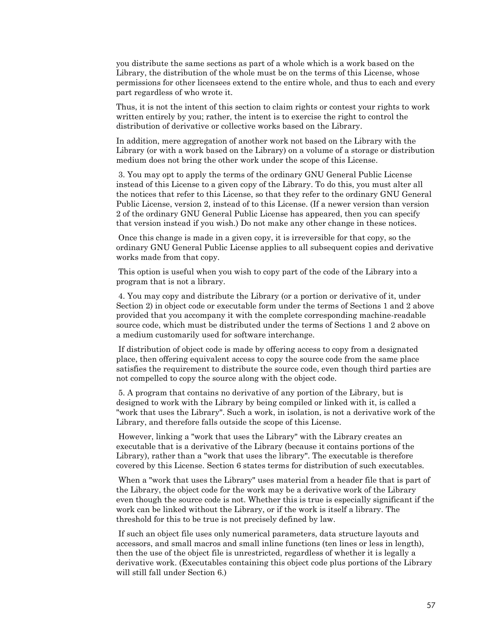you distribute the same sections as part of a whole which is a work based on the Library, the distribution of the whole must be on the terms of this License, whose permissions for other licensees extend to the entire whole, and thus to each and every part regardless of who wrote it.

Thus, it is not the intent of this section to claim rights or contest your rights to work written entirely by you; rather, the intent is to exercise the right to control the distribution of derivative or collective works based on the Library.

In addition, mere aggregation of another work not based on the Library with the Library (or with a work based on the Library) on a volume of a storage or distribution medium does not bring the other work under the scope of this License.

3. You may opt to apply the terms of the ordinary GNU General Public License instead of this License to a given copy of the Library. To do this, you must alter all the notices that refer to this License, so that they refer to the ordinary GNU General Public License, version 2, instead of to this License. (If a newer version than version 2 of the ordinary GNU General Public License has appeared, then you can specify that version instead if you wish.) Do not make any other change in these notices.

Once this change is made in a given copy, it is irreversible for that copy, so the ordinary GNU General Public License applies to all subsequent copies and derivative works made from that copy.

This option is useful when you wish to copy part of the code of the Library into a program that is not a library.

4. You may copy and distribute the Library (or a portion or derivative of it, under Section 2) in object code or executable form under the terms of Sections 1 and 2 above provided that you accompany it with the complete corresponding machine-readable source code, which must be distributed under the terms of Sections 1 and 2 above on a medium customarily used for software interchange.

If distribution of object code is made by offering access to copy from a designated place, then offering equivalent access to copy the source code from the same place satisfies the requirement to distribute the source code, even though third parties are not compelled to copy the source along with the object code.

5. A program that contains no derivative of any portion of the Library, but is designed to work with the Library by being compiled or linked with it, is called a "work that uses the Library". Such a work, in isolation, is not a derivative work of the Library, and therefore falls outside the scope of this License.

However, linking a "work that uses the Library" with the Library creates an executable that is a derivative of the Library (because it contains portions of the Library), rather than a "work that uses the library". The executable is therefore covered by this License. Section 6 states terms for distribution of such executables.

When a "work that uses the Library" uses material from a header file that is part of the Library, the object code for the work may be a derivative work of the Library even though the source code is not. Whether this is true is especially significant if the work can be linked without the Library, or if the work is itself a library. The threshold for this to be true is not precisely defined by law.

If such an object file uses only numerical parameters, data structure layouts and accessors, and small macros and small inline functions (ten lines or less in length), then the use of the object file is unrestricted, regardless of whether it is legally a derivative work. (Executables containing this object code plus portions of the Library will still fall under Section 6.)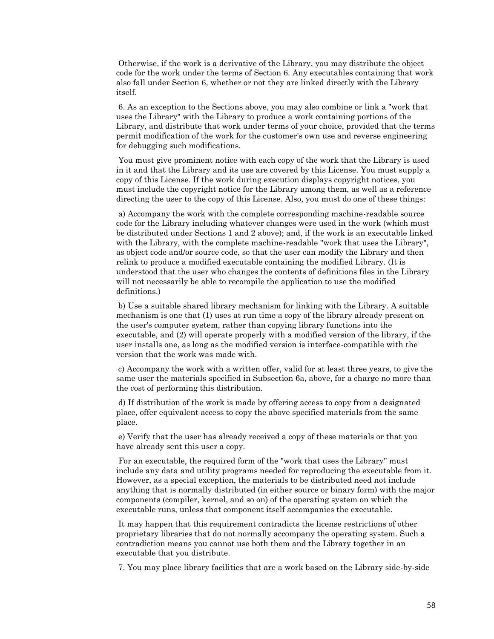Otherwise, if the work is a derivative of the Library, you may distribute the object code for the work under the terms of Section 6. Any executables containing that work also fall under Section 6, whether or not they are linked directly with the Library itself.

6. As an exception to the Sections above, you may also combine or link a "work that uses the Library" with the Library to produce a work containing portions of the Library, and distribute that work under terms of your choice, provided that the terms permit modification of the work for the customer's own use and reverse engineering for debugging such modifications.

You must give prominent notice with each copy of the work that the Library is used in it and that the Library and its use are covered by this License. You must supply a copy of this License. If the work during execution displays copyright notices, you must include the copyright notice for the Library among them, as well as a reference directing the user to the copy of this License. Also, you must do one of these things:

a) Accompany the work with the complete corresponding machine-readable source code for the Library including whatever changes were used in the work (which must be distributed under Sections 1 and 2 above); and, if the work is an executable linked with the Library, with the complete machine-readable "work that uses the Library", as object code and/or source code, so that the user can modify the Library and then relink to produce a modified executable containing the modified Library. (It is understood that the user who changes the contents of definitions files in the Library will not necessarily be able to recompile the application to use the modified definitions.)

b) Use a suitable shared library mechanism for linking with the Library. A suitable mechanism is one that (1) uses at run time a copy of the library already present on the user's computer system, rather than copying library functions into the executable, and (2) will operate properly with a modified version of the library, if the user installs one, as long as the modified version is interface-compatible with the version that the work was made with.

c) Accompany the work with a written offer, valid for at least three years, to give the same user the materials specified in Subsection 6a, above, for a charge no more than the cost of performing this distribution.

d) If distribution of the work is made by offering access to copy from a designated place, offer equivalent access to copy the above specified materials from the same place.

e) Verify that the user has already received a copy of these materials or that you have already sent this user a copy.

For an executable, the required form of the "work that uses the Library" must include any data and utility programs needed for reproducing the executable from it. However, as a special exception, the materials to be distributed need not include anything that is normally distributed (in either source or binary form) with the major components (compiler, kernel, and so on) of the operating system on which the executable runs, unless that component itself accompanies the executable.

It may happen that this requirement contradicts the license restrictions of other proprietary libraries that do not normally accompany the operating system. Such a contradiction means you cannot use both them and the Library together in an executable that you distribute.

7. You may place library facilities that are a work based on the Library side-by-side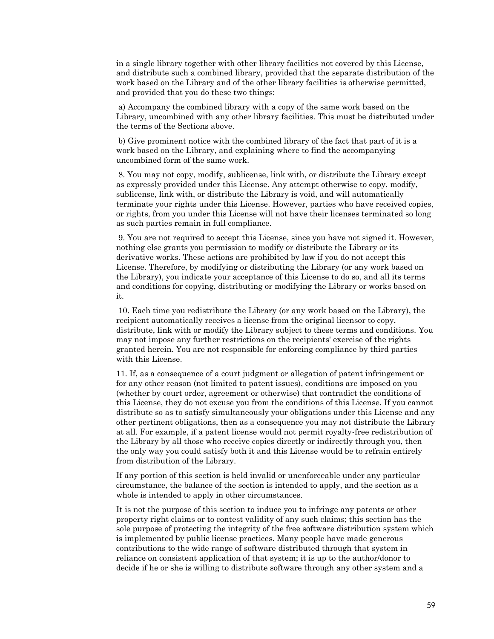in a single library together with other library facilities not covered by this License, and distribute such a combined library, provided that the separate distribution of the work based on the Library and of the other library facilities is otherwise permitted, and provided that you do these two things:

a) Accompany the combined library with a copy of the same work based on the Library, uncombined with any other library facilities. This must be distributed under the terms of the Sections above.

b) Give prominent notice with the combined library of the fact that part of it is a work based on the Library, and explaining where to find the accompanying uncombined form of the same work.

8. You may not copy, modify, sublicense, link with, or distribute the Library except as expressly provided under this License. Any attempt otherwise to copy, modify, sublicense, link with, or distribute the Library is void, and will automatically terminate your rights under this License. However, parties who have received copies, or rights, from you under this License will not have their licenses terminated so long as such parties remain in full compliance.

9. You are not required to accept this License, since you have not signed it. However, nothing else grants you permission to modify or distribute the Library or its derivative works. These actions are prohibited by law if you do not accept this License. Therefore, by modifying or distributing the Library (or any work based on the Library), you indicate your acceptance of this License to do so, and all its terms and conditions for copying, distributing or modifying the Library or works based on it.

10. Each time you redistribute the Library (or any work based on the Library), the recipient automatically receives a license from the original licensor to copy, distribute, link with or modify the Library subject to these terms and conditions. You may not impose any further restrictions on the recipients' exercise of the rights granted herein. You are not responsible for enforcing compliance by third parties with this License.

11. If, as a consequence of a court judgment or allegation of patent infringement or for any other reason (not limited to patent issues), conditions are imposed on you (whether by court order, agreement or otherwise) that contradict the conditions of this License, they do not excuse you from the conditions of this License. If you cannot distribute so as to satisfy simultaneously your obligations under this License and any other pertinent obligations, then as a consequence you may not distribute the Library at all. For example, if a patent license would not permit royalty-free redistribution of the Library by all those who receive copies directly or indirectly through you, then the only way you could satisfy both it and this License would be to refrain entirely from distribution of the Library.

If any portion of this section is held invalid or unenforceable under any particular circumstance, the balance of the section is intended to apply, and the section as a whole is intended to apply in other circumstances.

It is not the purpose of this section to induce you to infringe any patents or other property right claims or to contest validity of any such claims; this section has the sole purpose of protecting the integrity of the free software distribution system which is implemented by public license practices. Many people have made generous contributions to the wide range of software distributed through that system in reliance on consistent application of that system; it is up to the author/donor to decide if he or she is willing to distribute software through any other system and a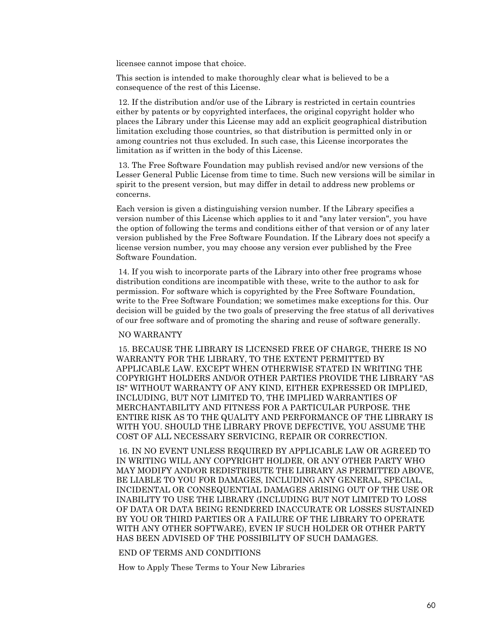licensee cannot impose that choice.

This section is intended to make thoroughly clear what is believed to be a consequence of the rest of this License.

12. If the distribution and/or use of the Library is restricted in certain countries either by patents or by copyrighted interfaces, the original copyright holder who places the Library under this License may add an explicit geographical distribution limitation excluding those countries, so that distribution is permitted only in or among countries not thus excluded. In such case, this License incorporates the limitation as if written in the body of this License.

13. The Free Software Foundation may publish revised and/or new versions of the Lesser General Public License from time to time. Such new versions will be similar in spirit to the present version, but may differ in detail to address new problems or concerns.

Each version is given a distinguishing version number. If the Library specifies a version number of this License which applies to it and "any later version", you have the option of following the terms and conditions either of that version or of any later version published by the Free Software Foundation. If the Library does not specify a license version number, you may choose any version ever published by the Free Software Foundation.

14. If you wish to incorporate parts of the Library into other free programs whose distribution conditions are incompatible with these, write to the author to ask for permission. For software which is copyrighted by the Free Software Foundation, write to the Free Software Foundation; we sometimes make exceptions for this. Our decision will be guided by the two goals of preserving the free status of all derivatives of our free software and of promoting the sharing and reuse of software generally.

### NO WARRANTY

15. BECAUSE THE LIBRARY IS LICENSED FREE OF CHARGE, THERE IS NO WARRANTY FOR THE LIBRARY, TO THE EXTENT PERMITTED BY APPLICABLE LAW. EXCEPT WHEN OTHERWISE STATED IN WRITING THE COPYRIGHT HOLDERS AND/OR OTHER PARTIES PROVIDE THE LIBRARY "AS IS" WITHOUT WARRANTY OF ANY KIND, EITHER EXPRESSED OR IMPLIED, INCLUDING, BUT NOT LIMITED TO, THE IMPLIED WARRANTIES OF MERCHANTABILITY AND FITNESS FOR A PARTICULAR PURPOSE. THE ENTIRE RISK AS TO THE QUALITY AND PERFORMANCE OF THE LIBRARY IS WITH YOU. SHOULD THE LIBRARY PROVE DEFECTIVE, YOU ASSUME THE COST OF ALL NECESSARY SERVICING, REPAIR OR CORRECTION.

16. IN NO EVENT UNLESS REQUIRED BY APPLICABLE LAW OR AGREED TO IN WRITING WILL ANY COPYRIGHT HOLDER, OR ANY OTHER PARTY WHO MAY MODIFY AND/OR REDISTRIBUTE THE LIBRARY AS PERMITTED ABOVE, BE LIABLE TO YOU FOR DAMAGES, INCLUDING ANY GENERAL, SPECIAL, INCIDENTAL OR CONSEQUENTIAL DAMAGES ARISING OUT OF THE USE OR INABILITY TO USE THE LIBRARY (INCLUDING BUT NOT LIMITED TO LOSS OF DATA OR DATA BEING RENDERED INACCURATE OR LOSSES SUSTAINED BY YOU OR THIRD PARTIES OR A FAILURE OF THE LIBRARY TO OPERATE WITH ANY OTHER SOFTWARE), EVEN IF SUCH HOLDER OR OTHER PARTY HAS BEEN ADVISED OF THE POSSIBILITY OF SUCH DAMAGES.

END OF TERMS AND CONDITIONS

How to Apply These Terms to Your New Libraries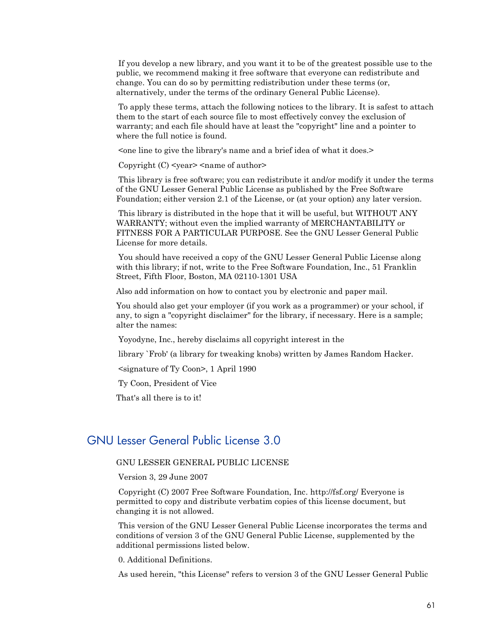If you develop a new library, and you want it to be of the greatest possible use to the public, we recommend making it free software that everyone can redistribute and change. You can do so by permitting redistribution under these terms (or, alternatively, under the terms of the ordinary General Public License).

To apply these terms, attach the following notices to the library. It is safest to attach them to the start of each source file to most effectively convey the exclusion of warranty; and each file should have at least the "copyright" line and a pointer to where the full notice is found.

<one line to give the library's name and a brief idea of what it does.>

Copyright  $(C)$  <year > <name of author

This library is free software; you can redistribute it and/or modify it under the terms of the GNU Lesser General Public License as published by the Free Software Foundation; either version 2.1 of the License, or (at your option) any later version.

This library is distributed in the hope that it will be useful, but WITHOUT ANY WARRANTY; without even the implied warranty of MERCHANTABILITY or FITNESS FOR A PARTICULAR PURPOSE. See the GNU Lesser General Public License for more details.

You should have received a copy of the GNU Lesser General Public License along with this library; if not, write to the Free Software Foundation, Inc., 51 Franklin Street, Fifth Floor, Boston, MA 02110-1301 USA

Also add information on how to contact you by electronic and paper mail.

You should also get your employer (if you work as a programmer) or your school, if any, to sign a "copyright disclaimer" for the library, if necessary. Here is a sample; alter the names:

Yoyodyne, Inc., hereby disclaims all copyright interest in the

library `Frob' (a library for tweaking knobs) written by James Random Hacker.

<signature of Ty Coon>, 1 April 1990

Ty Coon, President of Vice

That's all there is to it!

# GNU Lesser General Public License 3.0

# GNU LESSER GENERAL PUBLIC LICENSE

Version 3, 29 June 2007

Copyright (C) 2007 Free Software Foundation, Inc.<http://fsf.org/> Everyone is permitted to copy and distribute verbatim copies of this license document, but changing it is not allowed.

This version of the GNU Lesser General Public License incorporates the terms and conditions of version 3 of the GNU General Public License, supplemented by the additional permissions listed below.

0. Additional Definitions.

As used herein, "this License" refers to version 3 of the GNU Lesser General Public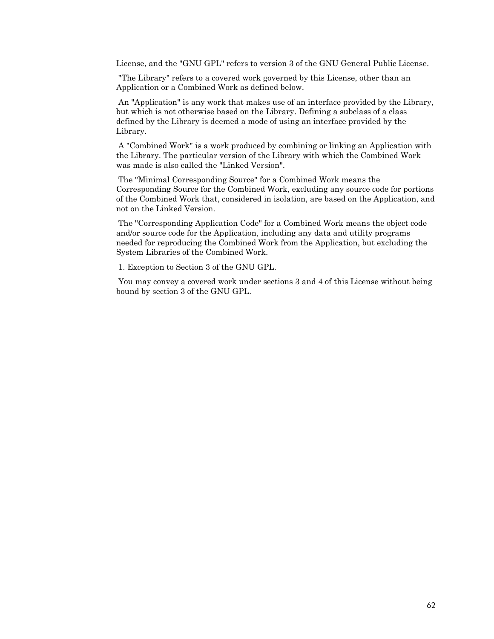License, and the "GNU GPL" refers to version 3 of the GNU General Public License.

"The Library" refers to a covered work governed by this License, other than an Application or a Combined Work as defined below.

An "Application" is any work that makes use of an interface provided by the Library, but which is not otherwise based on the Library. Defining a subclass of a class defined by the Library is deemed a mode of using an interface provided by the Library.

A "Combined Work" is a work produced by combining or linking an Application with the Library. The particular version of the Library with which the Combined Work was made is also called the "Linked Version".

The "Minimal Corresponding Source" for a Combined Work means the Corresponding Source for the Combined Work, excluding any source code for portions of the Combined Work that, considered in isolation, are based on the Application, and not on the Linked Version.

The "Corresponding Application Code" for a Combined Work means the object code and/or source code for the Application, including any data and utility programs needed for reproducing the Combined Work from the Application, but excluding the System Libraries of the Combined Work.

1. Exception to Section 3 of the GNU GPL.

You may convey a covered work under sections 3 and 4 of this License without being bound by section 3 of the GNU GPL.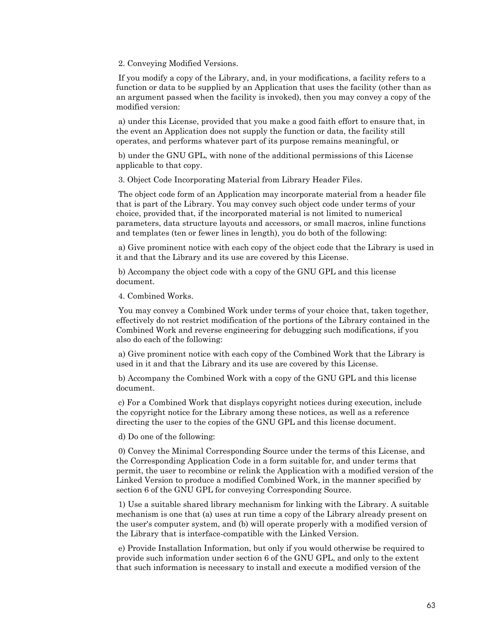2. Conveying Modified Versions.

If you modify a copy of the Library, and, in your modifications, a facility refers to a function or data to be supplied by an Application that uses the facility (other than as an argument passed when the facility is invoked), then you may convey a copy of the modified version:

a) under this License, provided that you make a good faith effort to ensure that, in the event an Application does not supply the function or data, the facility still operates, and performs whatever part of its purpose remains meaningful, or

b) under the GNU GPL, with none of the additional permissions of this License applicable to that copy.

3. Object Code Incorporating Material from Library Header Files.

The object code form of an Application may incorporate material from a header file that is part of the Library. You may convey such object code under terms of your choice, provided that, if the incorporated material is not limited to numerical parameters, data structure layouts and accessors, or small macros, inline functions and templates (ten or fewer lines in length), you do both of the following:

a) Give prominent notice with each copy of the object code that the Library is used in it and that the Library and its use are covered by this License.

b) Accompany the object code with a copy of the GNU GPL and this license document.

4. Combined Works.

You may convey a Combined Work under terms of your choice that, taken together, effectively do not restrict modification of the portions of the Library contained in the Combined Work and reverse engineering for debugging such modifications, if you also do each of the following:

a) Give prominent notice with each copy of the Combined Work that the Library is used in it and that the Library and its use are covered by this License.

b) Accompany the Combined Work with a copy of the GNU GPL and this license document.

c) For a Combined Work that displays copyright notices during execution, include the copyright notice for the Library among these notices, as well as a reference directing the user to the copies of the GNU GPL and this license document.

d) Do one of the following:

0) Convey the Minimal Corresponding Source under the terms of this License, and the Corresponding Application Code in a form suitable for, and under terms that permit, the user to recombine or relink the Application with a modified version of the Linked Version to produce a modified Combined Work, in the manner specified by section 6 of the GNU GPL for conveying Corresponding Source.

1) Use a suitable shared library mechanism for linking with the Library. A suitable mechanism is one that (a) uses at run time a copy of the Library already present on the user's computer system, and (b) will operate properly with a modified version of the Library that is interface-compatible with the Linked Version.

e) Provide Installation Information, but only if you would otherwise be required to provide such information under section 6 of the GNU GPL, and only to the extent that such information is necessary to install and execute a modified version of the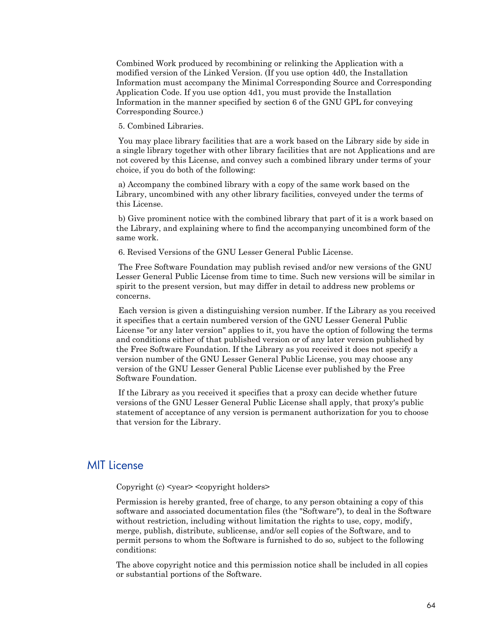Combined Work produced by recombining or relinking the Application with a modified version of the Linked Version. (If you use option 4d0, the Installation Information must accompany the Minimal Corresponding Source and Corresponding Application Code. If you use option 4d1, you must provide the Installation Information in the manner specified by section 6 of the GNU GPL for conveying Corresponding Source.)

5. Combined Libraries.

You may place library facilities that are a work based on the Library side by side in a single library together with other library facilities that are not Applications and are not covered by this License, and convey such a combined library under terms of your choice, if you do both of the following:

a) Accompany the combined library with a copy of the same work based on the Library, uncombined with any other library facilities, conveyed under the terms of this License.

b) Give prominent notice with the combined library that part of it is a work based on the Library, and explaining where to find the accompanying uncombined form of the same work.

6. Revised Versions of the GNU Lesser General Public License.

The Free Software Foundation may publish revised and/or new versions of the GNU Lesser General Public License from time to time. Such new versions will be similar in spirit to the present version, but may differ in detail to address new problems or concerns.

Each version is given a distinguishing version number. If the Library as you received it specifies that a certain numbered version of the GNU Lesser General Public License "or any later version" applies to it, you have the option of following the terms and conditions either of that published version or of any later version published by the Free Software Foundation. If the Library as you received it does not specify a version number of the GNU Lesser General Public License, you may choose any version of the GNU Lesser General Public License ever published by the Free Software Foundation.

If the Library as you received it specifies that a proxy can decide whether future versions of the GNU Lesser General Public License shall apply, that proxy's public statement of acceptance of any version is permanent authorization for you to choose that version for the Library.

# MIT License

Copyright (c) <year> <copyright holders>

Permission is hereby granted, free of charge, to any person obtaining a copy of this software and associated documentation files (the "Software"), to deal in the Software without restriction, including without limitation the rights to use, copy, modify, merge, publish, distribute, sublicense, and/or sell copies of the Software, and to permit persons to whom the Software is furnished to do so, subject to the following conditions:

The above copyright notice and this permission notice shall be included in all copies or substantial portions of the Software.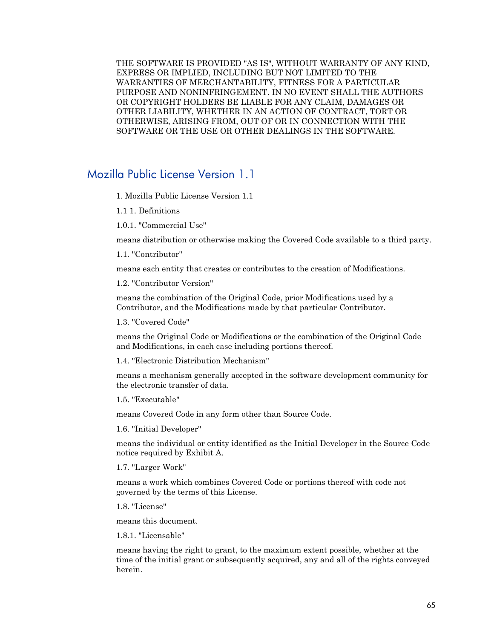THE SOFTWARE IS PROVIDED "AS IS", WITHOUT WARRANTY OF ANY KIND, EXPRESS OR IMPLIED, INCLUDING BUT NOT LIMITED TO THE WARRANTIES OF MERCHANTABILITY, FITNESS FOR A PARTICULAR PURPOSE AND NONINFRINGEMENT. IN NO EVENT SHALL THE AUTHORS OR COPYRIGHT HOLDERS BE LIABLE FOR ANY CLAIM, DAMAGES OR OTHER LIABILITY, WHETHER IN AN ACTION OF CONTRACT, TORT OR OTHERWISE, ARISING FROM, OUT OF OR IN CONNECTION WITH THE SOFTWARE OR THE USE OR OTHER DEALINGS IN THE SOFTWARE.

# Mozilla Public License Version 1.1

1. Mozilla Public License Version 1.1

1.1 1. Definitions

1.0.1. "Commercial Use"

means distribution or otherwise making the Covered Code available to a third party.

1.1. "Contributor"

means each entity that creates or contributes to the creation of Modifications.

1.2. "Contributor Version"

means the combination of the Original Code, prior Modifications used by a Contributor, and the Modifications made by that particular Contributor.

1.3. "Covered Code"

means the Original Code or Modifications or the combination of the Original Code and Modifications, in each case including portions thereof.

1.4. "Electronic Distribution Mechanism"

means a mechanism generally accepted in the software development community for the electronic transfer of data.

1.5. "Executable"

means Covered Code in any form other than Source Code.

1.6. "Initial Developer"

means the individual or entity identified as the Initial Developer in the Source Code notice required by Exhibit A.

1.7. "Larger Work"

means a work which combines Covered Code or portions thereof with code not governed by the terms of this License.

1.8. "License"

means this document.

1.8.1. "Licensable"

means having the right to grant, to the maximum extent possible, whether at the time of the initial grant or subsequently acquired, any and all of the rights conveyed herein.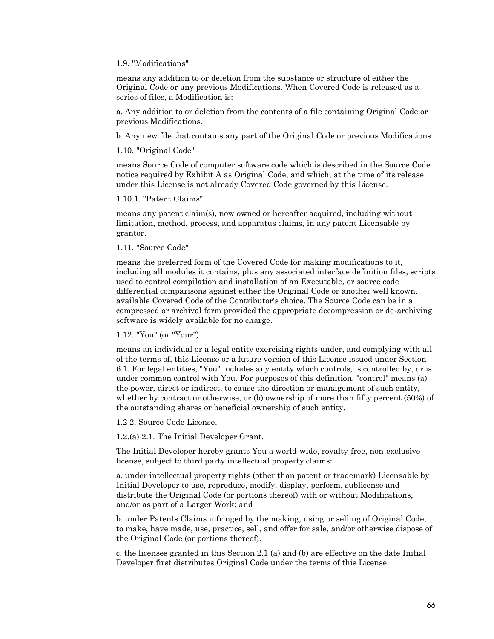#### 1.9. "Modifications"

means any addition to or deletion from the substance or structure of either the Original Code or any previous Modifications. When Covered Code is released as a series of files, a Modification is:

a. Any addition to or deletion from the contents of a file containing Original Code or previous Modifications.

b. Any new file that contains any part of the Original Code or previous Modifications.

#### 1.10. "Original Code"

means Source Code of computer software code which is described in the Source Code notice required by Exhibit A as Original Code, and which, at the time of its release under this License is not already Covered Code governed by this License.

### 1.10.1. "Patent Claims"

means any patent claim(s), now owned or hereafter acquired, including without limitation, method, process, and apparatus claims, in any patent Licensable by grantor.

# 1.11. "Source Code"

means the preferred form of the Covered Code for making modifications to it, including all modules it contains, plus any associated interface definition files, scripts used to control compilation and installation of an Executable, or source code differential comparisons against either the Original Code or another well known, available Covered Code of the Contributor's choice. The Source Code can be in a compressed or archival form provided the appropriate decompression or de-archiving software is widely available for no charge.

1.12. "You" (or "Your")

means an individual or a legal entity exercising rights under, and complying with all of the terms of, this License or a future version of this License issued under Section 6.1. For legal entities, "You" includes any entity which controls, is controlled by, or is under common control with You. For purposes of this definition, "control" means (a) the power, direct or indirect, to cause the direction or management of such entity, whether by contract or otherwise, or (b) ownership of more than fifty percent (50%) of the outstanding shares or beneficial ownership of such entity.

1.2 2. Source Code License.

1.2.(a) 2.1. The Initial Developer Grant.

The Initial Developer hereby grants You a world-wide, royalty-free, non-exclusive license, subject to third party intellectual property claims:

a. under intellectual property rights (other than patent or trademark) Licensable by Initial Developer to use, reproduce, modify, display, perform, sublicense and distribute the Original Code (or portions thereof) with or without Modifications, and/or as part of a Larger Work; and

b. under Patents Claims infringed by the making, using or selling of Original Code, to make, have made, use, practice, sell, and offer for sale, and/or otherwise dispose of the Original Code (or portions thereof).

c. the licenses granted in this Section 2.1 (a) and (b) are effective on the date Initial Developer first distributes Original Code under the terms of this License.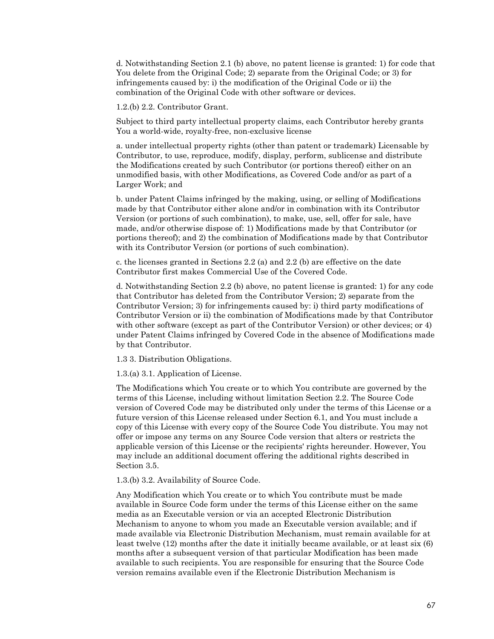d. Notwithstanding Section 2.1 (b) above, no patent license is granted: 1) for code that You delete from the Original Code; 2) separate from the Original Code; or 3) for infringements caused by: i) the modification of the Original Code or ii) the combination of the Original Code with other software or devices.

### 1.2.(b) 2.2. Contributor Grant.

Subject to third party intellectual property claims, each Contributor hereby grants You a world-wide, royalty-free, non-exclusive license

a. under intellectual property rights (other than patent or trademark) Licensable by Contributor, to use, reproduce, modify, display, perform, sublicense and distribute the Modifications created by such Contributor (or portions thereof) either on an unmodified basis, with other Modifications, as Covered Code and/or as part of a Larger Work; and

b. under Patent Claims infringed by the making, using, or selling of Modifications made by that Contributor either alone and/or in combination with its Contributor Version (or portions of such combination), to make, use, sell, offer for sale, have made, and/or otherwise dispose of: 1) Modifications made by that Contributor (or portions thereof); and 2) the combination of Modifications made by that Contributor with its Contributor Version (or portions of such combination).

c. the licenses granted in Sections 2.2 (a) and 2.2 (b) are effective on the date Contributor first makes Commercial Use of the Covered Code.

d. Notwithstanding Section 2.2 (b) above, no patent license is granted: 1) for any code that Contributor has deleted from the Contributor Version; 2) separate from the Contributor Version; 3) for infringements caused by: i) third party modifications of Contributor Version or ii) the combination of Modifications made by that Contributor with other software (except as part of the Contributor Version) or other devices; or 4) under Patent Claims infringed by Covered Code in the absence of Modifications made by that Contributor.

1.3 3. Distribution Obligations.

1.3.(a) 3.1. Application of License.

The Modifications which You create or to which You contribute are governed by the terms of this License, including without limitation Section 2.2. The Source Code version of Covered Code may be distributed only under the terms of this License or a future version of this License released under Section 6.1, and You must include a copy of this License with every copy of the Source Code You distribute. You may not offer or impose any terms on any Source Code version that alters or restricts the applicable version of this License or the recipients' rights hereunder. However, You may include an additional document offering the additional rights described in Section 3.5.

1.3.(b) 3.2. Availability of Source Code.

Any Modification which You create or to which You contribute must be made available in Source Code form under the terms of this License either on the same media as an Executable version or via an accepted Electronic Distribution Mechanism to anyone to whom you made an Executable version available; and if made available via Electronic Distribution Mechanism, must remain available for at least twelve (12) months after the date it initially became available, or at least six (6) months after a subsequent version of that particular Modification has been made available to such recipients. You are responsible for ensuring that the Source Code version remains available even if the Electronic Distribution Mechanism is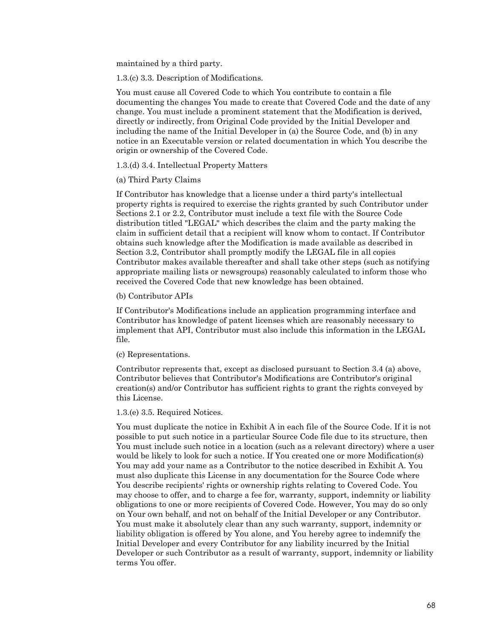maintained by a third party.

1.3.(c) 3.3. Description of Modifications.

You must cause all Covered Code to which You contribute to contain a file documenting the changes You made to create that Covered Code and the date of any change. You must include a prominent statement that the Modification is derived, directly or indirectly, from Original Code provided by the Initial Developer and including the name of the Initial Developer in (a) the Source Code, and (b) in any notice in an Executable version or related documentation in which You describe the origin or ownership of the Covered Code.

1.3.(d) 3.4. Intellectual Property Matters

(a) Third Party Claims

If Contributor has knowledge that a license under a third party's intellectual property rights is required to exercise the rights granted by such Contributor under Sections 2.1 or 2.2, Contributor must include a text file with the Source Code distribution titled "LEGAL" which describes the claim and the party making the claim in sufficient detail that a recipient will know whom to contact. If Contributor obtains such knowledge after the Modification is made available as described in Section 3.2, Contributor shall promptly modify the LEGAL file in all copies Contributor makes available thereafter and shall take other steps (such as notifying appropriate mailing lists or newsgroups) reasonably calculated to inform those who received the Covered Code that new knowledge has been obtained.

#### (b) Contributor APIs

If Contributor's Modifications include an application programming interface and Contributor has knowledge of patent licenses which are reasonably necessary to implement that API, Contributor must also include this information in the LEGAL file.

(c) Representations.

Contributor represents that, except as disclosed pursuant to Section 3.4 (a) above, Contributor believes that Contributor's Modifications are Contributor's original creation(s) and/or Contributor has sufficient rights to grant the rights conveyed by this License.

1.3.(e) 3.5. Required Notices.

You must duplicate the notice in Exhibit A in each file of the Source Code. If it is not possible to put such notice in a particular Source Code file due to its structure, then You must include such notice in a location (such as a relevant directory) where a user would be likely to look for such a notice. If You created one or more Modification(s) You may add your name as a Contributor to the notice described in Exhibit A. You must also duplicate this License in any documentation for the Source Code where You describe recipients' rights or ownership rights relating to Covered Code. You may choose to offer, and to charge a fee for, warranty, support, indemnity or liability obligations to one or more recipients of Covered Code. However, You may do so only on Your own behalf, and not on behalf of the Initial Developer or any Contributor. You must make it absolutely clear than any such warranty, support, indemnity or liability obligation is offered by You alone, and You hereby agree to indemnify the Initial Developer and every Contributor for any liability incurred by the Initial Developer or such Contributor as a result of warranty, support, indemnity or liability terms You offer.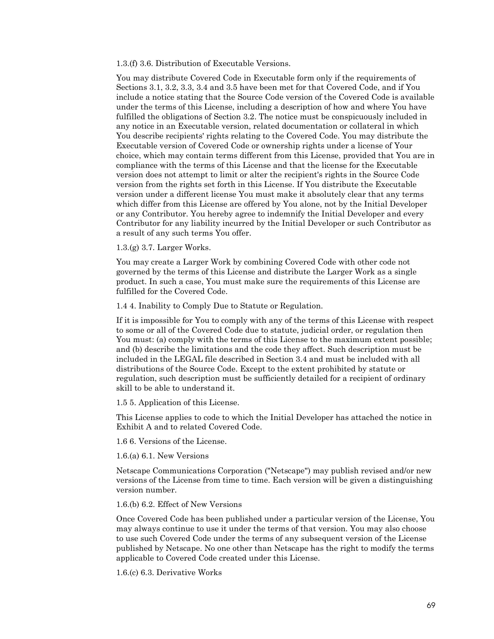1.3.(f) 3.6. Distribution of Executable Versions.

You may distribute Covered Code in Executable form only if the requirements of Sections 3.1, 3.2, 3.3, 3.4 and 3.5 have been met for that Covered Code, and if You include a notice stating that the Source Code version of the Covered Code is available under the terms of this License, including a description of how and where You have fulfilled the obligations of Section 3.2. The notice must be conspicuously included in any notice in an Executable version, related documentation or collateral in which You describe recipients' rights relating to the Covered Code. You may distribute the Executable version of Covered Code or ownership rights under a license of Your choice, which may contain terms different from this License, provided that You are in compliance with the terms of this License and that the license for the Executable version does not attempt to limit or alter the recipient's rights in the Source Code version from the rights set forth in this License. If You distribute the Executable version under a different license You must make it absolutely clear that any terms which differ from this License are offered by You alone, not by the Initial Developer or any Contributor. You hereby agree to indemnify the Initial Developer and every Contributor for any liability incurred by the Initial Developer or such Contributor as a result of any such terms You offer.

1.3.(g) 3.7. Larger Works.

You may create a Larger Work by combining Covered Code with other code not governed by the terms of this License and distribute the Larger Work as a single product. In such a case, You must make sure the requirements of this License are fulfilled for the Covered Code.

1.4 4. Inability to Comply Due to Statute or Regulation.

If it is impossible for You to comply with any of the terms of this License with respect to some or all of the Covered Code due to statute, judicial order, or regulation then You must: (a) comply with the terms of this License to the maximum extent possible; and (b) describe the limitations and the code they affect. Such description must be included in the LEGAL file described in Section 3.4 and must be included with all distributions of the Source Code. Except to the extent prohibited by statute or regulation, such description must be sufficiently detailed for a recipient of ordinary skill to be able to understand it.

1.5 5. Application of this License.

This License applies to code to which the Initial Developer has attached the notice in Exhibit A and to related Covered Code.

1.6 6. Versions of the License.

1.6.(a) 6.1. New Versions

Netscape Communications Corporation ("Netscape") may publish revised and/or new versions of the License from time to time. Each version will be given a distinguishing version number.

1.6.(b) 6.2. Effect of New Versions

Once Covered Code has been published under a particular version of the License, You may always continue to use it under the terms of that version. You may also choose to use such Covered Code under the terms of any subsequent version of the License published by Netscape. No one other than Netscape has the right to modify the terms applicable to Covered Code created under this License.

1.6.(c) 6.3. Derivative Works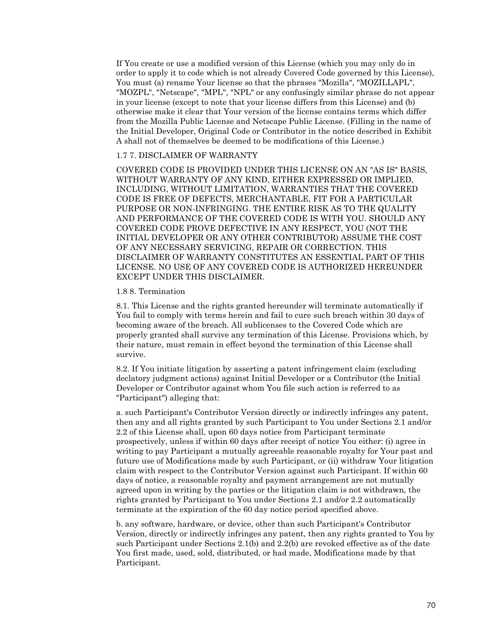If You create or use a modified version of this License (which you may only do in order to apply it to code which is not already Covered Code governed by this License), You must (a) rename Your license so that the phrases "Mozilla", "MOZILLAPL", "MOZPL", "Netscape", "MPL", "NPL" or any confusingly similar phrase do not appear in your license (except to note that your license differs from this License) and (b) otherwise make it clear that Your version of the license contains terms which differ from the Mozilla Public License and Netscape Public License. (Filling in the name of the Initial Developer, Original Code or Contributor in the notice described in Exhibit A shall not of themselves be deemed to be modifications of this License.)

# 1.7 7. DISCLAIMER OF WARRANTY

COVERED CODE IS PROVIDED UNDER THIS LICENSE ON AN "AS IS" BASIS, WITHOUT WARRANTY OF ANY KIND, EITHER EXPRESSED OR IMPLIED, INCLUDING, WITHOUT LIMITATION, WARRANTIES THAT THE COVERED CODE IS FREE OF DEFECTS, MERCHANTABLE, FIT FOR A PARTICULAR PURPOSE OR NON-INFRINGING. THE ENTIRE RISK AS TO THE QUALITY AND PERFORMANCE OF THE COVERED CODE IS WITH YOU. SHOULD ANY COVERED CODE PROVE DEFECTIVE IN ANY RESPECT, YOU (NOT THE INITIAL DEVELOPER OR ANY OTHER CONTRIBUTOR) ASSUME THE COST OF ANY NECESSARY SERVICING, REPAIR OR CORRECTION. THIS DISCLAIMER OF WARRANTY CONSTITUTES AN ESSENTIAL PART OF THIS LICENSE. NO USE OF ANY COVERED CODE IS AUTHORIZED HEREUNDER EXCEPT UNDER THIS DISCLAIMER.

#### 1.8 8. Termination

8.1. This License and the rights granted hereunder will terminate automatically if You fail to comply with terms herein and fail to cure such breach within 30 days of becoming aware of the breach. All sublicenses to the Covered Code which are properly granted shall survive any termination of this License. Provisions which, by their nature, must remain in effect beyond the termination of this License shall survive.

8.2. If You initiate litigation by asserting a patent infringement claim (excluding declatory judgment actions) against Initial Developer or a Contributor (the Initial Developer or Contributor against whom You file such action is referred to as "Participant") alleging that:

a. such Participant's Contributor Version directly or indirectly infringes any patent, then any and all rights granted by such Participant to You under Sections 2.1 and/or 2.2 of this License shall, upon 60 days notice from Participant terminate prospectively, unless if within 60 days after receipt of notice You either: (i) agree in writing to pay Participant a mutually agreeable reasonable royalty for Your past and future use of Modifications made by such Participant, or (ii) withdraw Your litigation claim with respect to the Contributor Version against such Participant. If within 60 days of notice, a reasonable royalty and payment arrangement are not mutually agreed upon in writing by the parties or the litigation claim is not withdrawn, the rights granted by Participant to You under Sections 2.1 and/or 2.2 automatically terminate at the expiration of the 60 day notice period specified above.

b. any software, hardware, or device, other than such Participant's Contributor Version, directly or indirectly infringes any patent, then any rights granted to You by such Participant under Sections 2.1(b) and 2.2(b) are revoked effective as of the date You first made, used, sold, distributed, or had made, Modifications made by that Participant.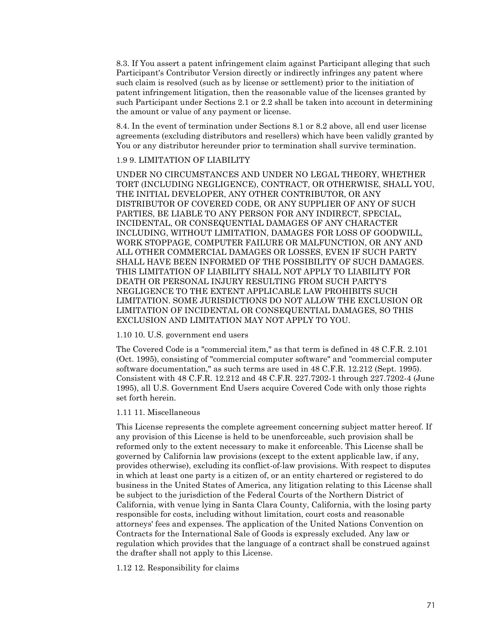8.3. If You assert a patent infringement claim against Participant alleging that such Participant's Contributor Version directly or indirectly infringes any patent where such claim is resolved (such as by license or settlement) prior to the initiation of patent infringement litigation, then the reasonable value of the licenses granted by such Participant under Sections 2.1 or 2.2 shall be taken into account in determining the amount or value of any payment or license.

8.4. In the event of termination under Sections 8.1 or 8.2 above, all end user license agreements (excluding distributors and resellers) which have been validly granted by You or any distributor hereunder prior to termination shall survive termination.

# 1.9 9. LIMITATION OF LIABILITY

UNDER NO CIRCUMSTANCES AND UNDER NO LEGAL THEORY, WHETHER TORT (INCLUDING NEGLIGENCE), CONTRACT, OR OTHERWISE, SHALL YOU, THE INITIAL DEVELOPER, ANY OTHER CONTRIBUTOR, OR ANY DISTRIBUTOR OF COVERED CODE, OR ANY SUPPLIER OF ANY OF SUCH PARTIES, BE LIABLE TO ANY PERSON FOR ANY INDIRECT, SPECIAL, INCIDENTAL, OR CONSEQUENTIAL DAMAGES OF ANY CHARACTER INCLUDING, WITHOUT LIMITATION, DAMAGES FOR LOSS OF GOODWILL, WORK STOPPAGE, COMPUTER FAILURE OR MALFUNCTION, OR ANY AND ALL OTHER COMMERCIAL DAMAGES OR LOSSES, EVEN IF SUCH PARTY SHALL HAVE BEEN INFORMED OF THE POSSIBILITY OF SUCH DAMAGES. THIS LIMITATION OF LIABILITY SHALL NOT APPLY TO LIABILITY FOR DEATH OR PERSONAL INJURY RESULTING FROM SUCH PARTY'S NEGLIGENCE TO THE EXTENT APPLICABLE LAW PROHIBITS SUCH LIMITATION. SOME JURISDICTIONS DO NOT ALLOW THE EXCLUSION OR LIMITATION OF INCIDENTAL OR CONSEQUENTIAL DAMAGES, SO THIS EXCLUSION AND LIMITATION MAY NOT APPLY TO YOU.

#### 1.10 10. U.S. government end users

The Covered Code is a "commercial item," as that term is defined in 48 C.F.R. 2.101 (Oct. 1995), consisting of "commercial computer software" and "commercial computer software documentation," as such terms are used in 48 C.F.R. 12.212 (Sept. 1995). Consistent with 48 C.F.R. 12.212 and 48 C.F.R. 227.7202-1 through 227.7202-4 (June 1995), all U.S. Government End Users acquire Covered Code with only those rights set forth herein.

#### 1.11 11. Miscellaneous

This License represents the complete agreement concerning subject matter hereof. If any provision of this License is held to be unenforceable, such provision shall be reformed only to the extent necessary to make it enforceable. This License shall be governed by California law provisions (except to the extent applicable law, if any, provides otherwise), excluding its conflict-of-law provisions. With respect to disputes in which at least one party is a citizen of, or an entity chartered or registered to do business in the United States of America, any litigation relating to this License shall be subject to the jurisdiction of the Federal Courts of the Northern District of California, with venue lying in Santa Clara County, California, with the losing party responsible for costs, including without limitation, court costs and reasonable attorneys' fees and expenses. The application of the United Nations Convention on Contracts for the International Sale of Goods is expressly excluded. Any law or regulation which provides that the language of a contract shall be construed against the drafter shall not apply to this License.

1.12 12. Responsibility for claims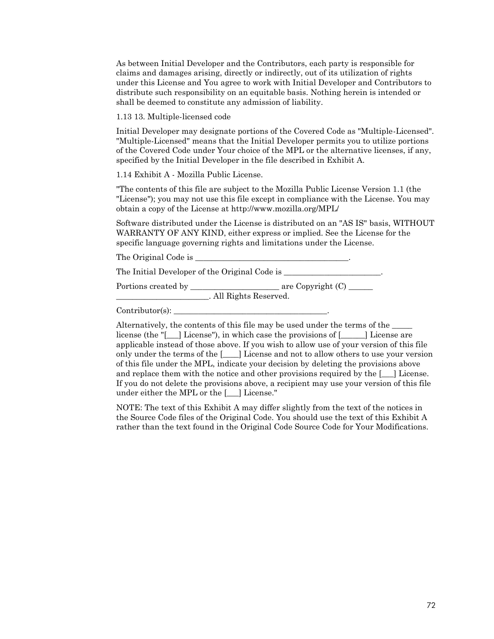As between Initial Developer and the Contributors, each party is responsible for claims and damages arising, directly or indirectly, out of its utilization of rights under this License and You agree to work with Initial Developer and Contributors to distribute such responsibility on an equitable basis. Nothing herein is intended or shall be deemed to constitute any admission of liability.

1.13 13. Multiple-licensed code

Initial Developer may designate portions of the Covered Code as "Multiple-Licensed". "Multiple-Licensed" means that the Initial Developer permits you to utilize portions of the Covered Code under Your choice of the MPL or the alternative licenses, if any, specified by the Initial Developer in the file described in Exhibit A.

1.14 Exhibit A - Mozilla Public License.

"The contents of this file are subject to the Mozilla Public License Version 1.1 (the "License"); you may not use this file except in compliance with the License. You may obtain a copy of the License at http://www.mozilla.org/MPL/

Software distributed under the License is distributed on an "AS IS" basis, WITHOUT WARRANTY OF ANY KIND, either express or implied. See the License for the specific language governing rights and limitations under the License.

The Original Code is

The Initial Developer of the Original Code is  $\_\_$ 

Portions created by \_\_\_\_\_\_\_\_\_\_\_\_\_\_\_\_\_\_\_\_\_\_ are Copyright (C) \_\_\_\_\_\_

\_\_\_\_\_\_\_\_\_\_\_\_\_\_\_\_\_\_\_\_\_\_\_. All Rights Reserved.

 $Contribution(s):$ 

Alternatively, the contents of this file may be used under the terms of the \_\_\_\_\_ license (the "[\_\_\_] License"), in which case the provisions of [\_\_\_\_\_\_] License are applicable instead of those above. If you wish to allow use of your version of this file only under the terms of the [\_\_\_\_] License and not to allow others to use your version of this file under the MPL, indicate your decision by deleting the provisions above and replace them with the notice and other provisions required by the  $\lceil \quad \rceil$  License. If you do not delete the provisions above, a recipient may use your version of this file under either the MPL or the [\_\_\_] License."

NOTE: The text of this Exhibit A may differ slightly from the text of the notices in the Source Code files of the Original Code. You should use the text of this Exhibit A rather than the text found in the Original Code Source Code for Your Modifications.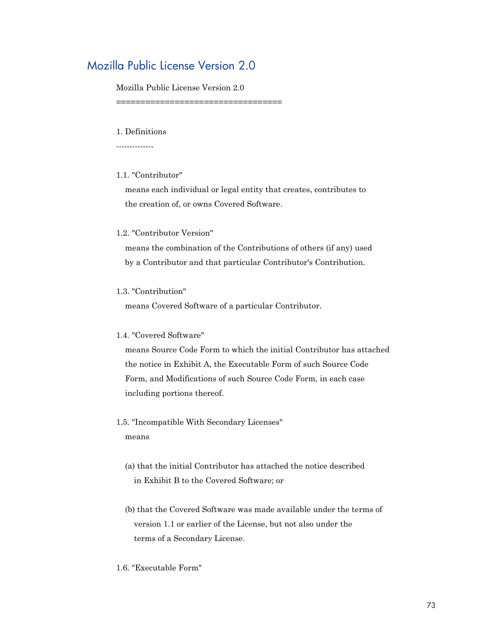# Mozilla Public License Version 2.0

Mozilla Public License Version 2.0

==================================

# 1. Definitions

--------------

1.1. "Contributor"

 means each individual or legal entity that creates, contributes to the creation of, or owns Covered Software.

1.2. "Contributor Version"

 means the combination of the Contributions of others (if any) used by a Contributor and that particular Contributor's Contribution.

1.3. "Contribution"

means Covered Software of a particular Contributor.

1.4. "Covered Software"

 means Source Code Form to which the initial Contributor has attached the notice in Exhibit A, the Executable Form of such Source Code Form, and Modifications of such Source Code Form, in each case including portions thereof.

- 1.5. "Incompatible With Secondary Licenses" means
	- (a) that the initial Contributor has attached the notice described in Exhibit B to the Covered Software; or
	- (b) that the Covered Software was made available under the terms of version 1.1 or earlier of the License, but not also under the terms of a Secondary License.
- 1.6. "Executable Form"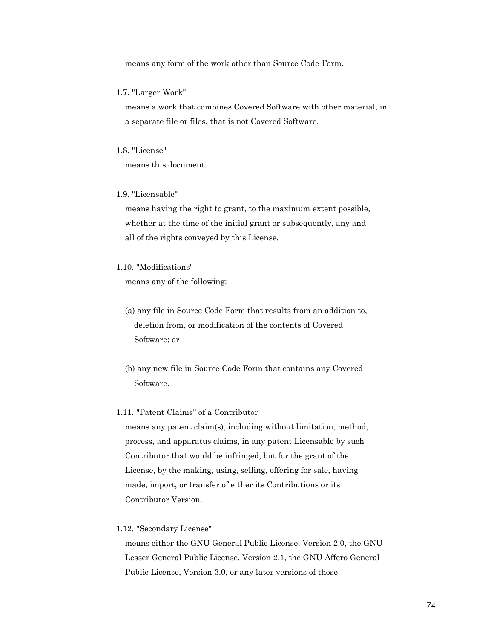means any form of the work other than Source Code Form.

1.7. "Larger Work"

 means a work that combines Covered Software with other material, in a separate file or files, that is not Covered Software.

1.8. "License"

means this document.

1.9. "Licensable"

 means having the right to grant, to the maximum extent possible, whether at the time of the initial grant or subsequently, any and all of the rights conveyed by this License.

1.10. "Modifications"

means any of the following:

- (a) any file in Source Code Form that results from an addition to, deletion from, or modification of the contents of Covered Software; or
- (b) any new file in Source Code Form that contains any Covered Software.
- 1.11. "Patent Claims" of a Contributor

 means any patent claim(s), including without limitation, method, process, and apparatus claims, in any patent Licensable by such Contributor that would be infringed, but for the grant of the License, by the making, using, selling, offering for sale, having made, import, or transfer of either its Contributions or its Contributor Version.

1.12. "Secondary License"

 means either the GNU General Public License, Version 2.0, the GNU Lesser General Public License, Version 2.1, the GNU Affero General Public License, Version 3.0, or any later versions of those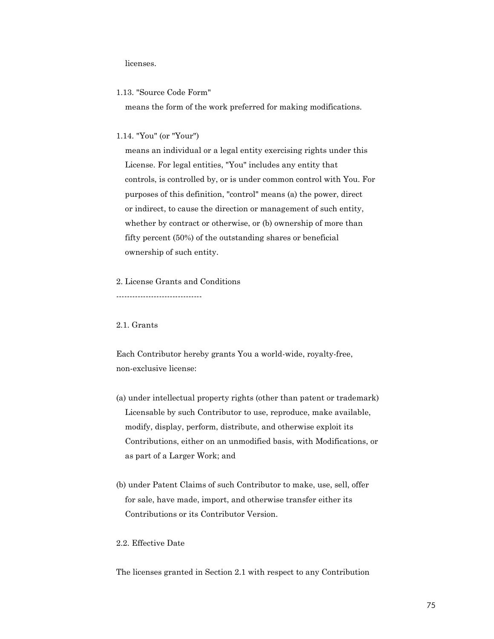licenses.

1.13. "Source Code Form"

means the form of the work preferred for making modifications.

1.14. "You" (or "Your")

 means an individual or a legal entity exercising rights under this License. For legal entities, "You" includes any entity that controls, is controlled by, or is under common control with You. For purposes of this definition, "control" means (a) the power, direct or indirect, to cause the direction or management of such entity, whether by contract or otherwise, or (b) ownership of more than fifty percent (50%) of the outstanding shares or beneficial ownership of such entity.

2. License Grants and Conditions

--------------------------------

2.1. Grants

Each Contributor hereby grants You a world-wide, royalty-free, non-exclusive license:

- (a) under intellectual property rights (other than patent or trademark) Licensable by such Contributor to use, reproduce, make available, modify, display, perform, distribute, and otherwise exploit its Contributions, either on an unmodified basis, with Modifications, or as part of a Larger Work; and
- (b) under Patent Claims of such Contributor to make, use, sell, offer for sale, have made, import, and otherwise transfer either its Contributions or its Contributor Version.
- 2.2. Effective Date

The licenses granted in Section 2.1 with respect to any Contribution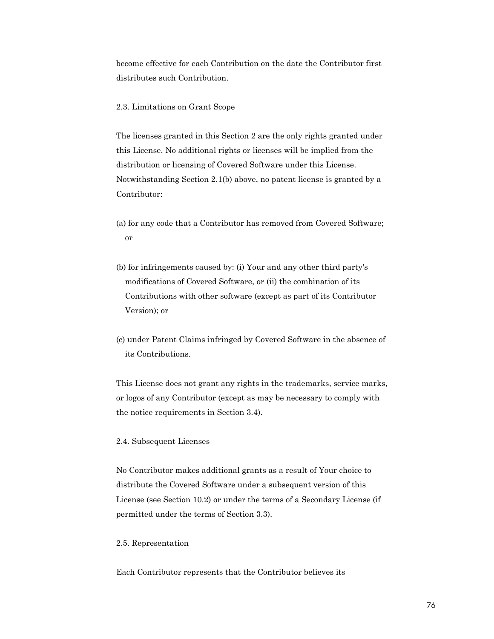become effective for each Contribution on the date the Contributor first distributes such Contribution.

# 2.3. Limitations on Grant Scope

The licenses granted in this Section 2 are the only rights granted under this License. No additional rights or licenses will be implied from the distribution or licensing of Covered Software under this License. Notwithstanding Section 2.1(b) above, no patent license is granted by a Contributor:

- (a) for any code that a Contributor has removed from Covered Software; or
- (b) for infringements caused by: (i) Your and any other third party's modifications of Covered Software, or (ii) the combination of its Contributions with other software (except as part of its Contributor Version); or
- (c) under Patent Claims infringed by Covered Software in the absence of its Contributions.

This License does not grant any rights in the trademarks, service marks, or logos of any Contributor (except as may be necessary to comply with the notice requirements in Section 3.4).

# 2.4. Subsequent Licenses

No Contributor makes additional grants as a result of Your choice to distribute the Covered Software under a subsequent version of this License (see Section 10.2) or under the terms of a Secondary License (if permitted under the terms of Section 3.3).

# 2.5. Representation

Each Contributor represents that the Contributor believes its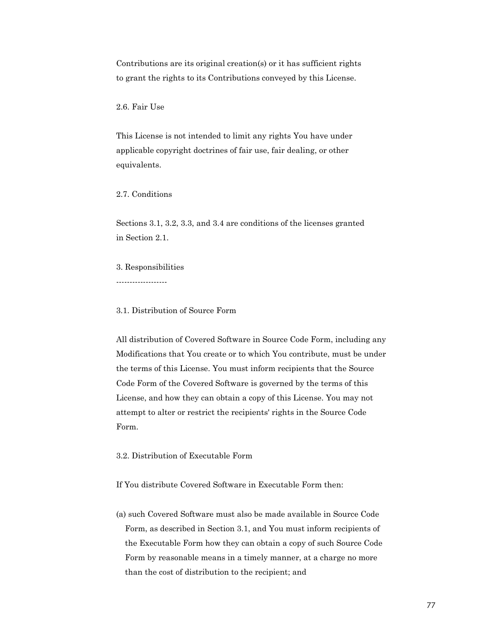Contributions are its original creation(s) or it has sufficient rights to grant the rights to its Contributions conveyed by this License.

2.6. Fair Use

This License is not intended to limit any rights You have under applicable copyright doctrines of fair use, fair dealing, or other equivalents.

2.7. Conditions

Sections 3.1, 3.2, 3.3, and 3.4 are conditions of the licenses granted in Section 2.1.

3. Responsibilities

-------------------

3.1. Distribution of Source Form

All distribution of Covered Software in Source Code Form, including any Modifications that You create or to which You contribute, must be under the terms of this License. You must inform recipients that the Source Code Form of the Covered Software is governed by the terms of this License, and how they can obtain a copy of this License. You may not attempt to alter or restrict the recipients' rights in the Source Code Form.

3.2. Distribution of Executable Form

If You distribute Covered Software in Executable Form then:

(a) such Covered Software must also be made available in Source Code Form, as described in Section 3.1, and You must inform recipients of the Executable Form how they can obtain a copy of such Source Code Form by reasonable means in a timely manner, at a charge no more than the cost of distribution to the recipient; and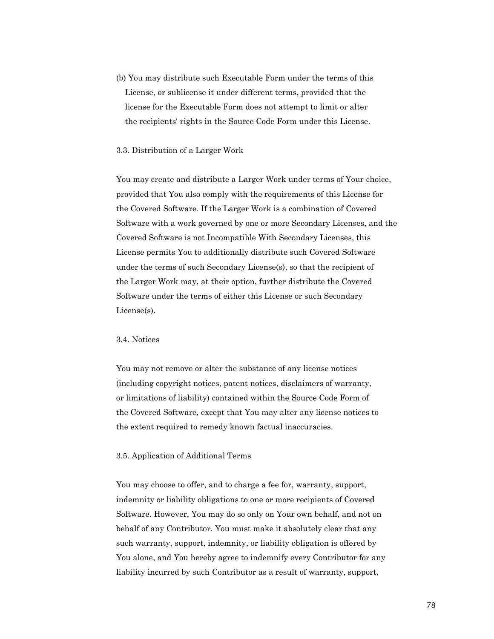(b) You may distribute such Executable Form under the terms of this License, or sublicense it under different terms, provided that the license for the Executable Form does not attempt to limit or alter the recipients' rights in the Source Code Form under this License.

#### 3.3. Distribution of a Larger Work

You may create and distribute a Larger Work under terms of Your choice, provided that You also comply with the requirements of this License for the Covered Software. If the Larger Work is a combination of Covered Software with a work governed by one or more Secondary Licenses, and the Covered Software is not Incompatible With Secondary Licenses, this License permits You to additionally distribute such Covered Software under the terms of such Secondary License(s), so that the recipient of the Larger Work may, at their option, further distribute the Covered Software under the terms of either this License or such Secondary License(s).

#### 3.4. Notices

You may not remove or alter the substance of any license notices (including copyright notices, patent notices, disclaimers of warranty, or limitations of liability) contained within the Source Code Form of the Covered Software, except that You may alter any license notices to the extent required to remedy known factual inaccuracies.

#### 3.5. Application of Additional Terms

You may choose to offer, and to charge a fee for, warranty, support, indemnity or liability obligations to one or more recipients of Covered Software. However, You may do so only on Your own behalf, and not on behalf of any Contributor. You must make it absolutely clear that any such warranty, support, indemnity, or liability obligation is offered by You alone, and You hereby agree to indemnify every Contributor for any liability incurred by such Contributor as a result of warranty, support,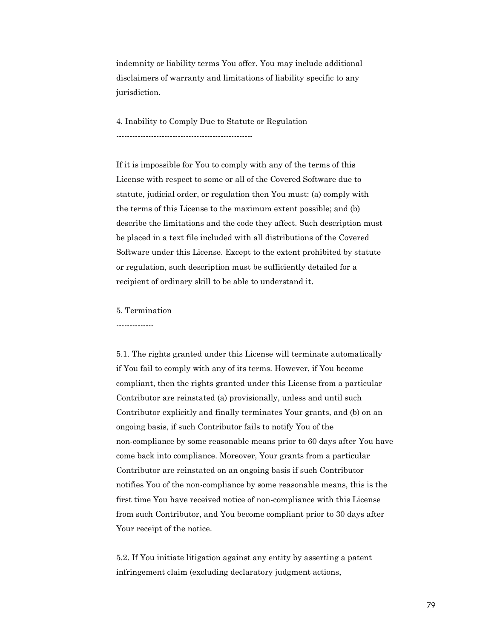indemnity or liability terms You offer. You may include additional disclaimers of warranty and limitations of liability specific to any jurisdiction.

4. Inability to Comply Due to Statute or Regulation ---------------------------------------------------

If it is impossible for You to comply with any of the terms of this License with respect to some or all of the Covered Software due to statute, judicial order, or regulation then You must: (a) comply with the terms of this License to the maximum extent possible; and (b) describe the limitations and the code they affect. Such description must be placed in a text file included with all distributions of the Covered Software under this License. Except to the extent prohibited by statute or regulation, such description must be sufficiently detailed for a recipient of ordinary skill to be able to understand it.

5. Termination

--------------

5.1. The rights granted under this License will terminate automatically if You fail to comply with any of its terms. However, if You become compliant, then the rights granted under this License from a particular Contributor are reinstated (a) provisionally, unless and until such Contributor explicitly and finally terminates Your grants, and (b) on an ongoing basis, if such Contributor fails to notify You of the non-compliance by some reasonable means prior to 60 days after You have come back into compliance. Moreover, Your grants from a particular Contributor are reinstated on an ongoing basis if such Contributor notifies You of the non-compliance by some reasonable means, this is the first time You have received notice of non-compliance with this License from such Contributor, and You become compliant prior to 30 days after Your receipt of the notice.

5.2. If You initiate litigation against any entity by asserting a patent infringement claim (excluding declaratory judgment actions,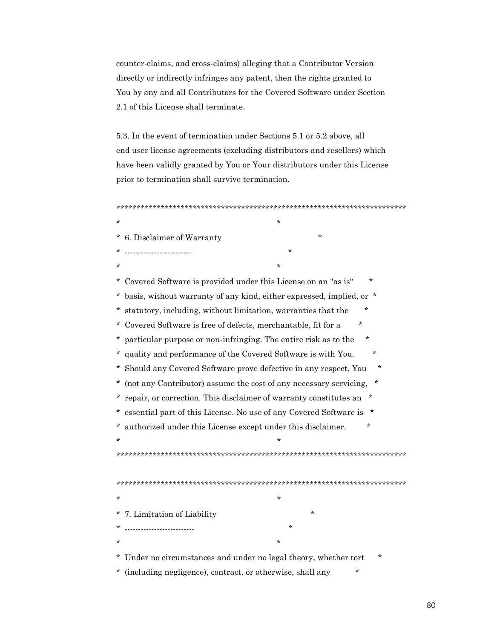counter-claims, and cross-claims) alleging that a Contributor Version directly or indirectly infringes any patent, then the rights granted to You by any and all Contributors for the Covered Software under Section 2.1 of this License shall terminate.

5.3. In the event of termination under Sections 5.1 or 5.2 above, all end user license agreements (excluding distributors and resellers) which have been validly granted by You or Your distributors under this License prior to termination shall survive termination.

6. Disclaimer of Warranty \* -------------------------\* Covered Software is provided under this License on an "as is" \* basis, without warranty of any kind, either expressed, implied, or \* statutory, including, without limitation, warranties that the Covered Software is free of defects, merchantable, fit for a particular purpose or non-infringing. The entire risk as to the  $\ast$ quality and performance of the Covered Software is with You. Should any Covered Software prove defective in any respect, You  $\star$  $\ast$ (not any Contributor) assume the cost of any necessary servicing, \* repair, or correction. This disclaimer of warranty constitutes an \*  $\star$ essential part of this License. No use of any Covered Software is \* authorized under this License except under this disclaimer. 7. Limitation of Liability j. \* Under no circumstances and under no legal theory, whether tort  $\star$ \* (including negligence), contract, or otherwise, shall any

80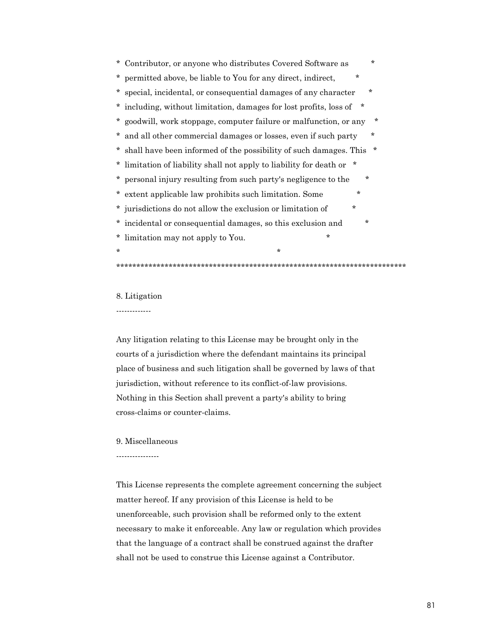|         | $\star$<br>* Contributor, or anyone who distributes Covered Software as        |
|---------|--------------------------------------------------------------------------------|
|         | * permitted above, be liable to You for any direct, indirect,<br>$\star$       |
|         | * special, incidental, or consequential damages of any character<br>÷          |
|         | * including, without limitation, damages for lost profits, loss of *           |
|         | $\ast$<br>* goodwill, work stoppage, computer failure or malfunction, or any   |
|         | $\star$<br>* and all other commercial damages or losses, even if such party    |
|         | $\star$<br>* shall have been informed of the possibility of such damages. This |
|         | * limitation of liability shall not apply to liability for death or *          |
|         | * personal injury resulting from such party's negligence to the<br>$\star$     |
|         | * extent applicable law prohibits such limitation. Some<br>$\star$             |
|         | $\star$<br>* jurisdictions do not allow the exclusion or limitation of         |
|         | $\star$<br>* incidental or consequential damages, so this exclusion and        |
|         | $\star$<br>* limitation may not apply to You.                                  |
| $\star$ | $\star$                                                                        |
|         |                                                                                |

# 8. Litigation

-------------

Any litigation relating to this License may be brought only in the courts of a jurisdiction where the defendant maintains its principal place of business and such litigation shall be governed by laws of that jurisdiction, without reference to its conflict-of-law provisions. Nothing in this Section shall prevent a party's ability to bring cross-claims or counter-claims.

# 9. Miscellaneous

................

This License represents the complete agreement concerning the subject matter hereof. If any provision of this License is held to be unenforceable, such provision shall be reformed only to the extent necessary to make it enforceable. Any law or regulation which provides that the language of a contract shall be construed against the drafter shall not be used to construe this License against a Contributor.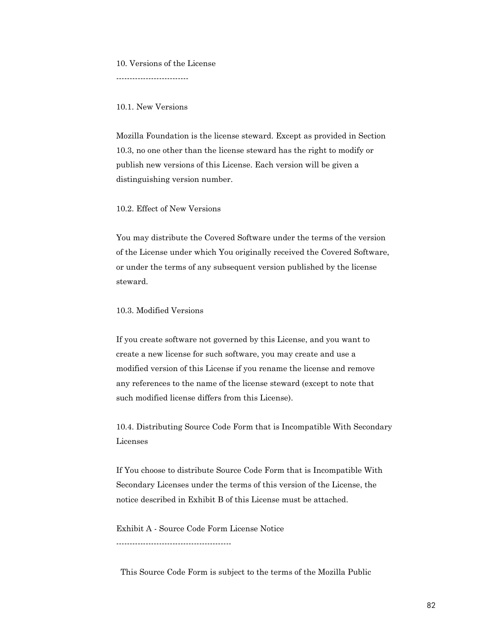10. Versions of the License

---------------------------

10.1. New Versions

Mozilla Foundation is the license steward. Except as provided in Section 10.3, no one other than the license steward has the right to modify or publish new versions of this License. Each version will be given a distinguishing version number.

10.2. Effect of New Versions

You may distribute the Covered Software under the terms of the version of the License under which You originally received the Covered Software, or under the terms of any subsequent version published by the license steward.

10.3. Modified Versions

If you create software not governed by this License, and you want to create a new license for such software, you may create and use a modified version of this License if you rename the license and remove any references to the name of the license steward (except to note that such modified license differs from this License).

10.4. Distributing Source Code Form that is Incompatible With Secondary Licenses

If You choose to distribute Source Code Form that is Incompatible With Secondary Licenses under the terms of this version of the License, the notice described in Exhibit B of this License must be attached.

Exhibit A - Source Code Form License Notice -------------------------------------------

This Source Code Form is subject to the terms of the Mozilla Public